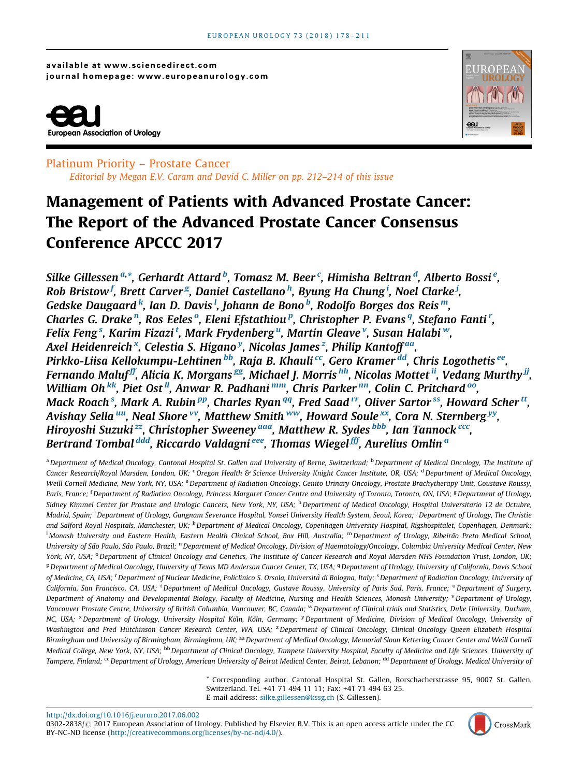available at www.sciencedirect.com journal homepage: www.europeanurology.com





## Platinum Priority – Prostate Cancer Editorial by Megan E.V. Caram and David C. Miller on pp. 212–214 of this issue

# Management of Patients with Advanced Prostate Cancer: The Report of the Advanced Prostate Cancer Consensus Conference APCCC 2017

Silke Gillessen <sup>a,</sup>\*, Gerhardt Attard <sup>b</sup>, Tomasz M. Beer <sup>c</sup>, Himisha Beltran <sup>d</sup>, Alberto Bossi <sup>e</sup>, Rob Bristow <sup>f</sup>, Brett Carver <sup>g</sup>, Daniel Castellano <sup>h</sup>, Byung Ha Chung <sup>i</sup>, Noel Clarke <sup>j</sup>, Gedske Daugaard <sup>k</sup>, Ian D. Davis <sup>l</sup>, Johann de Bono <sup>b</sup>, Rodolfo Borges dos Reis <sup>m</sup>, Charles G. Drake<sup>n</sup>, Ros Eeles<sup>o</sup>, Eleni Efstathiou<sup>p</sup>, Christopher P. Evans<sup>q</sup>, Stefano Fanti<sup>r</sup>, Felix Feng $^{\mathrm{s}}$ , Karim Fizazi  $^{\mathrm{t}}$ , Mark Frydenberg  $^{\mathrm{u}}$ , Martin Gleave  $^{\mathrm{v}}$ , Susan Halabi  $^{\mathrm{w}}$ , Axel Heidenreich <sup>x</sup>, Celestia S. Higano <sup>y</sup>, Nicolas James <sup>z</sup>, Philip Kantoff<sup>aa</sup>, Pirkko-Liisa Kellokumpu-Lehtinen bb, Raja B. Khauli<sup>cc</sup>, Gero Kramer<sup>dd</sup>, Chris Logothetis<sup>ee</sup>, Fernando Maluf $^{\textit{ff}}$ , Alicia K. Morgans $^{\textit{gg}}$ , Michael J. Morris  $^{\textit{hh}}$ , Nicolas Mottet  $^{\textit{ii}}$ , Vedang Murthy  $^{\textit{jj}}$ , William Oh <sup>kk</sup>, Piet Ost<sup>ll</sup>, Anwar R. Padhani<sup>mm</sup>, Chris Parker<sup>nn</sup>, Colin C. Pritchard<sup>oo</sup>, Mack Roach<sup>s</sup>, Mark A. Rubin<sup> pp</sup>, Charles Ryan <sup>qq</sup>, Fred Saad <sup>rr</sup>, Oliver Sartor <sup>ss</sup>, Howard Scher <sup>tt</sup>, Avishay Sella  $\mu$ u, Neal Shore  $\mu$ , Matthew Smith  $\mu$ w, Howard Soule  $\alpha$ x, Cora N. Sternberg  $\mu$ y, Hiroyoshi Suzuki <sup>zz</sup>, Christopher Sweeney <sup>aaa</sup>, Matthew R. Sydes <sup>bbb</sup>, Ian Tannock <sup>ccc</sup>, Bertrand Tombal <sup>ddd</sup>, Riccardo Valdagni <sup>eee</sup>, Thomas Wiegel <sup>fff</sup>, Aurelius Omlin <sup>a</sup>

<sup>a</sup> Department of Medical Oncology, Cantonal Hospital St. Gallen and University of Berne, Switzerland; <sup>b</sup> Department of Medical Oncology, The Institute of Cancer Research/Royal Marsden, London, UK; <sup>c</sup>Oregon Health & Science University Knight Cancer Institute, OR, USA; <sup>d</sup> Department of Medical Oncology, Weill Cornell Medicine, New York, NY, USA; eDepartment of Radiation Oncology, Genito Urinary Oncology, Prostate Brachytherapy Unit, Goustave Roussy, Paris, France; <sup>f</sup> Department of Radiation Oncology, Princess Margaret Cancer Centre and University of Toronto, Toronto, ON, USA; <sup>g</sup> Department of Urology, Sidney Kimmel Center for Prostate and Urologic Cancers, New York, NY, USA; <sup>h</sup>Department of Medical Oncology, Hospital Universitario 12 de Octubre, Madrid, Spain; <sup>i</sup> Department of Urology, Gangnam Severance Hospital, Yonsei University Health System, Seoul, Korea; <sup>j</sup> Department of Urology, The Christie and Salford Royal Hospitals, Manchester, UK; <sup>k</sup>Department of Medical Oncology, Copenhagen University Hospital, Rigshospitalet, Copenhagen, Denmark; <sup>l</sup> Monash University and Eastern Health, Eastern Health Clinical School, Box Hill, Australia; <sup>m</sup> Department of Urology, Ribeirão Preto Medical School, University of São Paulo, São Paulo, Brazil; <sup>n</sup> Department of Medical Oncology, Division of Haematology/Oncology, Columbia University Medical Center, New York, NY, USA; <sup>o</sup> Department of Clinical Oncology and Genetics, The Institute of Cancer Research and Royal Marsden NHS Foundation Trust, London, UK; P Department of Medical Oncology, University of Texas MD Anderson Cancer Center, TX, USA; <sup>q</sup> Department of Urology, University of California, Davis School of Medicine, CA, USA; <sup>r</sup> Department of Nuclear Medicine, Policlinico S. Orsola, Università di Bologna, Italy; <sup>s</sup> Department of Radiation Oncology, University oj California, San Francisco, CA, USA; <sup>t</sup> Department of Medical Oncology, Gustave Roussy, University of Paris Sud, Paris, France; <sup>u</sup> Department of Surgery, Department of Anatomy and Developmental Biology, Faculty of Medicine, Nursing and Health Sciences, Monash University; <sup>v</sup>Department of Urology, Vancouver Prostate Centre, University of British Columbia, Vancouver, BC, Canada; W Department of Clinical trials and Statistics, Duke University, Durham, NC, USA; <sup>x</sup>Department of Urology, University Hospital Köln, Köln, Germany; <sup>y</sup>Department of Medicine, Division of Medical Oncology, University of Washington and Fred Hutchinson Cancer Research Center, WA, USA; <sup>z</sup> Department of Clinical Oncology, Clinical Oncology Queen Elizabeth Hospital Birmingham and University of Birmingham, Birmingham, UK; <sup>aa</sup> Department of Medical Oncology, Memorial Sloan Kettering Cancer Center and Weill Cornell Medical College, New York, NY, USA; <sup>bb</sup> Department of Clinical Oncology, Tampere University Hospital, Faculty of Medicine and Life Sciences, University of Tampere, Finland; <sup>cc</sup> Department of Urology, American University of Beirut Medical Center, Beirut, Lebanon; <sup>dd</sup> Department of Urology, Medical University of

> \* Corresponding author. Cantonal Hospital St. Gallen, Rorschacherstrasse 95, 9007 St. Gallen, Switzerland. Tel. +41 71 494 11 11; Fax: +41 71 494 63 25. E-mail address: silke.gillessen@kssg.ch (S. Gillessen).

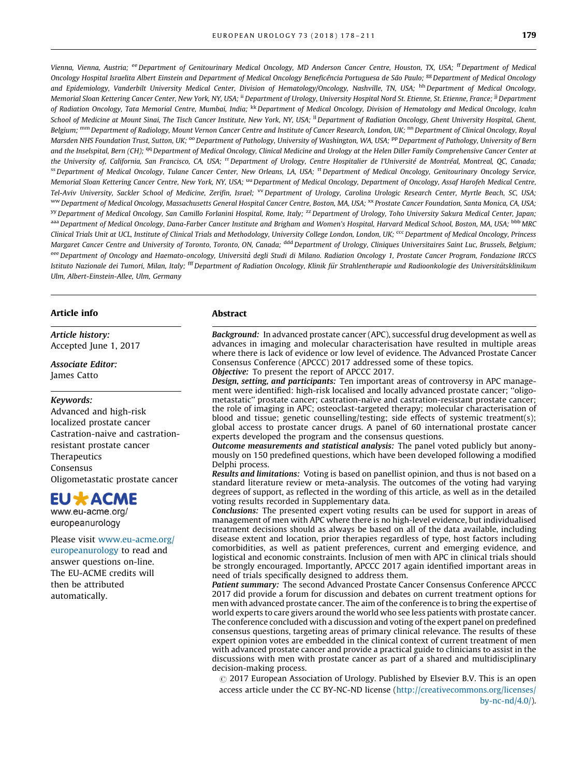Vienna, Vienna, Austria; <sup>ee</sup> Department of Genitourinary Medical Oncology, MD Anderson Cancer Centre, Houston, TX, USA; <sup>ff</sup> Department of Medical Oncology Hospital Israelita Albert Einstein and Department of Medical Oncology Beneficência Portuguesa de São Paulo; <sup>gg</sup> Department of Medical Oncology and Epidemiology, Vanderbilt University Medical Center, Division of Hematology/Oncology, Nashville, TN, USA; hh Department of Medical Oncology, Memorial Sloan Kettering Cancer Center, New York, NY, USA; <sup>ii</sup> Department of Urology, University Hospital Nord St. Etienne, St. Etienne, France; <sup>jj</sup> Department of Radiation Oncology, Tata Memorial Centre, Mumbai, India; kk Department of Medical Oncology, Division of Hematology and Medical Oncology, Icahn School of Medicine at Mount Sinai, The Tisch Cancer Institute, New York, NY, USA; <sup>11</sup> Department of Radiation Oncology, Ghent University Hospital, Ghent, Belgium; mm Department of Radiology, Mount Vernon Cancer Centre and Institute of Cancer Research, London, UK; nn Department of Clinical Oncology, Royal Marsden NHS Foundation Trust, Sutton, UK; <sup>oo</sup> Department of Pathology, University of Washington, WA, USA; <sup>pp</sup> Department of Pathology, University of Bern and the Inselspital, Bern (CH); <sup>qq</sup> Department of Medical Oncology, Clinical Medicine and Urology at the Helen Diller Family Comprehensive Cancer Center at the University of, California, San Francisco, CA, USA; <sup>rr</sup>Department of Urology, Centre Hospitalier de l'Université de Montréal, Montreal, QC, Canada; <sup>ss</sup> Department of Medical Oncology, Tulane Cancer Center, New Orleans, LA, USA; <sup>tt</sup> Department of Medical Oncology, Genitourinary Oncology Service, Memorial Sloan Kettering Cancer Centre, New York, NY, USA; uuDepartment of Medical Oncology, Department of Oncology, Assaf Harofeh Medical Centre, Tel-Aviv University, Sackler School of Medicine, Zerifin, Israel; <sup>vv</sup> Department of Urology, Carolina Urologic Research Center, Myrtle Beach, SC, USA; ww Department of Medical Oncology, Massachusetts General Hospital Cancer Centre, Boston, MA, USA; xx Prostate Cancer Foundation, Santa Monica, CA, USA; yy Department of Medical Oncology, San Camillo Forlanini Hospital, Rome, Italy; <sup>zz</sup> Department of Urology, Toho University Sakura Medical Center, Japan; <sup>aaa</sup> Department of Medical Oncology, Dana-Farber Cancer Institute and Brigham and Women's Hospital, Harvard Medical School, Boston, MA, USA; <sup>bbb</sup> MRC Clinical Trials Unit at UCL, Institute of Clinical Trials and Methodology, University College London, London, UK; <sup>ccc</sup> Department of Medical Oncology, Princess Margaret Cancer Centre and University of Toronto, Toronto, ON, Canada; <sup>ddd</sup> Department of Urology, Cliniques Universitaires Saint Luc, Brussels, Belgium; eee Department of Oncology and Haemato-oncology, Università degli Studi di Milano. Radiation Oncology 1, Prostate Cancer Program, Fondazione IRCCS Istituto Nazionale dei Tumori, Milan, Italy; <sup>fff</sup> Department of Radiation Oncology, Klinik für Strahlentherapie und Radioonkologie des Universitätsklinikum Ulm, Albert-Einstein-Allee, Ulm, Germany

## Article info

Article history: Accepted June 1, 2017

Associate Editor: James Catto

#### Keywords:

Advanced and high-risk localized prostate cancer Castration-naive and castrationresistant prostate cancer Therapeutics Consensus Oligometastatic prostate cancer

## **EU \* ACME**

www.eu-acme.org/ europeanurology

automatically.

Please visit www.eu-acme.org/ europeanurology to read and answer questions on-line. The EU-ACME credits will then be attributed

#### Abstract

Background: In advanced prostate cancer (APC), successful drug development as well as advances in imaging and molecular characterisation have resulted in multiple areas where there is lack of evidence or low level of evidence. The Advanced Prostate Cancer Consensus Conference (APCCC) 2017 addressed some of these topics.

Objective: To present the report of APCCC 2017.

Design, setting, and participants: Ten important areas of controversy in APC management were identified: high-risk localised and locally advanced prostate cancer; ''oligometastatic" prostate cancer; castration-naïve and castration-resistant prostate cancer; the role of imaging in APC; osteoclast-targeted therapy; molecular characterisation of blood and tissue; genetic counselling/testing; side effects of systemic treatment(s); global access to prostate cancer drugs. A panel of 60 international prostate cancer experts developed the program and the consensus questions.

Outcome measurements and statistical analysis: The panel voted publicly but anonymously on 150 predefined questions, which have been developed following a modified Delphi process.

Results and limitations: Voting is based on panellist opinion, and thus is not based on a standard literature review or meta-analysis. The outcomes of the voting had varying degrees of support, as reflected in the wording of this article, as well as in the detailed voting results recorded in Supplementary data.

Conclusions: The presented expert voting results can be used for support in areas of management of men with APC where there is no high-level evidence, but individualised treatment decisions should as always be based on all of the data available, including disease extent and location, prior therapies regardless of type, host factors including comorbidities, as well as patient preferences, current and emerging evidence, and logistical and economic constraints. Inclusion of men with APC in clinical trials should be strongly encouraged. Importantly, APCCC 2017 again identified important areas in need of trials specifically designed to address them.

Patient summary: The second Advanced Prostate Cancer Consensus Conference APCCC 2017 did provide a forum for discussion and debates on current treatment options for men with advanced prostate cancer. The aim of the conference is to bring the expertise of world experts to care givers around the world who see less patients with prostate cancer. The conference concluded with a discussion and voting of the expert panel on predefined consensus questions, targeting areas of primary clinical relevance. The results of these expert opinion votes are embedded in the clinical context of current treatment of men with advanced prostate cancer and provide a practical guide to clinicians to assist in the discussions with men with prostate cancer as part of a shared and multidisciplinary decision-making process.

 $\odot$  2017 European Association of Urology. Published by Elsevier B.V. This is an open access article under the CC BY-NC-ND license (http://creativecommons.org/licenses/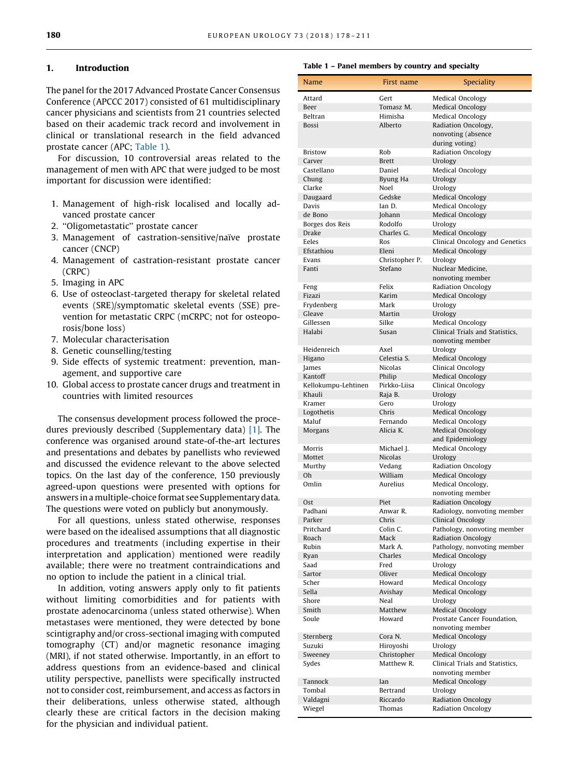## 1. Introduction

The panel for the 2017 Advanced Prostate Cancer Consensus Conference (APCCC 2017) consisted of 61 multidisciplinary cancer physicians and scientists from 21 countries selected based on their academic track record and involvement in clinical or translational research in the field advanced prostate cancer (APC; Table 1).

For discussion, 10 controversial areas related to the management of men with APC that were judged to be most important for discussion were identified:

- 1. Management of high-risk localised and locally advanced prostate cancer
- 2. ''Oligometastatic'' prostate cancer
- 3. Management of castration-sensitive/naïve prostate cancer (CNCP)
- 4. Management of castration-resistant prostate cancer (CRPC)
- 5. Imaging in APC
- 6. Use of osteoclast-targeted therapy for skeletal related events (SRE)/symptomatic skeletal events (SSE) prevention for metastatic CRPC (mCRPC; not for osteoporosis/bone loss)
- 7. Molecular characterisation
- 8. Genetic counselling/testing
- 9. Side effects of systemic treatment: prevention, management, and supportive care
- 10. Global access to prostate cancer drugs and treatment in countries with limited resources

The consensus development process followed the procedures previously described (Supplementary data) [1]. The conference was organised around state-of-the-art lectures and presentations and debates by panellists who reviewed and discussed the evidence relevant to the above selected topics. On the last day of the conference, 150 previously agreed-upon questions were presented with options for answers in amultiple-choice format see Supplementary data. The questions were voted on publicly but anonymously.

For all questions, unless stated otherwise, responses were based on the idealised assumptions that all diagnostic procedures and treatments (including expertise in their interpretation and application) mentioned were readily available; there were no treatment contraindications and no option to include the patient in a clinical trial.

In addition, voting answers apply only to fit patients without limiting comorbidities and for patients with prostate adenocarcinoma (unless stated otherwise). When metastases were mentioned, they were detected by bone scintigraphy and/or cross-sectional imaging with computed tomography (CT) and/or magnetic resonance imaging (MRI), if not stated otherwise. Importantly, in an effort to address questions from an evidence-based and clinical utility perspective, panellists were specifically instructed not to consider cost, reimbursement, and access as factors in their deliberations, unless otherwise stated, although clearly these are critical factors in the decision making for the physician and individual patient.

| Table 1 – Pallet members by country and specially |                     |                                                           |
|---------------------------------------------------|---------------------|-----------------------------------------------------------|
| Name                                              | <b>First name</b>   | Speciality                                                |
| Attard                                            | Gert                | <b>Medical Oncology</b>                                   |
| Beer                                              | Tomasz M.           | Medical Oncology                                          |
| Beltran                                           | Himisha             | Medical Oncology                                          |
| <b>Bossi</b>                                      | Alberto             | Radiation Oncology,                                       |
|                                                   |                     | nonvoting (absence                                        |
| <b>Bristow</b>                                    | Rob                 | during voting)<br>Radiation Oncology                      |
| Carver                                            | <b>Brett</b>        | Urology                                                   |
| Castellano                                        | Daniel              | <b>Medical Oncology</b>                                   |
| Chung                                             | Byung Ha            | Urology                                                   |
| Clarke                                            | Noel                | Urology                                                   |
| Daugaard                                          | Gedske              | <b>Medical Oncology</b>                                   |
| Davis                                             | Ian D.              | Medical Oncology                                          |
| de Bono                                           | Johann              | <b>Medical Oncology</b>                                   |
| Borges dos Reis                                   | Rodolfo             | Urology                                                   |
| <b>Drake</b>                                      | Charles G.          | <b>Medical Oncology</b>                                   |
| Eeles<br>Efstathiou                               | Ros<br>Eleni        | Clinical Oncology and Genetics<br><b>Medical Oncology</b> |
| Evans                                             | Christopher P.      | Urology                                                   |
| Fanti                                             | Stefano             | Nuclear Medicine,                                         |
|                                                   |                     | nonvoting member                                          |
| Feng                                              | Felix               | Radiation Oncology                                        |
| Fizazi                                            | Karim               | <b>Medical Oncology</b>                                   |
| Frydenberg                                        | Mark                | Urology                                                   |
| Gleave                                            | Martin              | Urology                                                   |
| Gillessen                                         | Silke               | Medical Oncology                                          |
| Halabi                                            | Susan               | Clinical Trials and Statistics,                           |
|                                                   |                     | nonvoting member                                          |
| Heidenreich                                       | Axel<br>Celestia S. | Urology                                                   |
| Higano<br>James                                   | <b>Nicolas</b>      | <b>Medical Oncology</b><br>Clinical Oncology              |
| Kantoff                                           | Philip              | Medical Oncology                                          |
| Kellokumpu-Lehtinen                               | Pirkko-Liisa        | Clinical Oncology                                         |
| Khauli                                            | Raja B.             | Urology                                                   |
| Kramer                                            | Gero                | Urology                                                   |
| Logothetis                                        | Chris               | <b>Medical Oncology</b>                                   |
| Maluf                                             | Fernando            | Medical Oncology                                          |
| Morgans                                           | Alicia K.           | Medical Oncology                                          |
| Morris                                            | Michael J.          | and Epidemiology<br>Medical Oncology                      |
| Mottet                                            | <b>Nicolas</b>      | Urology                                                   |
| Murthy                                            | Vedang              | Radiation Oncology                                        |
| Oh                                                | William             | <b>Medical Oncology</b>                                   |
| Omlin                                             | Aurelius            | Medical Oncology,                                         |
|                                                   |                     | nonvoting member                                          |
| Ost                                               | Piet                | <b>Radiation Oncology</b>                                 |
| Padhani                                           | Anwar R.            | Radiology, nonvoting member                               |
| Parker                                            | Chris               | Clinical Oncology                                         |
| Pritchard<br>Roach                                | Colin C.<br>Mack    | Pathology, nonvoting member<br><b>Radiation Oncology</b>  |
| Rubin                                             | Mark A.             | Pathology, nonvoting member                               |
| Ryan                                              | Charles             | <b>Medical Oncology</b>                                   |
| Saad                                              | Fred                | Urology                                                   |
| Sartor                                            | Oliver              | <b>Medical Oncology</b>                                   |
| Scher                                             | Howard              | <b>Medical Oncology</b>                                   |
| Sella                                             | Avishay             | <b>Medical Oncology</b>                                   |
| Shore                                             | Neal                | Urology                                                   |
| Smith                                             | Matthew             | <b>Medical Oncology</b>                                   |
| Soule                                             | Howard              | Prostate Cancer Foundation,<br>nonvoting member           |
| Sternberg                                         | Cora N.             | <b>Medical Oncology</b>                                   |
| Suzuki                                            | Hiroyoshi           | Urology                                                   |
| Sweeney                                           | Christopher         | <b>Medical Oncology</b>                                   |
| Sydes                                             | Matthew R.          | Clinical Trials and Statistics,                           |
|                                                   |                     | nonvoting member                                          |
| Tannock                                           | Ian                 | <b>Medical Oncology</b>                                   |
| Tombal                                            | Bertrand            | Urology                                                   |
| Valdagni                                          | Riccardo            | Radiation Oncology                                        |
| Wiegel                                            | Thomas              | Radiation Oncology                                        |

## Table 1 – Panel members by country and specialty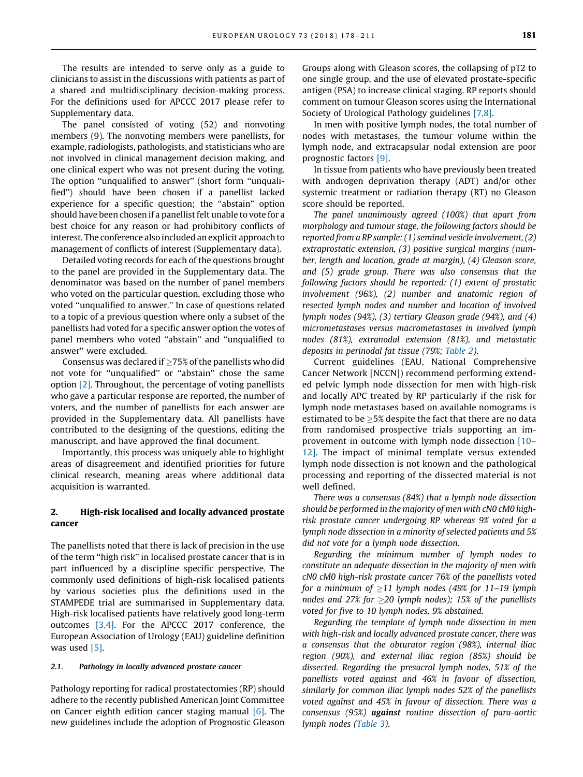The results are intended to serve only as a guide to clinicians to assist in the discussions with patients as part of a shared and multidisciplinary decision-making process. For the definitions used for APCCC 2017 please refer to Supplementary data.

The panel consisted of voting (52) and nonvoting members (9). The nonvoting members were panellists, for example, radiologists, pathologists, and statisticians who are not involved in clinical management decision making, and one clinical expert who was not present during the voting. The option ''unqualified to answer'' (short form ''unqualified'') should have been chosen if a panellist lacked experience for a specific question; the ''abstain'' option should have been chosen if a panellist felt unable to vote for a best choice for any reason or had prohibitory conflicts of interest. The conference also included an explicit approach to management of conflicts of interest (Supplementary data).

Detailed voting records for each of the questions brought to the panel are provided in the Supplementary data. The denominator was based on the number of panel members who voted on the particular question, excluding those who voted ''unqualified to answer.'' In case of questions related to a topic of a previous question where only a subset of the panellists had voted for a specific answer option the votes of panel members who voted ''abstain'' and ''unqualified to answer'' were excluded.

Consensus was declared if  $\geq$ 75% of the panellists who did not vote for ''unqualified'' or ''abstain'' chose the same option [2]. Throughout, the percentage of voting panellists who gave a particular response are reported, the number of voters, and the number of panellists for each answer are provided in the Supplementary data. All panellists have contributed to the designing of the questions, editing the manuscript, and have approved the final document.

Importantly, this process was uniquely able to highlight areas of disagreement and identified priorities for future clinical research, meaning areas where additional data acquisition is warranted.

## 2. High-risk localised and locally advanced prostate cancer

The panellists noted that there is lack of precision in the use of the term ''high risk'' in localised prostate cancer that is in part influenced by a discipline specific perspective. The commonly used definitions of high-risk localised patients by various societies plus the definitions used in the STAMPEDE trial are summarised in Supplementary data. High-risk localised patients have relatively good long-term outcomes [3,4]. For the APCCC 2017 conference, the European Association of Urology (EAU) guideline definition was used [5].

#### 2.1. Pathology in locally advanced prostate cancer

Pathology reporting for radical prostatectomies (RP) should adhere to the recently published American Joint Committee on Cancer eighth edition cancer staging manual [6]. The new guidelines include the adoption of Prognostic Gleason Groups along with Gleason scores, the collapsing of pT2 to one single group, and the use of elevated prostate-specific antigen (PSA) to increase clinical staging. RP reports should comment on tumour Gleason scores using the International Society of Urological Pathology guidelines [7,8].

In men with positive lymph nodes, the total number of nodes with metastases, the tumour volume within the lymph node, and extracapsular nodal extension are poor prognostic factors [9].

In tissue from patients who have previously been treated with androgen deprivation therapy (ADT) and/or other systemic treatment or radiation therapy (RT) no Gleason score should be reported.

The panel unanimously agreed (100%) that apart from morphology and tumour stage, the following factors should be reported from a RP sample: (1) seminal vesicle involvement, (2) extraprostatic extension, (3) positive surgical margins (number, length and location, grade at margin), (4) Gleason score, and (5) grade group. There was also consensus that the following factors should be reported: (1) extent of prostatic involvement (96%), (2) number and anatomic region of resected lymph nodes and number and location of involved lymph nodes (94%), (3) tertiary Gleason grade (94%), and (4) micrometastases versus macrometastases in involved lymph nodes (81%), extranodal extension (81%), and metastatic deposits in perinodal fat tissue (79%; Table 2).

Current guidelines (EAU, National Comprehensive Cancer Network [NCCN]) recommend performing extended pelvic lymph node dissection for men with high-risk and locally APC treated by RP particularly if the risk for lymph node metastases based on available nomograms is estimated to be  $\geq$ 5% despite the fact that there are no data from randomised prospective trials supporting an improvement in outcome with lymph node dissection [10– 12]. The impact of minimal template versus extended lymph node dissection is not known and the pathological processing and reporting of the dissected material is not well defined.

There was a consensus (84%) that a lymph node dissection should be performed in the majority of men with cN0 cM0 highrisk prostate cancer undergoing RP whereas 9% voted for a lymph node dissection in a minority of selected patients and 5% did not vote for a lymph node dissection.

Regarding the minimum number of lymph nodes to constitute an adequate dissection in the majority of men with cN0 cM0 high-risk prostate cancer 76% of the panellists voted for a minimum of  $\geq$ 11 lymph nodes (49% for 11–19 lymph nodes and 27% for  $\geq$ 20 lymph nodes); 15% of the panellists voted for five to 10 lymph nodes, 9% abstained.

Regarding the template of lymph node dissection in men with high-risk and locally advanced prostate cancer, there was a consensus that the obturator region (98%), internal iliac region (90%), and external iliac region (85%) should be dissected. Regarding the presacral lymph nodes, 51% of the panellists voted against and 46% in favour of dissection, similarly for common iliac lymph nodes 52% of the panellists voted against and 45% in favour of dissection. There was a consensus (95%) against routine dissection of para-aortic lymph nodes (Table 3).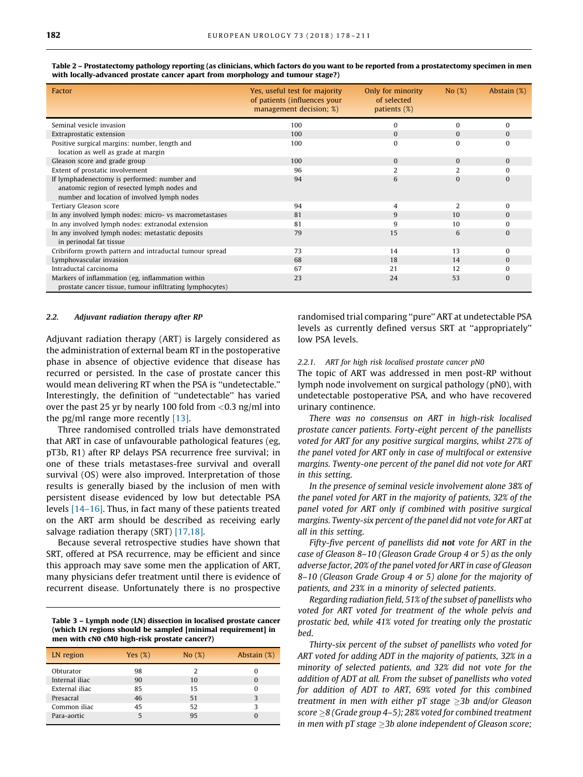| Factor                                                                                                                                    | Yes, useful test for majority<br>of patients (influences your<br>management decision; %) | Only for minority<br>of selected<br>patients (%) | No(%)    | Abstain (%) |
|-------------------------------------------------------------------------------------------------------------------------------------------|------------------------------------------------------------------------------------------|--------------------------------------------------|----------|-------------|
| Seminal vesicle invasion                                                                                                                  | 100                                                                                      | $\Omega$                                         | $\Omega$ | n           |
| Extraprostatic extension                                                                                                                  | 100                                                                                      | $\Omega$                                         | $\Omega$ | $\Omega$    |
| Positive surgical margins: number, length and<br>location as well as grade at margin                                                      | 100                                                                                      | 0                                                | $\Omega$ | o           |
| Gleason score and grade group                                                                                                             | 100                                                                                      | $\Omega$                                         | $\Omega$ | $\Omega$    |
| Extent of prostatic involvement                                                                                                           | 96                                                                                       |                                                  |          |             |
| If lymphadenectomy is performed: number and<br>anatomic region of resected lymph nodes and<br>number and location of involved lymph nodes | 94                                                                                       | 6                                                | $\Omega$ | 0           |
| Tertiary Gleason score                                                                                                                    | 94                                                                                       | 4                                                |          | o           |
| In any involved lymph nodes: micro- vs macrometastases                                                                                    | 81                                                                                       | 9                                                | 10       | 0           |
| In any involved lymph nodes: extranodal extension                                                                                         | 81                                                                                       | 9                                                | 10       |             |
| In any involved lymph nodes: metastatic deposits<br>in perinodal fat tissue                                                               | 79                                                                                       | 15                                               | 6        | O           |
| Cribriform growth pattern and intraductal tumour spread                                                                                   | 73                                                                                       | 14                                               | 13       | U           |
| Lymphovascular invasion                                                                                                                   | 68                                                                                       | 18                                               | 14       | $\Omega$    |
| Intraductal carcinoma                                                                                                                     | 67                                                                                       | 21                                               | 12       |             |
| Markers of inflammation (eg, inflammation within<br>prostate cancer tissue, tumour infiltrating lymphocytes)                              | 23                                                                                       | 24                                               | 53       | O           |

Table 2 – Prostatectomy pathology reporting (as clinicians, which factors do you want to be reported from a prostatectomy specimen in men with locally-advanced prostate cancer apart from morphology and tumour stage?)

#### 2.2. Adjuvant radiation therapy after RP

Adjuvant radiation therapy (ART) is largely considered as the administration of external beam RT in the postoperative phase in absence of objective evidence that disease has recurred or persisted. In the case of prostate cancer this would mean delivering RT when the PSA is ''undetectable.'' Interestingly, the definition of ''undetectable'' has varied over the past 25 yr by nearly 100 fold from <0.3 ng/ml into the pg/ml range more recently  $[13]$ .

Three randomised controlled trials have demonstrated that ART in case of unfavourable pathological features (eg, pT3b, R1) after RP delays PSA recurrence free survival; in one of these trials metastases-free survival and overall survival (OS) were also improved. Interpretation of those results is generally biased by the inclusion of men with persistent disease evidenced by low but detectable PSA levels [14–16]. Thus, in fact many of these patients treated on the ART arm should be described as receiving early salvage radiation therapy (SRT) [17,18].

Because several retrospective studies have shown that SRT, offered at PSA recurrence, may be efficient and since this approach may save some men the application of ART, many physicians defer treatment until there is evidence of recurrent disease. Unfortunately there is no prospective

Table 3 – Lymph node (LN) dissection in localised prostate cancer (which LN regions should be sampled [minimal requirement] in men with cN0 cM0 high-risk prostate cancer?)

| LN region      | Yes $(\%)$ | No(%) | Abstain (%) |
|----------------|------------|-------|-------------|
| Obturator      | 98         |       |             |
| Internal iliac | 90         | 10    | 0           |
| External iliac | 85         | 15    | O           |
| Presacral      | 46         | 51    | 3           |
| Common iliac   | 45         | 52    |             |
| Para-aortic    | 5          | 95    | 0           |

randomised trial comparing ''pure'' ART at undetectable PSA levels as currently defined versus SRT at ''appropriately'' low PSA levels.

#### 2.2.1. ART for high risk localised prostate cancer pN0

The topic of ART was addressed in men post-RP without lymph node involvement on surgical pathology (pN0), with undetectable postoperative PSA, and who have recovered urinary continence.

There was no consensus on ART in high-risk localised prostate cancer patients. Forty-eight percent of the panellists voted for ART for any positive surgical margins, whilst 27% of the panel voted for ART only in case of multifocal or extensive margins. Twenty-one percent of the panel did not vote for ART in this setting.

In the presence of seminal vesicle involvement alone 38% of the panel voted for ART in the majority of patients, 32% of the panel voted for ART only if combined with positive surgical margins. Twenty-six percent of the panel did not vote for ART at all in this setting.

Fifty-five percent of panellists did not vote for ART in the case of Gleason 8–10 (Gleason Grade Group 4 or 5) as the only adverse factor, 20% of the panel voted for ART in case of Gleason 8–10 (Gleason Grade Group 4 or 5) alone for the majority of patients, and 23% in a minority of selected patients.

Regarding radiation field, 51% of the subset of panellists who voted for ART voted for treatment of the whole pelvis and prostatic bed, while 41% voted for treating only the prostatic bed.

Thirty-six percent of the subset of panellists who voted for ART voted for adding ADT in the majority of patients, 32% in a minority of selected patients, and 32% did not vote for the addition of ADT at all. From the subset of panellists who voted for addition of ADT to ART, 69% voted for this combined treatment in men with either  $pT$  stage  $\geq$ 3b and/or Gleason score  $\geq$ 8 (Grade group 4–5); 28% voted for combined treatment in men with pT stage  $\geq$ 3b alone independent of Gleason score;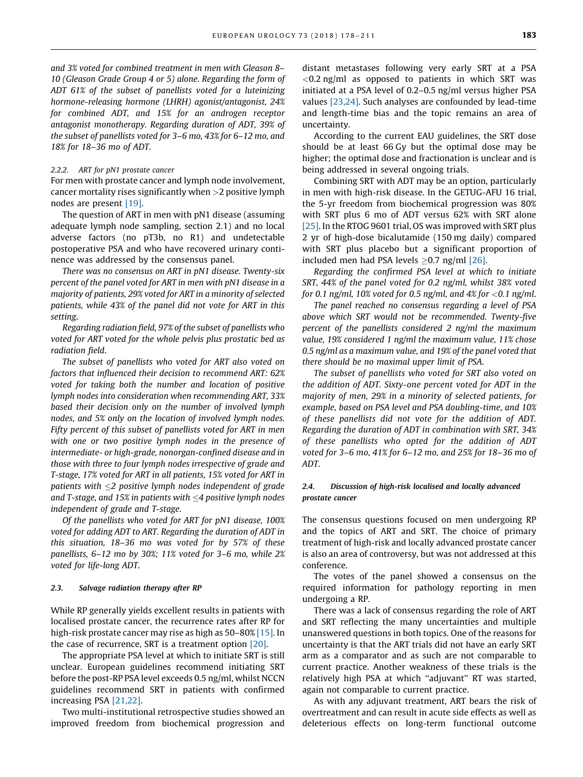and 3% voted for combined treatment in men with Gleason 8– 10 (Gleason Grade Group 4 or 5) alone. Regarding the form of ADT 61% of the subset of panellists voted for a luteinizing hormone-releasing hormone (LHRH) agonist/antagonist, 24% for combined ADT, and 15% for an androgen receptor antagonist monotherapy. Regarding duration of ADT, 39% of the subset of panellists voted for 3–6 mo, 43% for 6–12 mo, and 18% for 18–36 mo of ADT.

#### 2.2.2. ART for pN1 prostate cancer

For men with prostate cancer and lymph node involvement, cancer mortality rises significantly when >2 positive lymph nodes are present [19].

The question of ART in men with pN1 disease (assuming adequate lymph node sampling, section 2.1) and no local adverse factors (no pT3b, no R1) and undetectable postoperative PSA and who have recovered urinary continence was addressed by the consensus panel.

There was no consensus on ART in pN1 disease. Twenty-six percent of the panel voted for ART in men with pN1 disease in a majority of patients, 29% voted for ART in a minority of selected patients, while 43% of the panel did not vote for ART in this setting.

Regarding radiation field, 97% of the subset of panellists who voted for ART voted for the whole pelvis plus prostatic bed as radiation field.

The subset of panellists who voted for ART also voted on factors that influenced their decision to recommend ART: 62% voted for taking both the number and location of positive lymph nodes into consideration when recommending ART, 33% based their decision only on the number of involved lymph nodes, and 5% only on the location of involved lymph nodes. Fifty percent of this subset of panellists voted for ART in men with one or two positive lymph nodes in the presence of intermediate- or high-grade, nonorgan-confined disease and in those with three to four lymph nodes irrespective of grade and T-stage, 17% voted for ART in all patients, 15% voted for ART in patients with  $\leq$ 2 positive lymph nodes independent of grade and T-stage, and 15% in patients with  $\leq$ 4 positive lymph nodes independent of grade and T-stage.

Of the panellists who voted for ART for pN1 disease, 100% voted for adding ADT to ART. Regarding the duration of ADT in this situation, 18–36 mo was voted for by 57% of these panellists, 6–12 mo by 30%; 11% voted for 3–6 mo, while 2% voted for life-long ADT.

#### 2.3. Salvage radiation therapy after RP

While RP generally yields excellent results in patients with localised prostate cancer, the recurrence rates after RP for high-risk prostate cancer may rise as high as 50–80% [15]. In the case of recurrence, SRT is a treatment option [20].

The appropriate PSA level at which to initiate SRT is still unclear. European guidelines recommend initiating SRT before the post-RP PSA level exceeds 0.5 ng/ml, whilst NCCN guidelines recommend SRT in patients with confirmed increasing PSA [21,22].

Two multi-institutional retrospective studies showed an improved freedom from biochemical progression and distant metastases following very early SRT at a PSA  $\langle 0.2 \text{ ng/ml}$  as opposed to patients in which SRT was initiated at a PSA level of 0.2–0.5 ng/ml versus higher PSA values [23,24]. Such analyses are confounded by lead-time and length-time bias and the topic remains an area of uncertainty.

According to the current EAU guidelines, the SRT dose should be at least 66 Gy but the optimal dose may be higher; the optimal dose and fractionation is unclear and is being addressed in several ongoing trials.

Combining SRT with ADT may be an option, particularly in men with high-risk disease. In the GETUG-AFU 16 trial, the 5-yr freedom from biochemical progression was 80% with SRT plus 6 mo of ADT versus 62% with SRT alone [25]. In the RTOG 9601 trial, OS was improved with SRT plus 2 yr of high-dose bicalutamide (150 mg daily) compared with SRT plus placebo but a significant proportion of included men had PSA levels  $\geq$ 0.7 ng/ml [26].

Regarding the confirmed PSA level at which to initiate SRT, 44% of the panel voted for 0.2 ng/ml, whilst 38% voted for 0.1 ng/ml, 10% voted for 0.5 ng/ml, and  $4%$  for <0.1 ng/ml.

The panel reached no consensus regarding a level of PSA above which SRT would not be recommended. Twenty-five percent of the panellists considered 2 ng/ml the maximum value, 19% considered 1 ng/ml the maximum value, 11% chose 0.5 ng/ml as a maximum value, and 19% of the panel voted that there should be no maximal upper limit of PSA.

The subset of panellists who voted for SRT also voted on the addition of ADT. Sixty-one percent voted for ADT in the majority of men, 29% in a minority of selected patients, for example, based on PSA level and PSA doubling-time, and 10% of these panellists did not vote for the addition of ADT. Regarding the duration of ADT in combination with SRT, 34% of these panellists who opted for the addition of ADT voted for 3–6 mo, 41% for 6–12 mo, and 25% for 18–36 mo of ADT.

## 2.4. Discussion of high-risk localised and locally advanced prostate cancer

The consensus questions focused on men undergoing RP and the topics of ART and SRT. The choice of primary treatment of high-risk and locally advanced prostate cancer is also an area of controversy, but was not addressed at this conference.

The votes of the panel showed a consensus on the required information for pathology reporting in men undergoing a RP.

There was a lack of consensus regarding the role of ART and SRT reflecting the many uncertainties and multiple unanswered questions in both topics. One of the reasons for uncertainty is that the ART trials did not have an early SRT arm as a comparator and as such are not comparable to current practice. Another weakness of these trials is the relatively high PSA at which ''adjuvant'' RT was started, again not comparable to current practice.

As with any adjuvant treatment, ART bears the risk of overtreatment and can result in acute side effects as well as deleterious effects on long-term functional outcome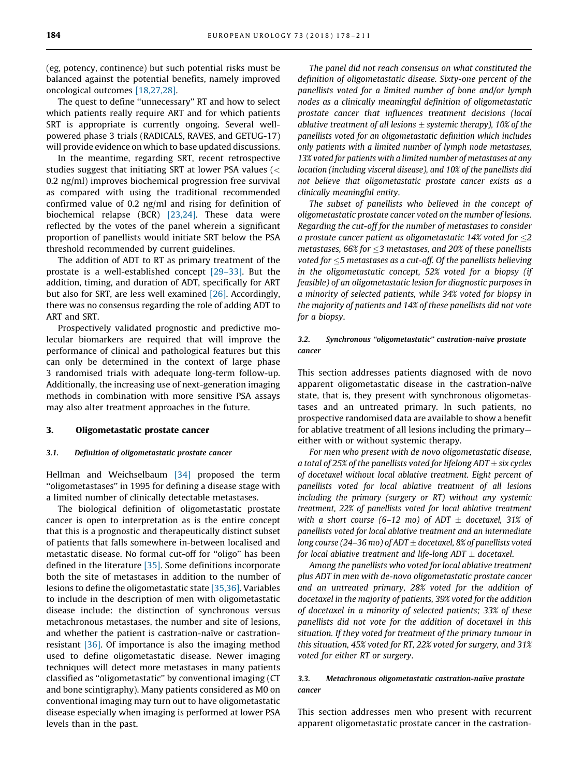(eg, potency, continence) but such potential risks must be balanced against the potential benefits, namely improved oncological outcomes [18,27,28].

The quest to define ''unnecessary'' RT and how to select which patients really require ART and for which patients SRT is appropriate is currently ongoing. Several wellpowered phase 3 trials (RADICALS, RAVES, and GETUG-17) will provide evidence on which to base updated discussions.

In the meantime, regarding SRT, recent retrospective studies suggest that initiating SRT at lower PSA values (< 0.2 ng/ml) improves biochemical progression free survival as compared with using the traditional recommended confirmed value of 0.2 ng/ml and rising for definition of biochemical relapse (BCR) [23,24]. These data were reflected by the votes of the panel wherein a significant proportion of panellists would initiate SRT below the PSA threshold recommended by current guidelines.

The addition of ADT to RT as primary treatment of the prostate is a well-established concept [29–33]. But the addition, timing, and duration of ADT, specifically for ART but also for SRT, are less well examined [26]. Accordingly, there was no consensus regarding the role of adding ADT to ART and SRT.

Prospectively validated prognostic and predictive molecular biomarkers are required that will improve the performance of clinical and pathological features but this can only be determined in the context of large phase 3 randomised trials with adequate long-term follow-up. Additionally, the increasing use of next-generation imaging methods in combination with more sensitive PSA assays may also alter treatment approaches in the future.

#### 3. Oligometastatic prostate cancer

#### 3.1. Definition of oligometastatic prostate cancer

Hellman and Weichselbaum [34] proposed the term ''oligometastases'' in 1995 for defining a disease stage with a limited number of clinically detectable metastases.

The biological definition of oligometastatic prostate cancer is open to interpretation as is the entire concept that this is a prognostic and therapeutically distinct subset of patients that falls somewhere in-between localised and metastatic disease. No formal cut-off for ''oligo'' has been defined in the literature [35]. Some definitions incorporate both the site of metastases in addition to the number of lesions to define the oligometastatic state [35,36]. Variables to include in the description of men with oligometastatic disease include: the distinction of synchronous versus metachronous metastases, the number and site of lesions, and whether the patient is castration-naïve or castrationresistant [36]. Of importance is also the imaging method used to define oligometastatic disease. Newer imaging techniques will detect more metastases in many patients classified as ''oligometastatic'' by conventional imaging (CT and bone scintigraphy). Many patients considered as M0 on conventional imaging may turn out to have oligometastatic disease especially when imaging is performed at lower PSA levels than in the past.

The panel did not reach consensus on what constituted the definition of oligometastatic disease. Sixty-one percent of the panellists voted for a limited number of bone and/or lymph nodes as a clinically meaningful definition of oligometastatic prostate cancer that influences treatment decisions (local ablative treatment of all lesions  $\pm$  systemic therapy), 10% of the panellists voted for an oligometastatic definition which includes only patients with a limited number of lymph node metastases, 13% voted for patients with a limited number of metastases at any location (including visceral disease), and 10% of the panellists did not believe that oligometastatic prostate cancer exists as a clinically meaningful entity.

The subset of panellists who believed in the concept of oligometastatic prostate cancer voted on the number of lesions. Regarding the cut-off for the number of metastases to consider a prostate cancer patient as oligometastatic 14% voted for  $\leq$ 2 metastases,  $66\%$  for  $\leq$ 3 metastases, and 20% of these panellists voted for  $\leq$ 5 metastases as a cut-off. Of the panellists believing in the oligometastatic concept, 52% voted for a biopsy (if feasible) of an oligometastatic lesion for diagnostic purposes in a minority of selected patients, while 34% voted for biopsy in the majority of patients and 14% of these panellists did not vote for a biopsy.

## 3.2. Synchronous ''oligometastatic'' castration-naive prostate cancer

This section addresses patients diagnosed with de novo apparent oligometastatic disease in the castration-naïve state, that is, they present with synchronous oligometastases and an untreated primary. In such patients, no prospective randomised data are available to show a benefit for ablative treatment of all lesions including the primary either with or without systemic therapy.

For men who present with de novo oligometastatic disease, a total of 25% of the panellists voted for lifelong ADT  $\pm$  six cycles of docetaxel without local ablative treatment. Eight percent of panellists voted for local ablative treatment of all lesions including the primary (surgery or RT) without any systemic treatment, 22% of panellists voted for local ablative treatment with a short course (6-12 mo) of ADT  $\pm$  docetaxel, 31% of panellists voted for local ablative treatment and an intermediate long course (24–36 mo) of ADT  $\pm$  docetaxel, 8% of panellists voted for local ablative treatment and life-long  $ADT \pm docetaxel$ .

Among the panellists who voted for local ablative treatment plus ADT in men with de-novo oligometastatic prostate cancer and an untreated primary, 28% voted for the addition of docetaxel in the majority of patients, 39% voted for the addition of docetaxel in a minority of selected patients; 33% of these panellists did not vote for the addition of docetaxel in this situation. If they voted for treatment of the primary tumour in this situation, 45% voted for RT, 22% voted for surgery, and 31% voted for either RT or surgery.

## 3.3. Metachronous oligometastatic castration-naive prostate cancer

This section addresses men who present with recurrent apparent oligometastatic prostate cancer in the castration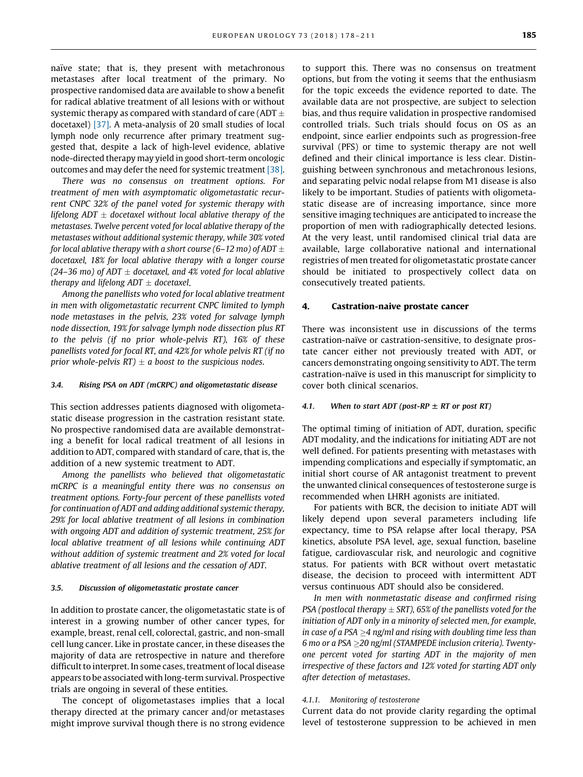naïve state; that is, they present with metachronous metastases after local treatment of the primary. No prospective randomised data are available to show a benefit for radical ablative treatment of all lesions with or without systemic therapy as compared with standard of care (ADT  $\pm$ docetaxel) [37]. A meta-analysis of 20 small studies of local lymph node only recurrence after primary treatment suggested that, despite a lack of high-level evidence, ablative node-directed therapy may yield in good short-term oncologic outcomes and may defer the need for systemic treatment [38].

There was no consensus on treatment options. For treatment of men with asymptomatic oligometastatic recurrent CNPC 32% of the panel voted for systemic therapy with lifelong  $ADT \pm$  docetaxel without local ablative therapy of the metastases. Twelve percent voted for local ablative therapy of the metastases without additional systemic therapy, while 30% voted for local ablative therapy with a short course (6–12 mo) of ADT  $\pm$ docetaxel, 18% for local ablative therapy with a longer course (24–36 mo) of ADT  $\pm$  docetaxel, and 4% voted for local ablative therapy and lifelong  $ADT \pm docetaxel$ .

Among the panellists who voted for local ablative treatment in men with oligometastatic recurrent CNPC limited to lymph node metastases in the pelvis, 23% voted for salvage lymph node dissection, 19% for salvage lymph node dissection plus RT to the pelvis (if no prior whole-pelvis RT), 16% of these panellists voted for focal RT, and 42% for whole pelvis RT (if no prior whole-pelvis RT)  $\pm$  a boost to the suspicious nodes.

#### 3.4. Rising PSA on ADT (mCRPC) and oligometastatic disease

This section addresses patients diagnosed with oligometastatic disease progression in the castration resistant state. No prospective randomised data are available demonstrating a benefit for local radical treatment of all lesions in addition to ADT, compared with standard of care, that is, the addition of a new systemic treatment to ADT.

Among the panellists who believed that oligometastatic mCRPC is a meaningful entity there was no consensus on treatment options. Forty-four percent of these panellists voted for continuation of ADT and adding additional systemic therapy, 29% for local ablative treatment of all lesions in combination with ongoing ADT and addition of systemic treatment, 25% for local ablative treatment of all lesions while continuing ADT without addition of systemic treatment and 2% voted for local ablative treatment of all lesions and the cessation of ADT.

#### 3.5. Discussion of oligometastatic prostate cancer

In addition to prostate cancer, the oligometastatic state is of interest in a growing number of other cancer types, for example, breast, renal cell, colorectal, gastric, and non-small cell lung cancer. Like in prostate cancer, in these diseases the majority of data are retrospective in nature and therefore difficult to interpret. In some cases, treatment of local disease appears to be associated with long-term survival. Prospective trials are ongoing in several of these entities.

The concept of oligometastases implies that a local therapy directed at the primary cancer and/or metastases might improve survival though there is no strong evidence to support this. There was no consensus on treatment options, but from the voting it seems that the enthusiasm for the topic exceeds the evidence reported to date. The available data are not prospective, are subject to selection bias, and thus require validation in prospective randomised controlled trials. Such trials should focus on OS as an endpoint, since earlier endpoints such as progression-free survival (PFS) or time to systemic therapy are not well defined and their clinical importance is less clear. Distinguishing between synchronous and metachronous lesions, and separating pelvic nodal relapse from M1 disease is also likely to be important. Studies of patients with oligometastatic disease are of increasing importance, since more sensitive imaging techniques are anticipated to increase the proportion of men with radiographically detected lesions. At the very least, until randomised clinical trial data are available, large collaborative national and international registries of men treated for oligometastatic prostate cancer should be initiated to prospectively collect data on consecutively treated patients.

#### 4. Castration-naive prostate cancer

There was inconsistent use in discussions of the terms castration-naïve or castration-sensitive, to designate prostate cancer either not previously treated with ADT, or cancers demonstrating ongoing sensitivity to ADT. The term castration-naïve is used in this manuscript for simplicity to cover both clinical scenarios.

#### 4.1. When to start ADT (post-RP  $\pm$  RT or post RT)

The optimal timing of initiation of ADT, duration, specific ADT modality, and the indications for initiating ADT are not well defined. For patients presenting with metastases with impending complications and especially if symptomatic, an initial short course of AR antagonist treatment to prevent the unwanted clinical consequences of testosterone surge is recommended when LHRH agonists are initiated.

For patients with BCR, the decision to initiate ADT will likely depend upon several parameters including life expectancy, time to PSA relapse after local therapy, PSA kinetics, absolute PSA level, age, sexual function, baseline fatigue, cardiovascular risk, and neurologic and cognitive status. For patients with BCR without overt metastatic disease, the decision to proceed with intermittent ADT versus continuous ADT should also be considered.

In men with nonmetastatic disease and confirmed rising PSA (postlocal therapy  $\pm$  SRT), 65% of the panellists voted for the initiation of ADT only in a minority of selected men, for example, in case of a PSA  $\geq$ 4 ng/ml and rising with doubling time less than 6 mo or a PSA  $\geq$ 20 ng/ml (STAMPEDE inclusion criteria). Twentyone percent voted for starting ADT in the majority of men irrespective of these factors and 12% voted for starting ADT only after detection of metastases.

#### 4.1.1. Monitoring of testosterone

Current data do not provide clarity regarding the optimal level of testosterone suppression to be achieved in men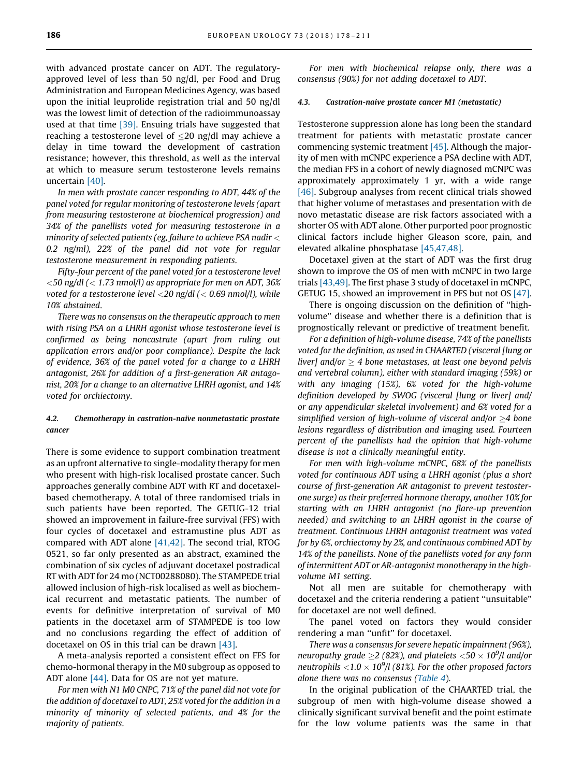with advanced prostate cancer on ADT. The regulatoryapproved level of less than 50 ng/dl, per Food and Drug Administration and European Medicines Agency, was based upon the initial leuprolide registration trial and 50 ng/dl was the lowest limit of detection of the radioimmunoassay used at that time [39]. Ensuing trials have suggested that reaching a testosterone level of  $\leq$ 20 ng/dl may achieve a delay in time toward the development of castration resistance; however, this threshold, as well as the interval at which to measure serum testosterone levels remains uncertain [40].

In men with prostate cancer responding to ADT, 44% of the panel voted for regular monitoring of testosterone levels (apart from measuring testosterone at biochemical progression) and 34% of the panellists voted for measuring testosterone in a minority of selected patients (eg, failure to achieve PSA nadir  $<$ 0.2 ng/ml), 22% of the panel did not vote for regular testosterone measurement in responding patients.

Fifty-four percent of the panel voted for a testosterone level  $<$  50 ng/dl ( $<$  1.73 nmol/l) as appropriate for men on ADT, 36% voted for a testosterone level  $<$ 20 ng/dl ( $<$  0.69 nmol/l), while 10% abstained.

There was no consensus on the therapeutic approach to men with rising PSA on a LHRH agonist whose testosterone level is confirmed as being noncastrate (apart from ruling out application errors and/or poor compliance). Despite the lack of evidence, 36% of the panel voted for a change to a LHRH antagonist, 26% for addition of a first-generation AR antagonist, 20% for a change to an alternative LHRH agonist, and 14% voted for orchiectomy.

## 4.2. Chemotherapy in castration-naive nonmetastatic prostate cancer

There is some evidence to support combination treatment as an upfront alternative to single-modality therapy for men who present with high-risk localised prostate cancer. Such approaches generally combine ADT with RT and docetaxelbased chemotherapy. A total of three randomised trials in such patients have been reported. The GETUG-12 trial showed an improvement in failure-free survival (FFS) with four cycles of docetaxel and estramustine plus ADT as compared with ADT alone  $[41, 42]$ . The second trial, RTOG 0521, so far only presented as an abstract, examined the combination of six cycles of adjuvant docetaxel postradical RT with ADT for 24 mo (NCT00288080). The STAMPEDE trial allowed inclusion of high-risk localised as well as biochemical recurrent and metastatic patients. The number of events for definitive interpretation of survival of M0 patients in the docetaxel arm of STAMPEDE is too low and no conclusions regarding the effect of addition of docetaxel on OS in this trial can be drawn [43].

A meta-analysis reported a consistent effect on FFS for chemo-hormonal therapy in the M0 subgroup as opposed to ADT alone [44]. Data for OS are not yet mature.

For men with N1 M0 CNPC, 71% of the panel did not vote for the addition of docetaxel to ADT, 25% voted for the addition in a minority of minority of selected patients, and 4% for the majority of patients.

For men with biochemical relapse only, there was a consensus (90%) for not adding docetaxel to ADT.

#### 4.3. Castration-naive prostate cancer M1 (metastatic)

Testosterone suppression alone has long been the standard treatment for patients with metastatic prostate cancer commencing systemic treatment [45]. Although the majority of men with mCNPC experience a PSA decline with ADT, the median FFS in a cohort of newly diagnosed mCNPC was approximately approximately 1 yr, with a wide range [46]. Subgroup analyses from recent clinical trials showed that higher volume of metastases and presentation with de novo metastatic disease are risk factors associated with a shorter OS with ADT alone. Other purported poor prognostic clinical factors include higher Gleason score, pain, and elevated alkaline phosphatase [45,47,48].

Docetaxel given at the start of ADT was the first drug shown to improve the OS of men with mCNPC in two large trials [43,49]. The first phase 3 study of docetaxel in mCNPC, GETUG 15, showed an improvement in PFS but not OS [47].

There is ongoing discussion on the definition of ''highvolume'' disease and whether there is a definition that is prognostically relevant or predictive of treatment benefit.

For a definition of high-volume disease, 74% of the panellists voted for the definition, as used in CHAARTED (visceral [lung or liver] and/or  $\geq 4$  bone metastases, at least one beyond pelvis and vertebral column), either with standard imaging (59%) or with any imaging (15%), 6% voted for the high-volume definition developed by SWOG (visceral [lung or liver] and/ or any appendicular skeletal involvement) and 6% voted for a simplified version of high-volume of visceral and/or  $\geq$ 4 bone lesions regardless of distribution and imaging used. Fourteen percent of the panellists had the opinion that high-volume disease is not a clinically meaningful entity.

For men with high-volume mCNPC, 68% of the panellists voted for continuous ADT using a LHRH agonist (plus a short course of first-generation AR antagonist to prevent testosterone surge) as their preferred hormone therapy, another 10% for starting with an LHRH antagonist (no flare-up prevention needed) and switching to an LHRH agonist in the course of treatment. Continuous LHRH antagonist treatment was voted for by 6%, orchiectomy by 2%, and continuous combined ADT by 14% of the panellists. None of the panellists voted for any form of intermittent ADT or AR-antagonist monotherapy in the highvolume M1 setting.

Not all men are suitable for chemotherapy with docetaxel and the criteria rendering a patient ''unsuitable'' for docetaxel are not well defined.

The panel voted on factors they would consider rendering a man ''unfit'' for docetaxel.

There was a consensus for severe hepatic impairment (96%), neuropathy grade  $\geq$  (82%), and platelets  $<$  50  $\times$  10<sup>9</sup>/l and/or neutrophils  $<$  1.0  $\times$  10<sup>9</sup>/l (81%). For the other proposed factors alone there was no consensus (Table 4).

In the original publication of the CHAARTED trial, the subgroup of men with high-volume disease showed a clinically significant survival benefit and the point estimate for the low volume patients was the same in that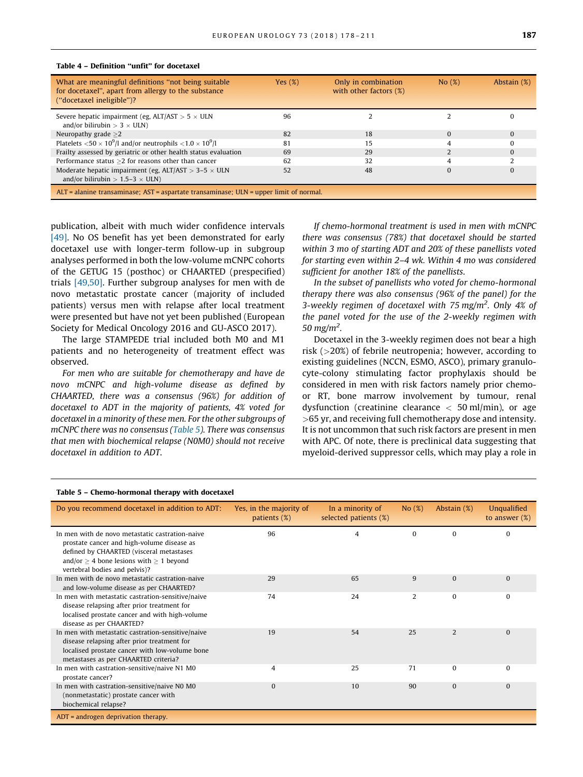| What are meaningful definitions "not being suitable<br>Only in combination<br>Yes $(\%)$<br>No(%)<br>Abstain (%)<br>for docetaxel", apart from allergy to the substance<br>with other factors $(\%)$<br>("docetaxel ineligible")?<br>Severe hepatic impairment (eg, $ALT/AST > 5 \times ULN$<br>96<br>and/or bilirubin $>$ 3 $\times$ ULN)<br>Neuropathy grade $>2$<br>82<br>18<br>$\Omega$<br>Platelets $\langle 50 \times 10^9/1 \rangle$ and/or neutrophils $\langle 1.0 \times 10^9/1 \rangle$<br>15<br>81<br>Frailty assessed by geriatric or other health status evaluation<br>29<br>69<br>Performance status $>2$ for reasons other than cancer<br>62<br>32<br>Moderate hepatic impairment (eg, $ALT/AST > 3-5 \times ULN$<br>52<br>48<br>and/or bilirubin $> 1.5-3 \times ULN$ )<br>$ALT =$ alanine transaminase; $AST =$ aspartate transaminase; $ULN =$ upper limit of normal. |  |  |  |
|------------------------------------------------------------------------------------------------------------------------------------------------------------------------------------------------------------------------------------------------------------------------------------------------------------------------------------------------------------------------------------------------------------------------------------------------------------------------------------------------------------------------------------------------------------------------------------------------------------------------------------------------------------------------------------------------------------------------------------------------------------------------------------------------------------------------------------------------------------------------------------------|--|--|--|
|                                                                                                                                                                                                                                                                                                                                                                                                                                                                                                                                                                                                                                                                                                                                                                                                                                                                                          |  |  |  |
|                                                                                                                                                                                                                                                                                                                                                                                                                                                                                                                                                                                                                                                                                                                                                                                                                                                                                          |  |  |  |
|                                                                                                                                                                                                                                                                                                                                                                                                                                                                                                                                                                                                                                                                                                                                                                                                                                                                                          |  |  |  |
|                                                                                                                                                                                                                                                                                                                                                                                                                                                                                                                                                                                                                                                                                                                                                                                                                                                                                          |  |  |  |
|                                                                                                                                                                                                                                                                                                                                                                                                                                                                                                                                                                                                                                                                                                                                                                                                                                                                                          |  |  |  |
|                                                                                                                                                                                                                                                                                                                                                                                                                                                                                                                                                                                                                                                                                                                                                                                                                                                                                          |  |  |  |
|                                                                                                                                                                                                                                                                                                                                                                                                                                                                                                                                                                                                                                                                                                                                                                                                                                                                                          |  |  |  |
|                                                                                                                                                                                                                                                                                                                                                                                                                                                                                                                                                                                                                                                                                                                                                                                                                                                                                          |  |  |  |

#### Table 4 – Definition ''unfit'' for docetaxel

publication, albeit with much wider confidence intervals [49]. No OS benefit has yet been demonstrated for early docetaxel use with longer-term follow-up in subgroup analyses performed in both the low-volume mCNPC cohorts of the GETUG 15 (posthoc) or CHAARTED (prespecified) trials [49,50]. Further subgroup analyses for men with de novo metastatic prostate cancer (majority of included patients) versus men with relapse after local treatment were presented but have not yet been published (European Society for Medical Oncology 2016 and GU-ASCO 2017).

The large STAMPEDE trial included both M0 and M1 patients and no heterogeneity of treatment effect was observed.

For men who are suitable for chemotherapy and have de novo mCNPC and high-volume disease as defined by CHAARTED, there was a consensus (96%) for addition of docetaxel to ADT in the majority of patients, 4% voted for docetaxel in a minority of these men. For the other subgroups of mCNPC there was no consensus (Table 5). There was consensus that men with biochemical relapse (N0M0) should not receive docetaxel in addition to ADT.

If chemo-hormonal treatment is used in men with mCNPC there was consensus (78%) that docetaxel should be started within 3 mo of starting ADT and 20% of these panellists voted for starting even within 2–4 wk. Within 4 mo was considered sufficient for another 18% of the panellists.

In the subset of panellists who voted for chemo-hormonal therapy there was also consensus (96% of the panel) for the 3-weekly regimen of docetaxel with  $75 \text{ mg/m}^2$ . Only  $4\%$  of the panel voted for the use of the 2-weekly regimen with 50 mg/m<sup>2</sup>.

Docetaxel in the 3-weekly regimen does not bear a high risk (>20%) of febrile neutropenia; however, according to existing guidelines (NCCN, ESMO, ASCO), primary granulocyte-colony stimulating factor prophylaxis should be considered in men with risk factors namely prior chemoor RT, bone marrow involvement by tumour, renal dysfunction (creatinine clearance  $<$  50 ml/min), or age >65 yr, and receiving full chemotherapy dose and intensity. It is not uncommon that such risk factors are present in men with APC. Of note, there is preclinical data suggesting that myeloid-derived suppressor cells, which may play a role in

| Table 5 – Chemo-hormonal therapy with docetaxel                                                                                                                                                                                 |                                         |                                           |          |                |                                        |
|---------------------------------------------------------------------------------------------------------------------------------------------------------------------------------------------------------------------------------|-----------------------------------------|-------------------------------------------|----------|----------------|----------------------------------------|
| Do you recommend docetaxel in addition to ADT:                                                                                                                                                                                  | Yes, in the majority of<br>patients (%) | In a minority of<br>selected patients (%) | No(%)    | Abstain (%)    | <b>Unqualified</b><br>to answer $(\%)$ |
| In men with de novo metastatic castration-naive<br>prostate cancer and high-volume disease as<br>defined by CHAARTED (visceral metastases<br>and/or $\geq$ 4 bone lesions with $\geq$ 1 beyond<br>vertebral bodies and pelvis)? | 96                                      | 4                                         | $\Omega$ | $\mathbf{0}$   | $\Omega$                               |
| In men with de novo metastatic castration-naive<br>and low-volume disease as per CHAARTED?                                                                                                                                      | 29                                      | 65                                        | 9        | $\mathbf{0}$   | $\mathbf{0}$                           |
| In men with metastatic castration-sensitive/naive<br>disease relapsing after prior treatment for<br>localised prostate cancer and with high-volume<br>disease as per CHAARTED?                                                  | 74                                      | 24                                        | 2        | $\mathbf{0}$   | $\mathbf{0}$                           |
| In men with metastatic castration-sensitive/naive<br>disease relapsing after prior treatment for<br>localised prostate cancer with low-volume bone<br>metastases as per CHAARTED criteria?                                      | 19                                      | 54                                        | 25       | $\overline{2}$ | $\mathbf{0}$                           |
| In men with castration-sensitive/naive N1 M0<br>prostate cancer?                                                                                                                                                                | 4                                       | 25                                        | 71       | $\bf{0}$       | $\mathbf{0}$                           |
| In men with castration-sensitive/naive N0 M0<br>(nonmetastatic) prostate cancer with<br>biochemical relapse?                                                                                                                    | $\mathbf{0}$                            | 10                                        | 90       | $\Omega$       | $\Omega$                               |
| ADT = androgen deprivation therapy.                                                                                                                                                                                             |                                         |                                           |          |                |                                        |

#### Table 5 – Chemo-hormonal therapy with docetaxel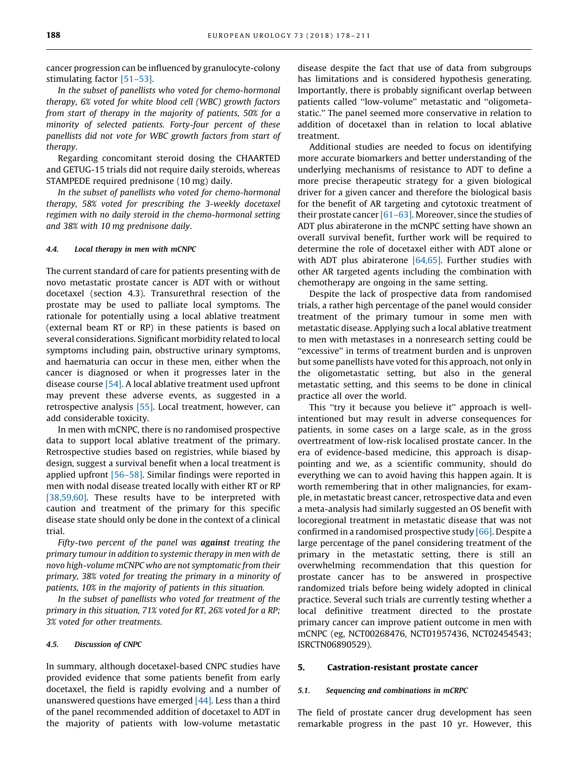cancer progression can be influenced by granulocyte-colony stimulating factor [51–53].

In the subset of panellists who voted for chemo-hormonal therapy, 6% voted for white blood cell (WBC) growth factors from start of therapy in the majority of patients, 50% for a minority of selected patients. Forty-four percent of these panellists did not vote for WBC growth factors from start of therapy.

Regarding concomitant steroid dosing the CHAARTED and GETUG-15 trials did not require daily steroids, whereas STAMPEDE required prednisone (10 mg) daily.

In the subset of panellists who voted for chemo-hormonal therapy, 58% voted for prescribing the 3-weekly docetaxel regimen with no daily steroid in the chemo-hormonal setting and 38% with 10 mg prednisone daily.

#### 4.4. Local therapy in men with mCNPC

The current standard of care for patients presenting with de novo metastatic prostate cancer is ADT with or without docetaxel (section 4.3). Transurethral resection of the prostate may be used to palliate local symptoms. The rationale for potentially using a local ablative treatment (external beam RT or RP) in these patients is based on several considerations. Significant morbidity related to local symptoms including pain, obstructive urinary symptoms, and haematuria can occur in these men, either when the cancer is diagnosed or when it progresses later in the disease course [54]. A local ablative treatment used upfront may prevent these adverse events, as suggested in a retrospective analysis [55]. Local treatment, however, can add considerable toxicity.

In men with mCNPC, there is no randomised prospective data to support local ablative treatment of the primary. Retrospective studies based on registries, while biased by design, suggest a survival benefit when a local treatment is applied upfront [56–58]. Similar findings were reported in men with nodal disease treated locally with either RT or RP [38,59,60]. These results have to be interpreted with caution and treatment of the primary for this specific disease state should only be done in the context of a clinical trial.

Fifty-two percent of the panel was **against** treating the primary tumour in addition to systemic therapy in men with de novo high-volume mCNPC who are not symptomatic from their primary, 38% voted for treating the primary in a minority of patients, 10% in the majority of patients in this situation.

In the subset of panellists who voted for treatment of the primary in this situation, 71% voted for RT, 26% voted for a RP; 3% voted for other treatments.

#### 4.5. Discussion of CNPC

In summary, although docetaxel-based CNPC studies have provided evidence that some patients benefit from early docetaxel, the field is rapidly evolving and a number of unanswered questions have emerged [44]. Less than a third of the panel recommended addition of docetaxel to ADT in the majority of patients with low-volume metastatic

disease despite the fact that use of data from subgroups has limitations and is considered hypothesis generating. Importantly, there is probably significant overlap between patients called ''low-volume'' metastatic and ''oligometastatic.'' The panel seemed more conservative in relation to addition of docetaxel than in relation to local ablative treatment.

Additional studies are needed to focus on identifying more accurate biomarkers and better understanding of the underlying mechanisms of resistance to ADT to define a more precise therapeutic strategy for a given biological driver for a given cancer and therefore the biological basis for the benefit of AR targeting and cytotoxic treatment of their prostate cancer [61–63]. Moreover, since the studies of ADT plus abiraterone in the mCNPC setting have shown an overall survival benefit, further work will be required to determine the role of docetaxel either with ADT alone or with ADT plus abiraterone [64,65]. Further studies with other AR targeted agents including the combination with chemotherapy are ongoing in the same setting.

Despite the lack of prospective data from randomised trials, a rather high percentage of the panel would consider treatment of the primary tumour in some men with metastatic disease. Applying such a local ablative treatment to men with metastases in a nonresearch setting could be "excessive" in terms of treatment burden and is unproven but some panellists have voted for this approach, not only in the oligometastatic setting, but also in the general metastatic setting, and this seems to be done in clinical practice all over the world.

This "try it because you believe it" approach is wellintentioned but may result in adverse consequences for patients, in some cases on a large scale, as in the gross overtreatment of low-risk localised prostate cancer. In the era of evidence-based medicine, this approach is disappointing and we, as a scientific community, should do everything we can to avoid having this happen again. It is worth remembering that in other malignancies, for example, in metastatic breast cancer, retrospective data and even a meta-analysis had similarly suggested an OS benefit with locoregional treatment in metastatic disease that was not confirmed in a randomised prospective study [66]. Despite a large percentage of the panel considering treatment of the primary in the metastatic setting, there is still an overwhelming recommendation that this question for prostate cancer has to be answered in prospective randomized trials before being widely adopted in clinical practice. Several such trials are currently testing whether a local definitive treatment directed to the prostate primary cancer can improve patient outcome in men with mCNPC (eg, NCT00268476, NCT01957436, NCT02454543; ISRCTN06890529).

#### 5. Castration-resistant prostate cancer

#### 5.1. Sequencing and combinations in mCRPC

The field of prostate cancer drug development has seen remarkable progress in the past 10 yr. However, this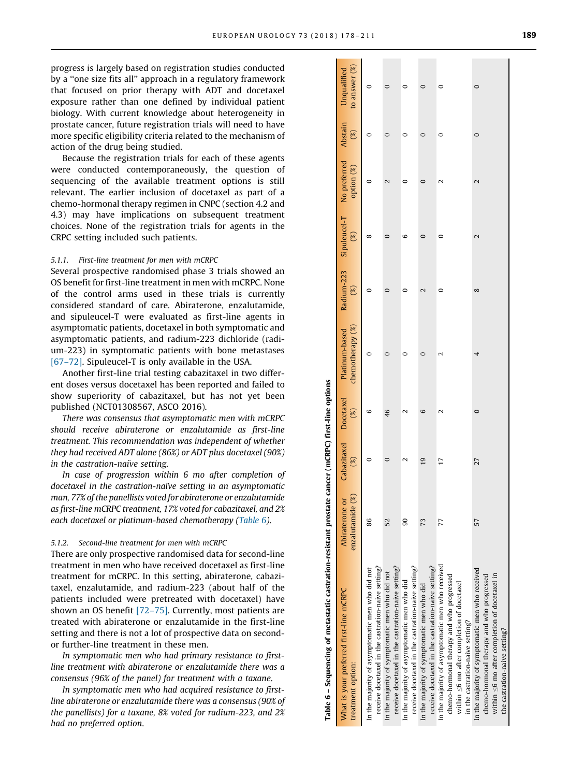progress is largely based on registration studies conducted by a ''one size fits all'' approach in a regulatory framework that focused on prior therapy with ADT and docetaxel exposure rather than one defined by individual patient biology. With current knowledge about heterogeneity in prostate cancer, future registration trials will need to have more specific eligibility criteria related to the mechanism of action of the drug being studied.

Because the registration trials for each of these agents were conducted contemporaneously, the question of sequencing of the available treatment options is still relevant. The earlier inclusion of docetaxel as part of a chemo-hormonal therapy regimen in CNPC (section 4.2 and 4.3) may have implications on subsequent treatment choices. None of the registration trials for agents in the CRPC setting included such patients.

#### 5.1.1. First-line treatment for men with mCRPC

Several prospective randomised phase 3 trials showed an OS benefit for first-line treatment in men with mCRPC. None of the control arms used in these trials is currently considered standard of care. Abiraterone, enzalutamide, and sipuleucel-T were evaluated as first-line agents in asymptomatic patients, docetaxel in both symptomatic and asymptomatic patients, and radium-223 dichloride (radium-223) in symptomatic patients with bone metastases [67–72]. Sipuleucel-T is only available in the USA.

Another first-line trial testing cabazitaxel in two different doses versus docetaxel has been reported and failed to show superiority of cabazitaxel, but has not yet been published (NCT01308567, ASCO 2016).

There was consensus that asymptomatic men with mCRPC should receive abiraterone or enzalutamide as first-line treatment. This recommendation was independent of whether they had received ADT alone (86%) or ADT plus docetaxel (90%) in the castration-naive setting.

In case of progression within 6 mo after completion of docetaxel in the castration-naive setting in an asymptomatic man, 77% of the panellists voted for abiraterone or enzalutamide as first-line mCRPC treatment, 17% voted for cabazitaxel, and 2% each docetaxel or platinum-based chemotherapy (Table 6).

#### 5.1.2. Second-line treatment for men with mCRPC

There are only prospective randomised data for second-line treatment in men who have received docetaxel as first-line treatment for mCRPC. In this setting, abiraterone, cabazitaxel, enzalutamide, and radium-223 (about half of the patients included were pretreated with docetaxel) have shown an OS benefit [72–75]. Currently, most patients are treated with abiraterone or enzalutamide in the first-line setting and there is not a lot of prospective data on secondor further-line treatment in these men.

In symptomatic men who had primary resistance to firstline treatment with abiraterone or enzalutamide there was a consensus (96% of the panel) for treatment with a taxane.

In symptomatic men who had acquired resistance to firstline abiraterone or enzalutamide there was a consensus (90% of the panellists) for a taxane, 8% voted for radium-223, and 2% had no preferred option.

| What is your preferred first-line mCRPC<br>treatment option:                                                                                                                          | $\mathscr{L}$<br>Abiraterone or<br>enzalutamide ( | Cabazitaxel<br>(%) | <b>Docetaxel</b><br>(%) | Platinum-based<br>chemotherapy $(\%)$ | Radium-223<br>$(\%)$ | Sipuleucel-T No preferred<br>$(\%)$ | option (%) | Abstain<br>(%) | to answer $(%)$<br>Unqualified |
|---------------------------------------------------------------------------------------------------------------------------------------------------------------------------------------|---------------------------------------------------|--------------------|-------------------------|---------------------------------------|----------------------|-------------------------------------|------------|----------------|--------------------------------|
| receive docetaxel in the castration-naive setting?<br>in the majority of asymptomatic men who did not                                                                                 | 86                                                |                    | G                       |                                       |                      | $\infty$                            |            |                |                                |
| receive docetaxel in the castration-naive setting?<br>in the majority of symptomatic men who did not                                                                                  | 52                                                |                    | 46                      |                                       |                      |                                     |            |                |                                |
| receive docetaxel in the castration-naive setting?<br>In the majority of asymptomatic men who did                                                                                     | 8                                                 |                    |                         |                                       |                      |                                     |            |                |                                |
| receive docetaxel in the castration-naive setting?<br>n the majority of symptomatic men who did                                                                                       | 73                                                | $\overline{19}$    | G                       |                                       |                      |                                     |            |                |                                |
| In the majority of asymptomatic men who received<br>chemo-hormonal therapy and who progressed<br>within $\leq$ 6 mo after completion of docetaxel<br>in the castration-naive setting? | 77                                                |                    |                         |                                       |                      |                                     |            |                |                                |
| In the majority of symptomatic men who received<br>within $\leq$ 6 mo after completion of docetaxel in<br>chemo-hormonal therapy and who progressed<br>the castration-naive setting?  | 57                                                | 27                 |                         |                                       | $\infty$             |                                     | 2          | 0              | 0                              |
|                                                                                                                                                                                       |                                                   |                    |                         |                                       |                      |                                     |            |                |                                |

Table 6 – Sequencing of metastatic castration-resistant prostate cancer (mCRPC) first-line options

Table 6 – Sequencing of metastatic castration-resistant prostate cancer (mCRPC) first-line options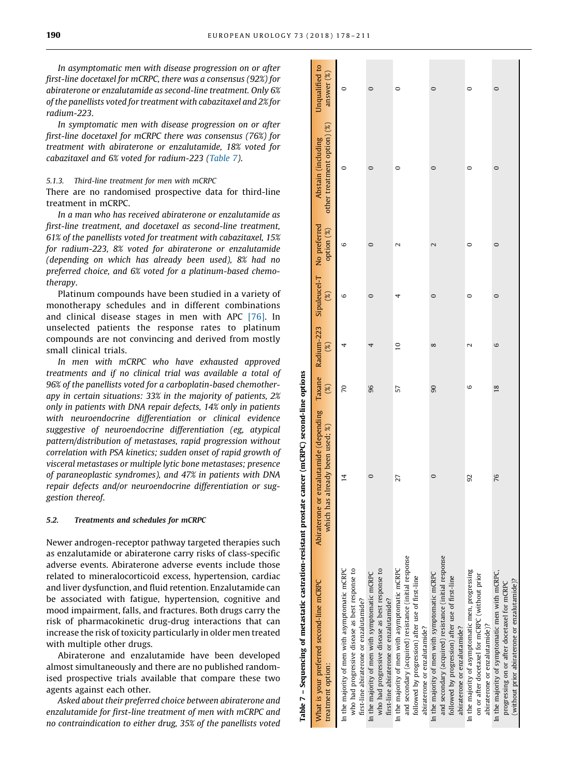Table 7 – Sequencing of metastatic castration-resistant prostate cancer (mCRPC) second-line options

Table 7 - Sequencing of metastatic castration-resistant prostate cancer (mCRPC) second-line options

In asymptomatic men with disease progression on or after first-line docetaxel for mCRPC, there was a consensus (92%) for abiraterone or enzalutamide as second-line treatment. Only 6% of the panellists voted for treatment with cabazitaxel and 2% for radium-223.

In symptomatic men with disease progression on or after first-line docetaxel for mCRPC there was consensus (76%) for treatment with abiraterone or enzalutamide, 18% voted for cabazitaxel and 6% voted for radium-223 (Table 7).

### 5.1.3. Third-line treatment for men with mCRPC

There are no randomised prospective data for third-line treatment in mCRPC.

In a man who has received abiraterone or enzalutamide as first-line treatment, and docetaxel as second-line treatment, 61% of the panellists voted for treatment with cabazitaxel, 15% for radium-223, 8% voted for abiraterone or enzalutamide (depending on which has already been used), 8% had no preferred choice, and 6% voted for a platinum-based chemotherapy.

Platinum compounds have been studied in a variety of monotherapy schedules and in different combinations and clinical disease stages in men with APC [76]. In unselected patients the response rates to platinum compounds are not convincing and derived from mostly small clinical trials.

In men with mCRPC who have exhausted approved treatments and if no clinical trial was available a total of 96% of the panellists voted for a carboplatin-based chemotherapy in certain situations: 33% in the majority of patients, 2% only in patients with DNA repair defects, 14% only in patients with neuroendocrine differentiation or clinical evidence suggestive of neuroendocrine differentiation (eg, atypical pattern/distribution of metastases, rapid progression without correlation with PSA kinetics; sudden onset of rapid growth of visceral metastases or multiple lytic bone metastases; presence of paraneoplastic syndromes), and 47% in patients with DNA repair defects and/or neuroendocrine differentiation or suggestion thereof.

#### 5.2. Treatments and schedules for mCRPC

Newer androgen-receptor pathway targeted therapies such as enzalutamide or abiraterone carry risks of class-specific adverse events. Abiraterone adverse events include those related to mineralocorticoid excess, hypertension, cardiac and liver dysfunction, and fluid retention. Enzalutamide can be associated with fatigue, hypertension, cognitive and mood impairment, falls, and fractures. Both drugs carry the risk of pharmacokinetic drug-drug interactions that can increase the risk of toxicity particularly in older men treated with multiple other drugs.

Abiraterone and enzalutamide have been developed almost simultaneously and there are no published randomised prospective trials available that compare these two agents against each other.

Asked about their preferred choice between abiraterone and enzalutamide for first-line treatment of men with mCRPC and no contraindication to either drug, 35% of the panellists voted

| What is your preferred second-line mCRPC<br>reatment option:                                                                                                                                | Abiraterone or enzalutamide (depending Taxane Radium-223 Sipuleucel-T No preferred<br>which has already been used; %) | (%)            | $(\%)$         | (%)     | option (%)        | other treatment option) (%)<br>Abstain (including | Unqualified to<br>answer(%) |
|---------------------------------------------------------------------------------------------------------------------------------------------------------------------------------------------|-----------------------------------------------------------------------------------------------------------------------|----------------|----------------|---------|-------------------|---------------------------------------------------|-----------------------------|
| who had progressive disease as best response to<br>in the majority of men with asymptomatic mCRPC<br>first-line abiraterone or enzalutamide?                                                | $\overline{1}$                                                                                                        | 20             |                | 6       | G                 | $\circ$                                           | $\circ$                     |
| who had progressive disease as best response to<br>In the majority of men with symptomatic mCRPC<br>first-line abiraterone or enzalutamide?                                                 | $\circ$                                                                                                               | 96             |                | c       |                   | O                                                 | $\circ$                     |
| and secondary (acquired) resistance (initial response<br>In the majority of men with asymptomatic mCRPC<br>followed by progression) after use of first-line<br>abiraterone or enzalutamide? | 27                                                                                                                    | 57             | $\overline{a}$ | 4       | $\sim$            | 0                                                 | 0                           |
| and secondary (acquired) resistance (initial response<br>In the majority of men with symptomatic mCRPC<br>followed by progression) after use of first-line<br>abiraterone or enzalutamide?  | $\circ$                                                                                                               | $\overline{6}$ | $\infty$       | $\circ$ | $\mathbf{\Omega}$ | $\circ$                                           | $\circ$                     |
| In the majority of asymptomatic men, progressing<br>on or after docetaxel for mCRPC (without prior<br>abiraterone or enzalutamide)?                                                         | 92                                                                                                                    | ဖ              |                |         | ⊂                 | 0                                                 | 0                           |
| In the majority of symptomatic men with mCRPC,<br>(without prior abiraterone or enzalutamide)?<br>progressing on or after docetaxel for mCRPC                                               | 76                                                                                                                    | 18             | 6              | $\circ$ | O                 | O                                                 | $\circ$                     |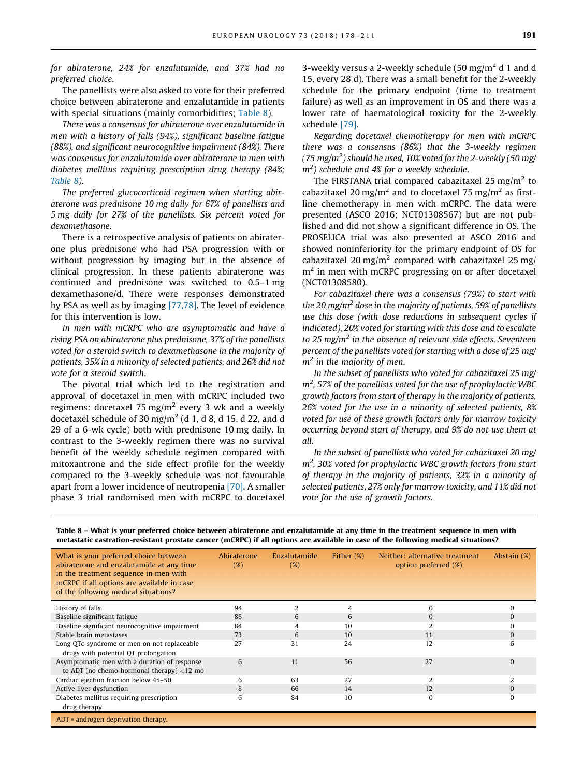for abiraterone, 24% for enzalutamide, and 37% had no preferred choice.

The panellists were also asked to vote for their preferred choice between abiraterone and enzalutamide in patients with special situations (mainly comorbidities; Table 8).

There was a consensus for abiraterone over enzalutamide in men with a history of falls (94%), significant baseline fatigue (88%), and significant neurocognitive impairment (84%). There was consensus for enzalutamide over abiraterone in men with diabetes mellitus requiring prescription drug therapy (84%; Table 8).

The preferred glucocorticoid regimen when starting abiraterone was prednisone 10 mg daily for 67% of panellists and 5 mg daily for 27% of the panellists. Six percent voted for dexamethasone.

There is a retrospective analysis of patients on abiraterone plus prednisone who had PSA progression with or without progression by imaging but in the absence of clinical progression. In these patients abiraterone was continued and prednisone was switched to 0.5–1 mg dexamethasone/d. There were responses demonstrated by PSA as well as by imaging [77,78]. The level of evidence for this intervention is low.

In men with mCRPC who are asymptomatic and have a rising PSA on abiraterone plus prednisone, 37% of the panellists voted for a steroid switch to dexamethasone in the majority of patients, 35% in a minority of selected patients, and 26% did not vote for a steroid switch.

The pivotal trial which led to the registration and approval of docetaxel in men with mCRPC included two regimens: docetaxel 75 mg/m<sup>2</sup> every 3 wk and a weekly docetaxel schedule of 30 mg/m<sup>2</sup> (d 1, d 8, d 15, d 22, and d 29 of a 6-wk cycle) both with prednisone 10 mg daily. In contrast to the 3-weekly regimen there was no survival benefit of the weekly schedule regimen compared with mitoxantrone and the side effect profile for the weekly compared to the 3-weekly schedule was not favourable apart from a lower incidence of neutropenia [70]. A smaller phase 3 trial randomised men with mCRPC to docetaxel

3-weekly versus a 2-weekly schedule (50 mg/m<sup>2</sup> d 1 and d 15, every 28 d). There was a small benefit for the 2-weekly schedule for the primary endpoint (time to treatment failure) as well as an improvement in OS and there was a lower rate of haematological toxicity for the 2-weekly schedule [79].

Regarding docetaxel chemotherapy for men with mCRPC there was a consensus (86%) that the 3-weekly regimen (75 mg/m<sup>2</sup>) should be used, 10% voted for the 2-weekly (50 mg/  $m<sup>2</sup>$ ) schedule and 4% for a weekly schedule.

The FIRSTANA trial compared cabazitaxel 25 mg/m<sup>2</sup> to cabazitaxel 20 mg/m<sup>2</sup> and to docetaxel 75 mg/m<sup>2</sup> as firstline chemotherapy in men with mCRPC. The data were presented (ASCO 2016; NCT01308567) but are not published and did not show a significant difference in OS. The PROSELICA trial was also presented at ASCO 2016 and showed noninferiority for the primary endpoint of OS for cabazitaxel 20 mg/m<sup>2</sup> compared with cabazitaxel 25 mg/  $m<sup>2</sup>$  in men with mCRPC progressing on or after docetaxel (NCT01308580).

For cabazitaxel there was a consensus (79%) to start with the 20 mg/m<sup>2</sup> dose in the majority of patients, 59% of panellists use this dose (with dose reductions in subsequent cycles if indicated), 20% voted for starting with this dose and to escalate to 25 mg/ $m^2$  in the absence of relevant side effects. Seventeen percent of the panellists voted for starting with a dose of 25 mg/  $m<sup>2</sup>$  in the majority of men.

In the subset of panellists who voted for cabazitaxel 25 mg/  $m^2$ , 57% of the panellists voted for the use of prophylactic WBC growth factors from start of therapy in the majority of patients, 26% voted for the use in a minority of selected patients, 8% voted for use of these growth factors only for marrow toxicity occurring beyond start of therapy, and 9% do not use them at all.

In the subset of panellists who voted for cabazitaxel 20 mg/  $m^2$ , 30% voted for prophylactic WBC growth factors from start of therapy in the majority of patients, 32% in a minority of selected patients, 27% only for marrow toxicity, and 11% did not vote for the use of growth factors.

Table 8 – What is your preferred choice between abiraterone and enzalutamide at any time in the treatment sequence in men with metastatic castration-resistant prostate cancer (mCRPC) if all options are available in case of the following medical situations?

| What is your preferred choice between<br>abiraterone and enzalutamide at any time<br>in the treatment sequence in men with<br>mCRPC if all options are available in case<br>of the following medical situations? | Abiraterone<br>(%) | Enzalutamide<br>$(\%)$ | Either $(\%)$ | Neither: alternative treatment<br>option preferred (%) | Abstain (%) |
|------------------------------------------------------------------------------------------------------------------------------------------------------------------------------------------------------------------|--------------------|------------------------|---------------|--------------------------------------------------------|-------------|
| History of falls                                                                                                                                                                                                 | 94                 |                        | 4             | $\Omega$                                               |             |
| Baseline significant fatigue                                                                                                                                                                                     | 88                 | 6                      | 6             | $\Omega$                                               |             |
| Baseline significant neurocognitive impairment                                                                                                                                                                   | 84                 | 4                      | 10            | $\overline{2}$                                         |             |
| Stable brain metastases                                                                                                                                                                                          | 73                 | 6                      | 10            | 11                                                     |             |
| Long QTc-syndrome or men on not replaceable<br>drugs with potential QT prolongation                                                                                                                              | 27                 | 31                     | 24            | 12                                                     | 6           |
| Asymptomatic men with a duration of response<br>to ADT (no chemo-hormonal therapy) $<$ 12 mo                                                                                                                     | 6                  | 11                     | 56            | 27                                                     | $\Omega$    |
| Cardiac ejection fraction below 45-50                                                                                                                                                                            | 6                  | 63                     | 27            | $\overline{2}$                                         |             |
| Active liver dysfunction                                                                                                                                                                                         | 8                  | 66                     | 14            | 12                                                     | 0           |
| Diabetes mellitus requiring prescription<br>drug therapy                                                                                                                                                         | 6                  | 84                     | 10            | $\Omega$                                               | $\Omega$    |
| $ADT = androgen\ deprivation\ the ray.$                                                                                                                                                                          |                    |                        |               |                                                        |             |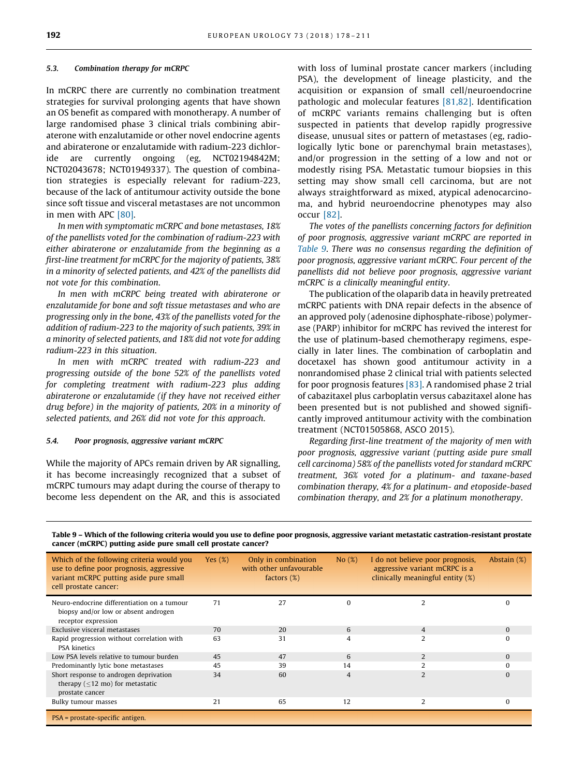#### 5.3. Combination therapy for mCRPC

In mCRPC there are currently no combination treatment strategies for survival prolonging agents that have shown an OS benefit as compared with monotherapy. A number of large randomised phase 3 clinical trials combining abiraterone with enzalutamide or other novel endocrine agents and abiraterone or enzalutamide with radium-223 dichloride are currently ongoing (eg, NCT02194842M; NCT02043678; NCT01949337). The question of combination strategies is especially relevant for radium-223, because of the lack of antitumour activity outside the bone since soft tissue and visceral metastases are not uncommon in men with APC [80].

In men with symptomatic mCRPC and bone metastases, 18% of the panellists voted for the combination of radium-223 with either abiraterone or enzalutamide from the beginning as a first-line treatment for mCRPC for the majority of patients, 38% in a minority of selected patients, and 42% of the panellists did not vote for this combination.

In men with mCRPC being treated with abiraterone or enzalutamide for bone and soft tissue metastases and who are progressing only in the bone, 43% of the panellists voted for the addition of radium-223 to the majority of such patients, 39% in a minority of selected patients, and 18% did not vote for adding radium-223 in this situation.

In men with mCRPC treated with radium-223 and progressing outside of the bone 52% of the panellists voted for completing treatment with radium-223 plus adding abiraterone or enzalutamide (if they have not received either drug before) in the majority of patients, 20% in a minority of selected patients, and 26% did not vote for this approach.

## 5.4. Poor prognosis, aggressive variant mCRPC

While the majority of APCs remain driven by AR signalling, it has become increasingly recognized that a subset of mCRPC tumours may adapt during the course of therapy to become less dependent on the AR, and this is associated

with loss of luminal prostate cancer markers (including PSA), the development of lineage plasticity, and the acquisition or expansion of small cell/neuroendocrine pathologic and molecular features [81,82]. Identification of mCRPC variants remains challenging but is often suspected in patients that develop rapidly progressive disease, unusual sites or pattern of metastases (eg, radiologically lytic bone or parenchymal brain metastases), and/or progression in the setting of a low and not or modestly rising PSA. Metastatic tumour biopsies in this setting may show small cell carcinoma, but are not always straightforward as mixed, atypical adenocarcinoma, and hybrid neuroendocrine phenotypes may also occur [82].

The votes of the panellists concerning factors for definition of poor prognosis, aggressive variant mCRPC are reported in Table 9. There was no consensus regarding the definition of poor prognosis, aggressive variant mCRPC. Four percent of the panellists did not believe poor prognosis, aggressive variant mCRPC is a clinically meaningful entity.

The publication of the olaparib data in heavily pretreated mCRPC patients with DNA repair defects in the absence of an approved poly (adenosine diphosphate-ribose) polymerase (PARP) inhibitor for mCRPC has revived the interest for the use of platinum-based chemotherapy regimens, especially in later lines. The combination of carboplatin and docetaxel has shown good antitumour activity in a nonrandomised phase 2 clinical trial with patients selected for poor prognosis features [83]. A randomised phase 2 trial of cabazitaxel plus carboplatin versus cabazitaxel alone has been presented but is not published and showed significantly improved antitumour activity with the combination treatment (NCT01505868, ASCO 2015).

Regarding first-line treatment of the majority of men with poor prognosis, aggressive variant (putting aside pure small cell carcinoma) 58% of the panellists voted for standard mCRPC treatment, 36% voted for a platinum- and taxane-based combination therapy, 4% for a platinum- and etoposide-based combination therapy, and 2% for a platinum monotherapy.

Table 9 – Which of the following criteria would you use to define poor prognosis, aggressive variant metastatic castration-resistant prostate cancer (mCRPC) putting aside pure small cell prostate cancer?

| Which of the following criteria would you<br>use to define poor prognosis, aggressive<br>variant mCRPC putting aside pure small<br>cell prostate cancer: | Yes $(\%)$ | Only in combination<br>with other unfavourable<br>factors $(\%)$ | No(%)          | I do not believe poor prognosis,<br>aggressive variant mCRPC is a<br>clinically meaningful entity $(\%)$ | Abstain (%) |
|----------------------------------------------------------------------------------------------------------------------------------------------------------|------------|------------------------------------------------------------------|----------------|----------------------------------------------------------------------------------------------------------|-------------|
| Neuro-endocrine differentiation on a tumour<br>biopsy and/or low or absent androgen<br>receptor expression                                               | 71         | 27                                                               | $\Omega$       |                                                                                                          | 0           |
| Exclusive visceral metastases                                                                                                                            | 70         | 20                                                               | 6              | 4                                                                                                        | $\Omega$    |
| Rapid progression without correlation with<br><b>PSA</b> kinetics                                                                                        | 63         | 31                                                               | 4              | 2                                                                                                        | 0           |
| Low PSA levels relative to tumour burden                                                                                                                 | 45         | 47                                                               | 6              | 2                                                                                                        | $\Omega$    |
| Predominantly lytic bone metastases                                                                                                                      | 45         | 39                                                               | 14             |                                                                                                          |             |
| Short response to androgen deprivation<br>therapy $(<12 \text{ mo})$ for metastatic<br>prostate cancer                                                   | 34         | 60                                                               | $\overline{4}$ |                                                                                                          |             |
| Bulky tumour masses                                                                                                                                      | 21         | 65                                                               | 12             | $\overline{2}$                                                                                           | $\Omega$    |
| PSA = prostate-specific antigen.                                                                                                                         |            |                                                                  |                |                                                                                                          |             |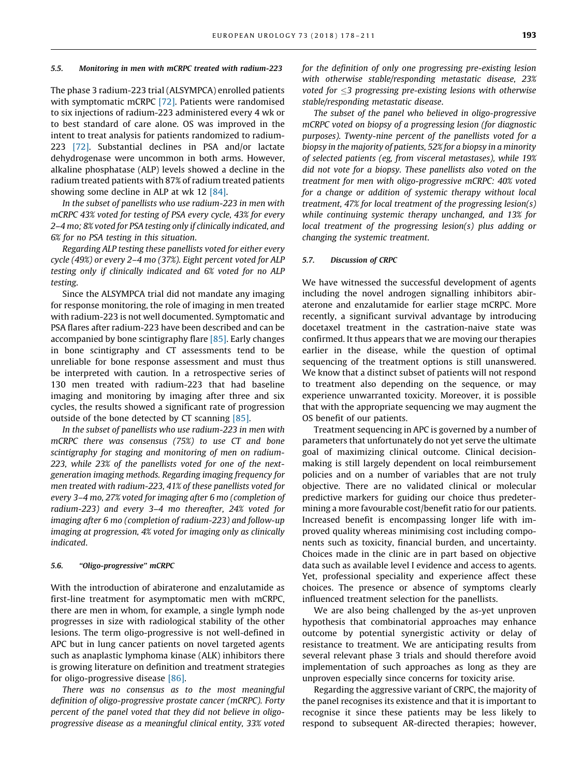#### 5.5. Monitoring in men with mCRPC treated with radium-223

The phase 3 radium-223 trial (ALSYMPCA) enrolled patients with symptomatic mCRPC [72]. Patients were randomised to six injections of radium-223 administered every 4 wk or to best standard of care alone. OS was improved in the intent to treat analysis for patients randomized to radium-223 [72]. Substantial declines in PSA and/or lactate dehydrogenase were uncommon in both arms. However, alkaline phosphatase (ALP) levels showed a decline in the radium treated patients with 87% of radium treated patients showing some decline in ALP at wk 12 [84].

In the subset of panellists who use radium-223 in men with mCRPC 43% voted for testing of PSA every cycle, 43% for every 2–4 mo; 8% voted for PSA testing only if clinically indicated, and 6% for no PSA testing in this situation.

Regarding ALP testing these panellists voted for either every cycle (49%) or every 2–4 mo (37%). Eight percent voted for ALP testing only if clinically indicated and 6% voted for no ALP testing.

Since the ALSYMPCA trial did not mandate any imaging for response monitoring, the role of imaging in men treated with radium-223 is not well documented. Symptomatic and PSA flares after radium-223 have been described and can be accompanied by bone scintigraphy flare [85]. Early changes in bone scintigraphy and CT assessments tend to be unreliable for bone response assessment and must thus be interpreted with caution. In a retrospective series of 130 men treated with radium-223 that had baseline imaging and monitoring by imaging after three and six cycles, the results showed a significant rate of progression outside of the bone detected by CT scanning [85].

In the subset of panellists who use radium-223 in men with mCRPC there was consensus (75%) to use CT and bone scintigraphy for staging and monitoring of men on radium-223, while 23% of the panellists voted for one of the nextgeneration imaging methods. Regarding imaging frequency for men treated with radium-223, 41% of these panellists voted for every 3–4 mo, 27% voted for imaging after 6 mo (completion of radium-223) and every 3–4 mo thereafter, 24% voted for imaging after 6 mo (completion of radium-223) and follow-up imaging at progression, 4% voted for imaging only as clinically indicated.

#### 5.6. ''Oligo-progressive'' mCRPC

With the introduction of abiraterone and enzalutamide as first-line treatment for asymptomatic men with mCRPC, there are men in whom, for example, a single lymph node progresses in size with radiological stability of the other lesions. The term oligo-progressive is not well-defined in APC but in lung cancer patients on novel targeted agents such as anaplastic lymphoma kinase (ALK) inhibitors there is growing literature on definition and treatment strategies for oligo-progressive disease [86].

There was no consensus as to the most meaningful definition of oligo-progressive prostate cancer (mCRPC). Forty percent of the panel voted that they did not believe in oligoprogressive disease as a meaningful clinical entity, 33% voted

for the definition of only one progressing pre-existing lesion with otherwise stable/responding metastatic disease, 23% voted for  $\leq$ 3 progressing pre-existing lesions with otherwise stable/responding metastatic disease.

The subset of the panel who believed in oligo-progressive mCRPC voted on biopsy of a progressing lesion (for diagnostic purposes). Twenty-nine percent of the panellists voted for a biopsy in the majority of patients, 52% for a biopsy in a minority of selected patients (eg, from visceral metastases), while 19% did not vote for a biopsy. These panellists also voted on the treatment for men with oligo-progressive mCRPC: 40% voted for a change or addition of systemic therapy without local treatment, 47% for local treatment of the progressing lesion(s) while continuing systemic therapy unchanged, and 13% for local treatment of the progressing lesion(s) plus adding or changing the systemic treatment.

#### 5.7. Discussion of CRPC

We have witnessed the successful development of agents including the novel androgen signalling inhibitors abiraterone and enzalutamide for earlier stage mCRPC. More recently, a significant survival advantage by introducing docetaxel treatment in the castration-naive state was confirmed. It thus appears that we are moving our therapies earlier in the disease, while the question of optimal sequencing of the treatment options is still unanswered. We know that a distinct subset of patients will not respond to treatment also depending on the sequence, or may experience unwarranted toxicity. Moreover, it is possible that with the appropriate sequencing we may augment the OS benefit of our patients.

Treatment sequencing in APC is governed by a number of parameters that unfortunately do not yet serve the ultimate goal of maximizing clinical outcome. Clinical decisionmaking is still largely dependent on local reimbursement policies and on a number of variables that are not truly objective. There are no validated clinical or molecular predictive markers for guiding our choice thus predetermining a more favourable cost/benefit ratio for our patients. Increased benefit is encompassing longer life with improved quality whereas minimising cost including components such as toxicity, financial burden, and uncertainty. Choices made in the clinic are in part based on objective data such as available level I evidence and access to agents. Yet, professional speciality and experience affect these choices. The presence or absence of symptoms clearly influenced treatment selection for the panellists.

We are also being challenged by the as-yet unproven hypothesis that combinatorial approaches may enhance outcome by potential synergistic activity or delay of resistance to treatment. We are anticipating results from several relevant phase 3 trials and should therefore avoid implementation of such approaches as long as they are unproven especially since concerns for toxicity arise.

Regarding the aggressive variant of CRPC, the majority of the panel recognises its existence and that it is important to recognise it since these patients may be less likely to respond to subsequent AR-directed therapies; however,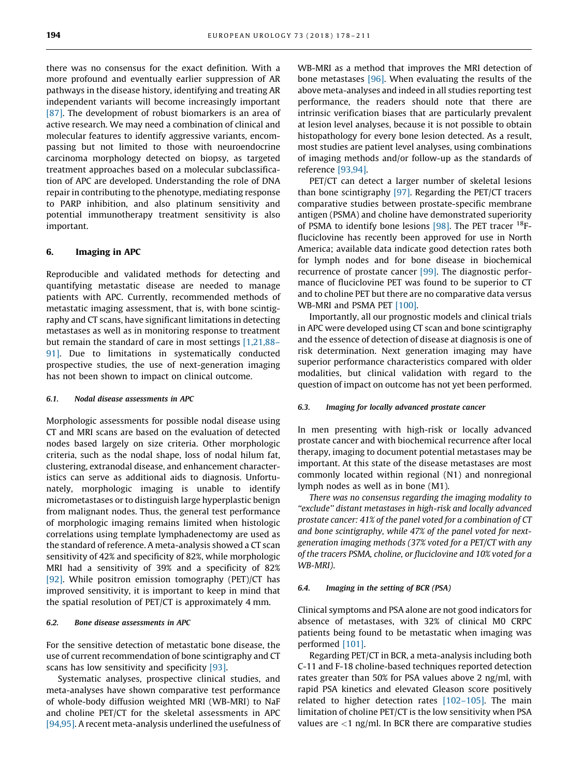there was no consensus for the exact definition. With a more profound and eventually earlier suppression of AR pathways in the disease history, identifying and treating AR independent variants will become increasingly important [87]. The development of robust biomarkers is an area of active research. We may need a combination of clinical and molecular features to identify aggressive variants, encompassing but not limited to those with neuroendocrine carcinoma morphology detected on biopsy, as targeted treatment approaches based on a molecular subclassification of APC are developed. Understanding the role of DNA repair in contributing to the phenotype, mediating response to PARP inhibition, and also platinum sensitivity and potential immunotherapy treatment sensitivity is also important.

## 6. Imaging in APC

Reproducible and validated methods for detecting and quantifying metastatic disease are needed to manage patients with APC. Currently, recommended methods of metastatic imaging assessment, that is, with bone scintigraphy and CT scans, have significant limitations in detecting metastases as well as in monitoring response to treatment but remain the standard of care in most settings [1,21,88– 91]. Due to limitations in systematically conducted prospective studies, the use of next-generation imaging has not been shown to impact on clinical outcome.

#### 6.1. Nodal disease assessments in APC

Morphologic assessments for possible nodal disease using CT and MRI scans are based on the evaluation of detected nodes based largely on size criteria. Other morphologic criteria, such as the nodal shape, loss of nodal hilum fat, clustering, extranodal disease, and enhancement characteristics can serve as additional aids to diagnosis. Unfortunately, morphologic imaging is unable to identify micrometastases or to distinguish large hyperplastic benign from malignant nodes. Thus, the general test performance of morphologic imaging remains limited when histologic correlations using template lymphadenectomy are used as the standard of reference. A meta-analysis showed a CT scan sensitivity of 42% and specificity of 82%, while morphologic MRI had a sensitivity of 39% and a specificity of 82% [92]. While positron emission tomography (PET)/CT has improved sensitivity, it is important to keep in mind that the spatial resolution of PET/CT is approximately 4 mm.

#### 6.2. Bone disease assessments in APC

For the sensitive detection of metastatic bone disease, the use of current recommendation of bone scintigraphy and CT scans has low sensitivity and specificity [93].

Systematic analyses, prospective clinical studies, and meta-analyses have shown comparative test performance of whole-body diffusion weighted MRI (WB-MRI) to NaF and choline PET/CT for the skeletal assessments in APC [94,95]. A recent meta-analysis underlined the usefulness of WB-MRI as a method that improves the MRI detection of bone metastases [96]. When evaluating the results of the above meta-analyses and indeed in all studies reporting test performance, the readers should note that there are intrinsic verification biases that are particularly prevalent at lesion level analyses, because it is not possible to obtain histopathology for every bone lesion detected. As a result, most studies are patient level analyses, using combinations of imaging methods and/or follow-up as the standards of reference [93,94].

PET/CT can detect a larger number of skeletal lesions than bone scintigraphy [97]. Regarding the PET/CT tracers comparative studies between prostate-specific membrane antigen (PSMA) and choline have demonstrated superiority of PSMA to identify bone lesions [98]. The PET tracer <sup>18</sup>Ffluciclovine has recently been approved for use in North America; available data indicate good detection rates both for lymph nodes and for bone disease in biochemical recurrence of prostate cancer [99]. The diagnostic performance of fluciclovine PET was found to be superior to CT and to choline PET but there are no comparative data versus WB-MRI and PSMA PET [100].

Importantly, all our prognostic models and clinical trials in APC were developed using CT scan and bone scintigraphy and the essence of detection of disease at diagnosis is one of risk determination. Next generation imaging may have superior performance characteristics compared with older modalities, but clinical validation with regard to the question of impact on outcome has not yet been performed.

#### 6.3. Imaging for locally advanced prostate cancer

In men presenting with high-risk or locally advanced prostate cancer and with biochemical recurrence after local therapy, imaging to document potential metastases may be important. At this state of the disease metastases are most commonly located within regional (N1) and nonregional lymph nodes as well as in bone (M1).

There was no consensus regarding the imaging modality to ''exclude'' distant metastases in high-risk and locally advanced prostate cancer: 41% of the panel voted for a combination of CT and bone scintigraphy, while 47% of the panel voted for nextgeneration imaging methods (37% voted for a PET/CT with any of the tracers PSMA, choline, or fluciclovine and 10% voted for a WB-MRI).

#### 6.4. Imaging in the setting of BCR (PSA)

Clinical symptoms and PSA alone are not good indicators for absence of metastases, with 32% of clinical M0 CRPC patients being found to be metastatic when imaging was performed [101].

Regarding PET/CT in BCR, a meta-analysis including both C-11 and F-18 choline-based techniques reported detection rates greater than 50% for PSA values above 2 ng/ml, with rapid PSA kinetics and elevated Gleason score positively related to higher detection rates [102–105]. The main limitation of choline PET/CT is the low sensitivity when PSA values are  $<$ 1 ng/ml. In BCR there are comparative studies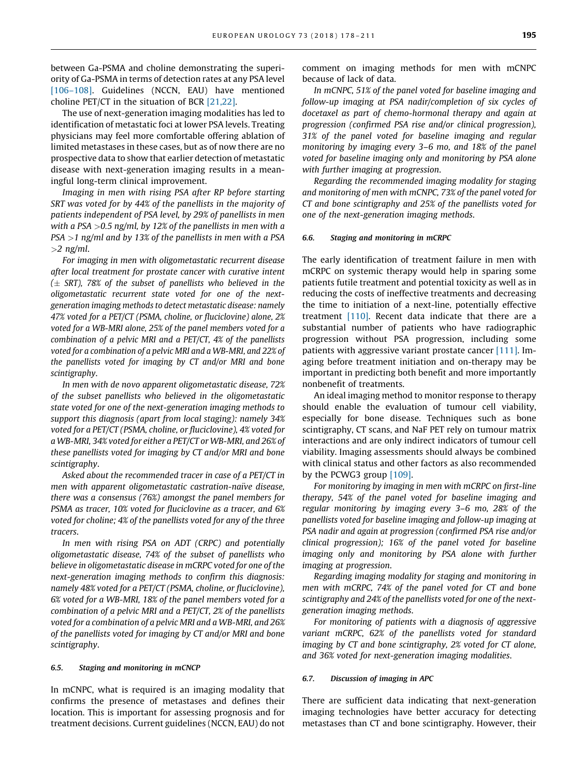between Ga-PSMA and choline demonstrating the superiority of Ga-PSMA in terms of detection rates at any PSA level [106–108]. Guidelines (NCCN, EAU) have mentioned choline PET/CT in the situation of BCR [21,22].

The use of next-generation imaging modalities has led to identification of metastatic foci at lower PSA levels. Treating physicians may feel more comfortable offering ablation of limited metastases in these cases, but as of now there are no prospective data to show that earlier detection of metastatic disease with next-generation imaging results in a meaningful long-term clinical improvement.

Imaging in men with rising PSA after RP before starting SRT was voted for by 44% of the panellists in the majority of patients independent of PSA level, by 29% of panellists in men with a PSA  $>$  0.5 ng/ml, by 12% of the panellists in men with a  $PSA > 1$  ng/ml and by 13% of the panellists in men with a PSA  $>2$  ng/ml.

For imaging in men with oligometastatic recurrent disease after local treatment for prostate cancer with curative intent  $(\pm$  SRT), 78% of the subset of panellists who believed in the oligometastatic recurrent state voted for one of the nextgeneration imaging methods to detect metastatic disease: namely 47% voted for a PET/CT (PSMA, choline, or fluciclovine) alone, 2% voted for a WB-MRI alone, 25% of the panel members voted for a combination of a pelvic MRI and a PET/CT, 4% of the panellists voted for a combination of a pelvic MRI and a WB-MRI, and 22% of the panellists voted for imaging by CT and/or MRI and bone scintigraphy.

In men with de novo apparent oligometastatic disease, 72% of the subset panellists who believed in the oligometastatic state voted for one of the next-generation imaging methods to support this diagnosis (apart from local staging): namely 34% voted for a PET/CT (PSMA, choline, or fluciclovine), 4% voted for a WB-MRI, 34% voted for either a PET/CT or WB-MRI, and 26% of these panellists voted for imaging by CT and/or MRI and bone scintigraphy.

Asked about the recommended tracer in case of a PET/CT in men with apparent oligometastatic castration-naive disease, there was a consensus (76%) amongst the panel members for PSMA as tracer, 10% voted for fluciclovine as a tracer, and 6% voted for choline; 4% of the panellists voted for any of the three tracers.

In men with rising PSA on ADT (CRPC) and potentially oligometastatic disease, 74% of the subset of panellists who believe in oligometastatic disease in mCRPC voted for one of the next-generation imaging methods to confirm this diagnosis: namely 48% voted for a PET/CT (PSMA, choline, or fluciclovine), 6% voted for a WB-MRI, 18% of the panel members voted for a combination of a pelvic MRI and a PET/CT, 2% of the panellists voted for a combination of a pelvic MRI and a WB-MRI, and 26% of the panellists voted for imaging by CT and/or MRI and bone scintigraphy.

#### 6.5. Staging and monitoring in mCNCP

In mCNPC, what is required is an imaging modality that confirms the presence of metastases and defines their location. This is important for assessing prognosis and for treatment decisions. Current guidelines (NCCN, EAU) do not comment on imaging methods for men with mCNPC because of lack of data.

In mCNPC, 51% of the panel voted for baseline imaging and follow-up imaging at PSA nadir/completion of six cycles of docetaxel as part of chemo-hormonal therapy and again at progression (confirmed PSA rise and/or clinical progression), 31% of the panel voted for baseline imaging and regular monitoring by imaging every 3–6 mo, and 18% of the panel voted for baseline imaging only and monitoring by PSA alone with further imaging at progression.

Regarding the recommended imaging modality for staging and monitoring of men with mCNPC, 73% of the panel voted for CT and bone scintigraphy and 25% of the panellists voted for one of the next-generation imaging methods.

#### 6.6. Staging and monitoring in mCRPC

The early identification of treatment failure in men with mCRPC on systemic therapy would help in sparing some patients futile treatment and potential toxicity as well as in reducing the costs of ineffective treatments and decreasing the time to initiation of a next-line, potentially effective treatment [110]. Recent data indicate that there are a substantial number of patients who have radiographic progression without PSA progression, including some patients with aggressive variant prostate cancer [111]. Imaging before treatment initiation and on-therapy may be important in predicting both benefit and more importantly nonbenefit of treatments.

An ideal imaging method to monitor response to therapy should enable the evaluation of tumour cell viability, especially for bone disease. Techniques such as bone scintigraphy, CT scans, and NaF PET rely on tumour matrix interactions and are only indirect indicators of tumour cell viability. Imaging assessments should always be combined with clinical status and other factors as also recommended by the PCWG3 group [109].

For monitoring by imaging in men with mCRPC on first-line therapy, 54% of the panel voted for baseline imaging and regular monitoring by imaging every 3–6 mo, 28% of the panellists voted for baseline imaging and follow-up imaging at PSA nadir and again at progression (confirmed PSA rise and/or clinical progression); 16% of the panel voted for baseline imaging only and monitoring by PSA alone with further imaging at progression.

Regarding imaging modality for staging and monitoring in men with mCRPC, 74% of the panel voted for CT and bone scintigraphy and 24% of the panellists voted for one of the nextgeneration imaging methods.

For monitoring of patients with a diagnosis of aggressive variant mCRPC, 62% of the panellists voted for standard imaging by CT and bone scintigraphy, 2% voted for CT alone, and 36% voted for next-generation imaging modalities.

#### 6.7. Discussion of imaging in APC

There are sufficient data indicating that next-generation imaging technologies have better accuracy for detecting metastases than CT and bone scintigraphy. However, their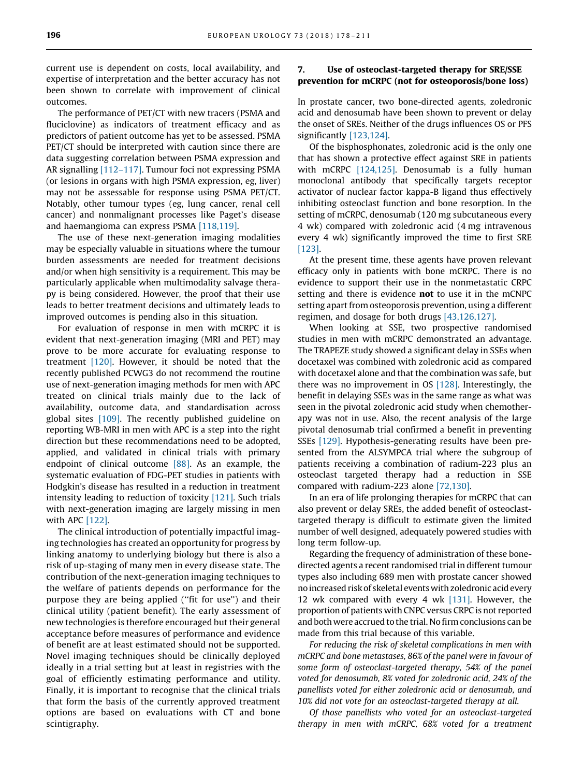current use is dependent on costs, local availability, and expertise of interpretation and the better accuracy has not been shown to correlate with improvement of clinical outcomes.

The performance of PET/CT with new tracers (PSMA and fluciclovine) as indicators of treatment efficacy and as predictors of patient outcome has yet to be assessed. PSMA PET/CT should be interpreted with caution since there are data suggesting correlation between PSMA expression and AR signalling [112–117]. Tumour foci not expressing PSMA (or lesions in organs with high PSMA expression, eg, liver) may not be assessable for response using PSMA PET/CT. Notably, other tumour types (eg, lung cancer, renal cell cancer) and nonmalignant processes like Paget's disease and haemangioma can express PSMA [118,119].

The use of these next-generation imaging modalities may be especially valuable in situations where the tumour burden assessments are needed for treatment decisions and/or when high sensitivity is a requirement. This may be particularly applicable when multimodality salvage therapy is being considered. However, the proof that their use leads to better treatment decisions and ultimately leads to improved outcomes is pending also in this situation.

For evaluation of response in men with mCRPC it is evident that next-generation imaging (MRI and PET) may prove to be more accurate for evaluating response to treatment [120]. However, it should be noted that the recently published PCWG3 do not recommend the routine use of next-generation imaging methods for men with APC treated on clinical trials mainly due to the lack of availability, outcome data, and standardisation across global sites [109]. The recently published guideline on reporting WB-MRI in men with APC is a step into the right direction but these recommendations need to be adopted, applied, and validated in clinical trials with primary endpoint of clinical outcome [88]. As an example, the systematic evaluation of FDG-PET studies in patients with Hodgkin's disease has resulted in a reduction in treatment intensity leading to reduction of toxicity [121]. Such trials with next-generation imaging are largely missing in men with APC [122].

The clinical introduction of potentially impactful imaging technologies has created an opportunity for progress by linking anatomy to underlying biology but there is also a risk of up-staging of many men in every disease state. The contribution of the next-generation imaging techniques to the welfare of patients depends on performance for the purpose they are being applied (''fit for use'') and their clinical utility (patient benefit). The early assessment of new technologies is therefore encouraged but their general acceptance before measures of performance and evidence of benefit are at least estimated should not be supported. Novel imaging techniques should be clinically deployed ideally in a trial setting but at least in registries with the goal of efficiently estimating performance and utility. Finally, it is important to recognise that the clinical trials that form the basis of the currently approved treatment options are based on evaluations with CT and bone scintigraphy.

## 7. Use of osteoclast-targeted therapy for SRE/SSE prevention for mCRPC (not for osteoporosis/bone loss)

In prostate cancer, two bone-directed agents, zoledronic acid and denosumab have been shown to prevent or delay the onset of SREs. Neither of the drugs influences OS or PFS significantly [123,124].

Of the bisphosphonates, zoledronic acid is the only one that has shown a protective effect against SRE in patients with mCRPC [124,125]. Denosumab is a fully human monoclonal antibody that specifically targets receptor activator of nuclear factor kappa-B ligand thus effectively inhibiting osteoclast function and bone resorption. In the setting of mCRPC, denosumab (120 mg subcutaneous every 4 wk) compared with zoledronic acid (4 mg intravenous every 4 wk) significantly improved the time to first SRE [123].

At the present time, these agents have proven relevant efficacy only in patients with bone mCRPC. There is no evidence to support their use in the nonmetastatic CRPC setting and there is evidence **not** to use it in the mCNPC setting apart from osteoporosis prevention, using a different regimen, and dosage for both drugs [43,126,127].

When looking at SSE, two prospective randomised studies in men with mCRPC demonstrated an advantage. The TRAPEZE study showed a significant delay in SSEs when docetaxel was combined with zoledronic acid as compared with docetaxel alone and that the combination was safe, but there was no improvement in OS  $[128]$ . Interestingly, the benefit in delaying SSEs was in the same range as what was seen in the pivotal zoledronic acid study when chemotherapy was not in use. Also, the recent analysis of the large pivotal denosumab trial confirmed a benefit in preventing SSEs [129]. Hypothesis-generating results have been presented from the ALSYMPCA trial where the subgroup of patients receiving a combination of radium-223 plus an osteoclast targeted therapy had a reduction in SSE compared with radium-223 alone [72,130].

In an era of life prolonging therapies for mCRPC that can also prevent or delay SREs, the added benefit of osteoclasttargeted therapy is difficult to estimate given the limited number of well designed, adequately powered studies with long term follow-up.

Regarding the frequency of administration of these bonedirected agents a recent randomised trial in different tumour types also including 689 men with prostate cancer showed no increased risk of skeletal events with zoledronic acid every 12 wk compared with every 4 wk [131]. However, the proportion of patients with CNPC versus CRPC is not reported and both were accrued to the trial. No firm conclusions can be made from this trial because of this variable.

For reducing the risk of skeletal complications in men with mCRPC and bone metastases, 86% of the panel were in favour of some form of osteoclast-targeted therapy, 54% of the panel voted for denosumab, 8% voted for zoledronic acid, 24% of the panellists voted for either zoledronic acid or denosumab, and 10% did not vote for an osteoclast-targeted therapy at all.

Of those panellists who voted for an osteoclast-targeted therapy in men with mCRPC, 68% voted for a treatment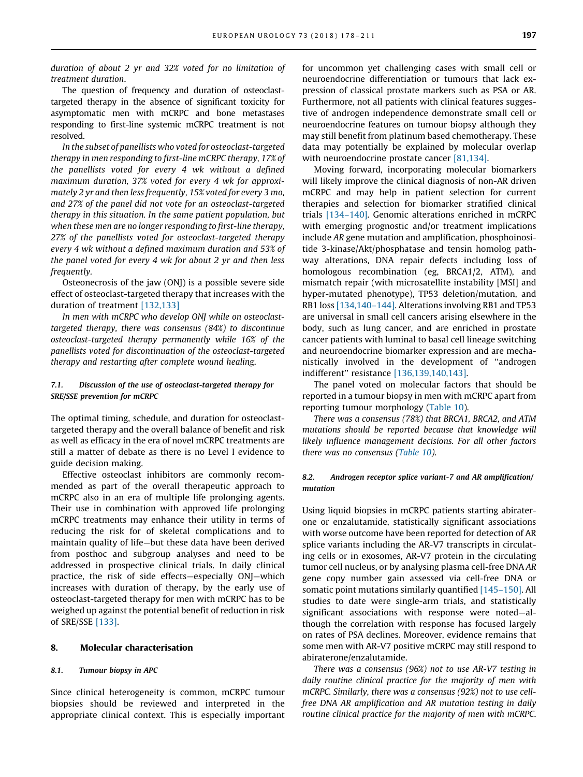duration of about 2 yr and 32% voted for no limitation of treatment duration.

The question of frequency and duration of osteoclasttargeted therapy in the absence of significant toxicity for asymptomatic men with mCRPC and bone metastases responding to first-line systemic mCRPC treatment is not resolved.

In the subset of panellists who voted for osteoclast-targeted therapy in men responding to first-line mCRPC therapy, 17% of the panellists voted for every 4 wk without a defined maximum duration, 37% voted for every 4 wk for approximately 2 yr and then less frequently, 15% voted for every 3 mo, and 27% of the panel did not vote for an osteoclast-targeted therapy in this situation. In the same patient population, but when these men are no longer responding to first-line therapy, 27% of the panellists voted for osteoclast-targeted therapy every 4 wk without a defined maximum duration and 53% of the panel voted for every 4 wk for about 2 yr and then less frequently.

Osteonecrosis of the jaw (ONJ) is a possible severe side effect of osteoclast-targeted therapy that increases with the duration of treatment [132,133]

In men with mCRPC who develop ONJ while on osteoclasttargeted therapy, there was consensus (84%) to discontinue osteoclast-targeted therapy permanently while 16% of the panellists voted for discontinuation of the osteoclast-targeted therapy and restarting after complete wound healing.

## 7.1. Discussion of the use of osteoclast-targeted therapy for SRE/SSE prevention for mCRPC

The optimal timing, schedule, and duration for osteoclasttargeted therapy and the overall balance of benefit and risk as well as efficacy in the era of novel mCRPC treatments are still a matter of debate as there is no Level I evidence to guide decision making.

Effective osteoclast inhibitors are commonly recommended as part of the overall therapeutic approach to mCRPC also in an era of multiple life prolonging agents. Their use in combination with approved life prolonging mCRPC treatments may enhance their utility in terms of reducing the risk for of skeletal complications and to maintain quality of life—but these data have been derived from posthoc and subgroup analyses and need to be addressed in prospective clinical trials. In daily clinical practice, the risk of side effects—especially ONJ—which increases with duration of therapy, by the early use of osteoclast-targeted therapy for men with mCRPC has to be weighed up against the potential benefit of reduction in risk of SRE/SSE [133].

#### 8. Molecular characterisation

#### 8.1. Tumour biopsy in APC

Since clinical heterogeneity is common, mCRPC tumour biopsies should be reviewed and interpreted in the appropriate clinical context. This is especially important

for uncommon yet challenging cases with small cell or neuroendocrine differentiation or tumours that lack expression of classical prostate markers such as PSA or AR. Furthermore, not all patients with clinical features suggestive of androgen independence demonstrate small cell or neuroendocrine features on tumour biopsy although they may still benefit from platinum based chemotherapy. These data may potentially be explained by molecular overlap with neuroendocrine prostate cancer [81,134].

Moving forward, incorporating molecular biomarkers will likely improve the clinical diagnosis of non-AR driven mCRPC and may help in patient selection for current therapies and selection for biomarker stratified clinical trials [134–140]. Genomic alterations enriched in mCRPC with emerging prognostic and/or treatment implications include AR gene mutation and amplification, phosphoinositide 3-kinase/Akt/phosphatase and tensin homolog pathway alterations, DNA repair defects including loss of homologous recombination (eg, BRCA1/2, ATM), and mismatch repair (with microsatellite instability [MSI] and hyper-mutated phenotype), TP53 deletion/mutation, and RB1 loss [134,140–144]. Alterations involving RB1 and TP53 are universal in small cell cancers arising elsewhere in the body, such as lung cancer, and are enriched in prostate cancer patients with luminal to basal cell lineage switching and neuroendocrine biomarker expression and are mechanistically involved in the development of ''androgen indifferent'' resistance [136,139,140,143].

The panel voted on molecular factors that should be reported in a tumour biopsy in men with mCRPC apart from reporting tumour morphology (Table 10).

There was a consensus (78%) that BRCA1, BRCA2, and ATM mutations should be reported because that knowledge will likely influence management decisions. For all other factors there was no consensus (Table 10).

## 8.2. Androgen receptor splice variant-7 and AR amplification/ mutation

Using liquid biopsies in mCRPC patients starting abiraterone or enzalutamide, statistically significant associations with worse outcome have been reported for detection of AR splice variants including the AR-V7 transcripts in circulating cells or in exosomes, AR-V7 protein in the circulating tumor cell nucleus, or by analysing plasma cell-free DNA AR gene copy number gain assessed via cell-free DNA or somatic point mutations similarly quantified [145–150]. All studies to date were single-arm trials, and statistically significant associations with response were noted—although the correlation with response has focused largely on rates of PSA declines. Moreover, evidence remains that some men with AR-V7 positive mCRPC may still respond to abiraterone/enzalutamide.

There was a consensus (96%) not to use AR-V7 testing in daily routine clinical practice for the majority of men with mCRPC. Similarly, there was a consensus (92%) not to use cellfree DNA AR amplification and AR mutation testing in daily routine clinical practice for the majority of men with mCRPC.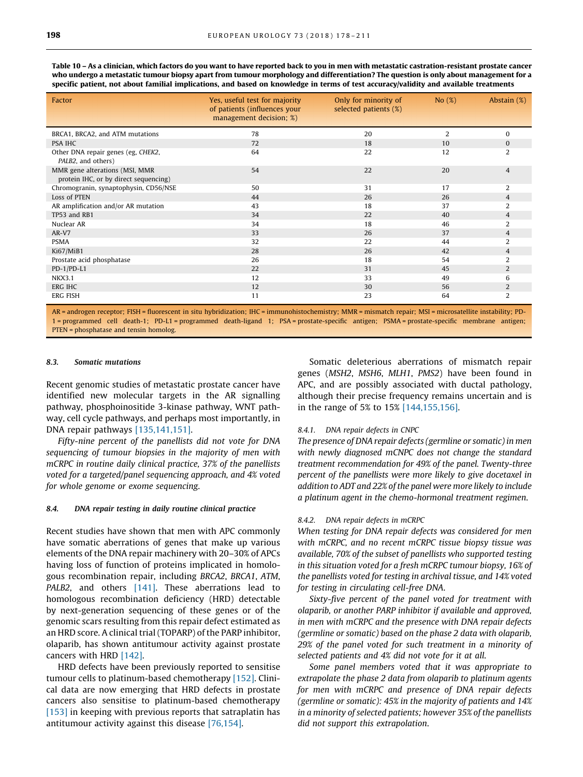Table 10 – As a clinician, which factors do you want to have reported back to you in men with metastatic castration-resistant prostate cancer who undergo a metastatic tumour biopsy apart from tumour morphology and differentiation? The question is only about management for a specific patient, not about familial implications, and based on knowledge in terms of test accuracy/validity and available treatments

| Factor                                                                  | Yes, useful test for majority<br>of patients (influences your<br>management decision; %) | Only for minority of<br>selected patients (%) | No(%) | Abstain (%)  |
|-------------------------------------------------------------------------|------------------------------------------------------------------------------------------|-----------------------------------------------|-------|--------------|
| BRCA1, BRCA2, and ATM mutations                                         | 78                                                                                       | 20                                            | 2     | $\Omega$     |
| <b>PSA IHC</b>                                                          | 72                                                                                       | 18                                            | 10    | $\mathbf{0}$ |
| Other DNA repair genes (eg, CHEK2,<br>PALB2, and others)                | 64                                                                                       | 22                                            | 12    | 2            |
| MMR gene alterations (MSI, MMR<br>protein IHC, or by direct sequencing) | 54                                                                                       | 22                                            | 20    | 4            |
| Chromogranin, synaptophysin, CD56/NSE                                   | 50                                                                                       | 31                                            | 17    | 2            |
| Loss of PTEN                                                            | 44                                                                                       | 26                                            | 26    | 4            |
| AR amplification and/or AR mutation                                     | 43                                                                                       | 18                                            | 37    | 2            |
| TP53 and RB1                                                            | 34                                                                                       | 22                                            | 40    | 4            |
| Nuclear AR                                                              | 34                                                                                       | 18                                            | 46    | 2            |
| AR-V7                                                                   | 33                                                                                       | 26                                            | 37    | 4            |
| <b>PSMA</b>                                                             | 32                                                                                       | 22                                            | 44    | 2            |
| Ki67/MiB1                                                               | 28                                                                                       | 26                                            | 42    | 4            |
| Prostate acid phosphatase                                               | 26                                                                                       | 18                                            | 54    | 2            |
| PD-1/PD-L1                                                              | 22                                                                                       | 31                                            | 45    | 2            |
| <b>NKX3.1</b>                                                           | 12                                                                                       | 33                                            | 49    | 6            |
| ERG IHC                                                                 | 12                                                                                       | 30                                            | 56    | 2            |
| <b>ERG FISH</b>                                                         | 11                                                                                       | 23                                            | 64    | 2            |

AR = androgen receptor; FISH = fluorescent in situ hybridization; IHC = immunohistochemistry; MMR = mismatch repair; MSI = microsatellite instability; PD-1 = programmed cell death-1; PD-L1 = programmed death-ligand 1; PSA = prostate-specific antigen; PSMA = prostate-specific membrane antigen; PTEN = phosphatase and tensin homolog.

#### 8.3. Somatic mutations

Recent genomic studies of metastatic prostate cancer have identified new molecular targets in the AR signalling pathway, phosphoinositide 3-kinase pathway, WNT pathway, cell cycle pathways, and perhaps most importantly, in DNA repair pathways [135,141,151].

Fifty-nine percent of the panellists did not vote for DNA sequencing of tumour biopsies in the majority of men with mCRPC in routine daily clinical practice, 37% of the panellists voted for a targeted/panel sequencing approach, and 4% voted for whole genome or exome sequencing.

#### 8.4. DNA repair testing in daily routine clinical practice

Recent studies have shown that men with APC commonly have somatic aberrations of genes that make up various elements of the DNA repair machinery with 20–30% of APCs having loss of function of proteins implicated in homologous recombination repair, including BRCA2, BRCA1, ATM, PALB2, and others [141]. These aberrations lead to homologous recombination deficiency (HRD) detectable by next-generation sequencing of these genes or of the genomic scars resulting from this repair defect estimated as an HRD score. A clinical trial (TOPARP) of the PARP inhibitor, olaparib, has shown antitumour activity against prostate cancers with HRD [142].

HRD defects have been previously reported to sensitise tumour cells to platinum-based chemotherapy [152]. Clinical data are now emerging that HRD defects in prostate cancers also sensitise to platinum-based chemotherapy [153] in keeping with previous reports that satraplatin has antitumour activity against this disease [76,154].

Somatic deleterious aberrations of mismatch repair genes (MSH2, MSH6, MLH1, PMS2) have been found in APC, and are possibly associated with ductal pathology, although their precise frequency remains uncertain and is in the range of 5% to 15% [144,155,156].

#### 8.4.1. DNA repair defects in CNPC

The presence of DNA repair defects (germline or somatic) in men with newly diagnosed mCNPC does not change the standard treatment recommendation for 49% of the panel. Twenty-three percent of the panellists were more likely to give docetaxel in addition to ADT and 22% of the panel were more likely to include a platinum agent in the chemo-hormonal treatment regimen.

#### 8.4.2. DNA repair defects in mCRPC

When testing for DNA repair defects was considered for men with mCRPC, and no recent mCRPC tissue biopsy tissue was available, 70% of the subset of panellists who supported testing in this situation voted for a fresh mCRPC tumour biopsy, 16% of the panellists voted for testing in archival tissue, and 14% voted for testing in circulating cell-free DNA.

Sixty-five percent of the panel voted for treatment with olaparib, or another PARP inhibitor if available and approved, in men with mCRPC and the presence with DNA repair defects (germline or somatic) based on the phase 2 data with olaparib, 29% of the panel voted for such treatment in a minority of selected patients and 4% did not vote for it at all.

Some panel members voted that it was appropriate to extrapolate the phase 2 data from olaparib to platinum agents for men with mCRPC and presence of DNA repair defects (germline or somatic): 45% in the majority of patients and 14% in a minority of selected patients; however 35% of the panellists did not support this extrapolation.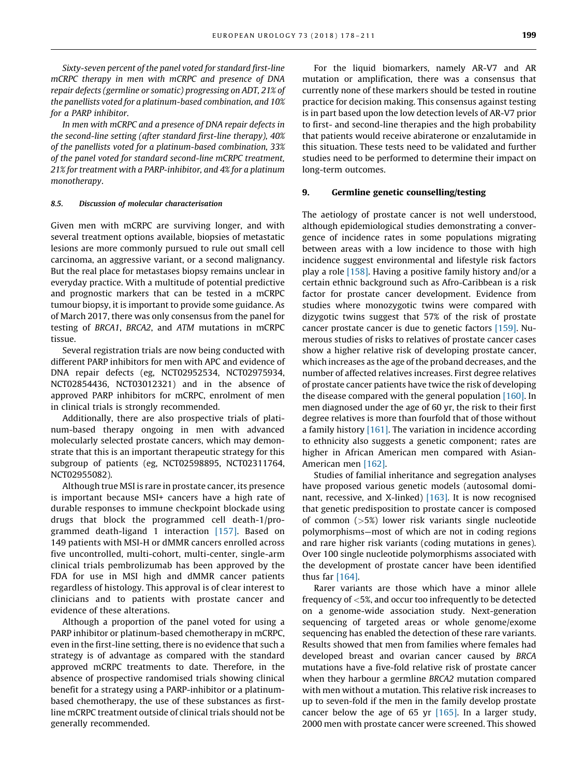Sixty-seven percent of the panel voted for standard first-line mCRPC therapy in men with mCRPC and presence of DNA repair defects (germline or somatic) progressing on ADT, 21% of the panellists voted for a platinum-based combination, and 10% for a PARP inhibitor.

In men with mCRPC and a presence of DNA repair defects in the second-line setting (after standard first-line therapy), 40% of the panellists voted for a platinum-based combination, 33% of the panel voted for standard second-line mCRPC treatment, 21% for treatment with a PARP-inhibitor, and 4% for a platinum monotherapy.

#### 8.5. Discussion of molecular characterisation

Given men with mCRPC are surviving longer, and with several treatment options available, biopsies of metastatic lesions are more commonly pursued to rule out small cell carcinoma, an aggressive variant, or a second malignancy. But the real place for metastases biopsy remains unclear in everyday practice. With a multitude of potential predictive and prognostic markers that can be tested in a mCRPC tumour biopsy, it is important to provide some guidance. As of March 2017, there was only consensus from the panel for testing of BRCA1, BRCA2, and ATM mutations in mCRPC tissue.

Several registration trials are now being conducted with different PARP inhibitors for men with APC and evidence of DNA repair defects (eg, NCT02952534, NCT02975934, NCT02854436, NCT03012321) and in the absence of approved PARP inhibitors for mCRPC, enrolment of men in clinical trials is strongly recommended.

Additionally, there are also prospective trials of platinum-based therapy ongoing in men with advanced molecularly selected prostate cancers, which may demonstrate that this is an important therapeutic strategy for this subgroup of patients (eg, NCT02598895, NCT02311764, NCT02955082).

Although true MSI is rare in prostate cancer, its presence is important because MSI+ cancers have a high rate of durable responses to immune checkpoint blockade using drugs that block the programmed cell death-1/programmed death-ligand 1 interaction [157]. Based on 149 patients with MSI-H or dMMR cancers enrolled across five uncontrolled, multi-cohort, multi-center, single-arm clinical trials pembrolizumab has been approved by the FDA for use in MSI high and dMMR cancer patients regardless of histology. This approval is of clear interest to clinicians and to patients with prostate cancer and evidence of these alterations.

Although a proportion of the panel voted for using a PARP inhibitor or platinum-based chemotherapy in mCRPC, even in the first-line setting, there is no evidence that such a strategy is of advantage as compared with the standard approved mCRPC treatments to date. Therefore, in the absence of prospective randomised trials showing clinical benefit for a strategy using a PARP-inhibitor or a platinumbased chemotherapy, the use of these substances as firstline mCRPC treatment outside of clinical trials should not be generally recommended.

For the liquid biomarkers, namely AR-V7 and AR mutation or amplification, there was a consensus that currently none of these markers should be tested in routine practice for decision making. This consensus against testing is in part based upon the low detection levels of AR-V7 prior to first- and second-line therapies and the high probability that patients would receive abiraterone or enzalutamide in this situation. These tests need to be validated and further studies need to be performed to determine their impact on long-term outcomes.

#### 9. Germline genetic counselling/testing

The aetiology of prostate cancer is not well understood, although epidemiological studies demonstrating a convergence of incidence rates in some populations migrating between areas with a low incidence to those with high incidence suggest environmental and lifestyle risk factors play a role [158]. Having a positive family history and/or a certain ethnic background such as Afro-Caribbean is a risk factor for prostate cancer development. Evidence from studies where monozygotic twins were compared with dizygotic twins suggest that 57% of the risk of prostate cancer prostate cancer is due to genetic factors [159]. Numerous studies of risks to relatives of prostate cancer cases show a higher relative risk of developing prostate cancer, which increases as the age of the proband decreases, and the number of affected relatives increases. First degree relatives of prostate cancer patients have twice the risk of developing the disease compared with the general population [160]. In men diagnosed under the age of 60 yr, the risk to their first degree relatives is more than fourfold that of those without a family history [161]. The variation in incidence according to ethnicity also suggests a genetic component; rates are higher in African American men compared with Asian-American men [162].

Studies of familial inheritance and segregation analyses have proposed various genetic models (autosomal dominant, recessive, and X-linked) [163]. It is now recognised that genetic predisposition to prostate cancer is composed of common (>5%) lower risk variants single nucleotide polymorphisms—most of which are not in coding regions and rare higher risk variants (coding mutations in genes). Over 100 single nucleotide polymorphisms associated with the development of prostate cancer have been identified thus far  $[164]$ .

Rarer variants are those which have a minor allele frequency of <5%, and occur too infrequently to be detected on a genome-wide association study. Next-generation sequencing of targeted areas or whole genome/exome sequencing has enabled the detection of these rare variants. Results showed that men from families where females had developed breast and ovarian cancer caused by BRCA mutations have a five-fold relative risk of prostate cancer when they harbour a germline BRCA2 mutation compared with men without a mutation. This relative risk increases to up to seven-fold if the men in the family develop prostate cancer below the age of 65 yr [165]. In a larger study, 2000 men with prostate cancer were screened. This showed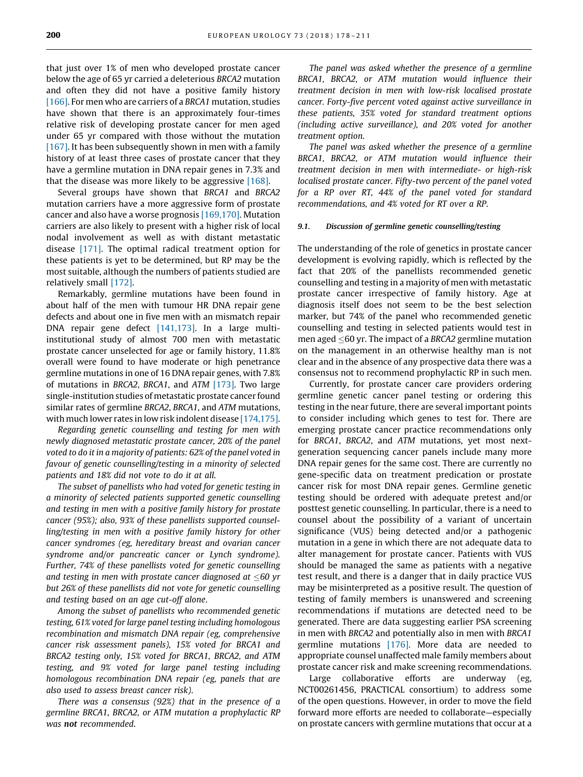have shown that there is an approximately four-times relative risk of developing prostate cancer for men aged under 65 yr compared with those without the mutation [167]. It has been subsequently shown in men with a family history of at least three cases of prostate cancer that they have a germline mutation in DNA repair genes in 7.3% and that the disease was more likely to be aggressive [168].

Several groups have shown that BRCA1 and BRCA2 mutation carriers have a more aggressive form of prostate cancer and also have a worse prognosis [169,170]. Mutation carriers are also likely to present with a higher risk of local nodal involvement as well as with distant metastatic disease [171]. The optimal radical treatment option for these patients is yet to be determined, but RP may be the most suitable, although the numbers of patients studied are relatively small [172].

Remarkably, germline mutations have been found in about half of the men with tumour HR DNA repair gene defects and about one in five men with an mismatch repair DNA repair gene defect [141,173]. In a large multiinstitutional study of almost 700 men with metastatic prostate cancer unselected for age or family history, 11.8% overall were found to have moderate or high penetrance germline mutations in one of 16 DNA repair genes, with 7.8% of mutations in BRCA2, BRCA1, and ATM [173]. Two large single-institution studies of metastatic prostate cancer found similar rates of germline BRCA2, BRCA1, and ATM mutations, with much lower rates in low risk indolent disease [174,175].

Regarding genetic counselling and testing for men with newly diagnosed metastatic prostate cancer, 20% of the panel voted to do it in a majority of patients: 62% of the panel voted in favour of genetic counselling/testing in a minority of selected patients and 18% did not vote to do it at all.

The subset of panellists who had voted for genetic testing in a minority of selected patients supported genetic counselling and testing in men with a positive family history for prostate cancer (95%); also, 93% of these panellists supported counselling/testing in men with a positive family history for other cancer syndromes (eg, hereditary breast and ovarian cancer syndrome and/or pancreatic cancer or Lynch syndrome). Further, 74% of these panellists voted for genetic counselling and testing in men with prostate cancer diagnosed at  $\leq 60$  yr but 26% of these panellists did not vote for genetic counselling and testing based on an age cut-off alone.

Among the subset of panellists who recommended genetic testing, 61% voted for large panel testing including homologous recombination and mismatch DNA repair (eg, comprehensive cancer risk assessment panels), 15% voted for BRCA1 and BRCA2 testing only, 15% voted for BRCA1, BRCA2, and ATM testing, and 9% voted for large panel testing including homologous recombination DNA repair (eg, panels that are also used to assess breast cancer risk).

There was a consensus (92%) that in the presence of a germline BRCA1, BRCA2, or ATM mutation a prophylactic RP was not recommended.

The panel was asked whether the presence of a germline BRCA1, BRCA2, or ATM mutation would influence their treatment decision in men with low-risk localised prostate cancer. Forty-five percent voted against active surveillance in these patients, 35% voted for standard treatment options (including active surveillance), and 20% voted for another treatment option.

The panel was asked whether the presence of a germline BRCA1, BRCA2, or ATM mutation would influence their treatment decision in men with intermediate- or high-risk localised prostate cancer. Fifty-two percent of the panel voted for a RP over RT, 44% of the panel voted for standard recommendations, and 4% voted for RT over a RP.

#### 9.1. Discussion of germline genetic counselling/testing

The understanding of the role of genetics in prostate cancer development is evolving rapidly, which is reflected by the fact that 20% of the panellists recommended genetic counselling and testing in a majority of men with metastatic prostate cancer irrespective of family history. Age at diagnosis itself does not seem to be the best selection marker, but 74% of the panel who recommended genetic counselling and testing in selected patients would test in men aged  $\leq 60$  yr. The impact of a BRCA2 germline mutation on the management in an otherwise healthy man is not clear and in the absence of any prospective data there was a consensus not to recommend prophylactic RP in such men.

Currently, for prostate cancer care providers ordering germline genetic cancer panel testing or ordering this testing in the near future, there are several important points to consider including which genes to test for. There are emerging prostate cancer practice recommendations only for BRCA1, BRCA2, and ATM mutations, yet most nextgeneration sequencing cancer panels include many more DNA repair genes for the same cost. There are currently no gene-specific data on treatment predication or prostate cancer risk for most DNA repair genes. Germline genetic testing should be ordered with adequate pretest and/or posttest genetic counselling. In particular, there is a need to counsel about the possibility of a variant of uncertain significance (VUS) being detected and/or a pathogenic mutation in a gene in which there are not adequate data to alter management for prostate cancer. Patients with VUS should be managed the same as patients with a negative test result, and there is a danger that in daily practice VUS may be misinterpreted as a positive result. The question of testing of family members is unanswered and screening recommendations if mutations are detected need to be generated. There are data suggesting earlier PSA screening in men with BRCA2 and potentially also in men with BRCA1 germline mutations [176]. More data are needed to appropriate counsel unaffected male family members about prostate cancer risk and make screening recommendations.

Large collaborative efforts are underway (eg, NCT00261456, PRACTICAL consortium) to address some of the open questions. However, in order to move the field forward more efforts are needed to collaborate—especially on prostate cancers with germline mutations that occur at a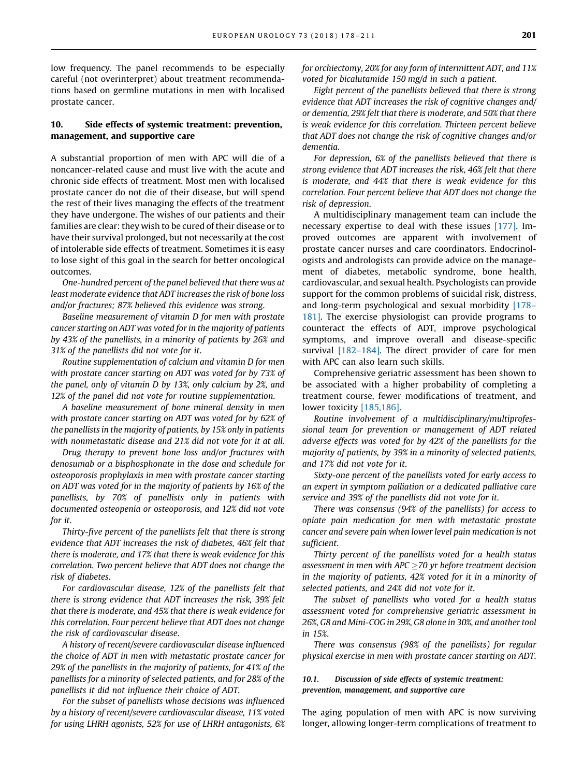low frequency. The panel recommends to be especially careful (not overinterpret) about treatment recommendations based on germline mutations in men with localised prostate cancer.

## 10. Side effects of systemic treatment: prevention, management, and supportive care

A substantial proportion of men with APC will die of a noncancer-related cause and must live with the acute and chronic side effects of treatment. Most men with localised prostate cancer do not die of their disease, but will spend the rest of their lives managing the effects of the treatment they have undergone. The wishes of our patients and their families are clear: they wish to be cured of their disease or to have their survival prolonged, but not necessarily at the cost of intolerable side effects of treatment. Sometimes it is easy to lose sight of this goal in the search for better oncological outcomes.

One-hundred percent of the panel believed that there was at least moderate evidence that ADT increases the risk of bone loss and/or fractures; 87% believed this evidence was strong.

Baseline measurement of vitamin D for men with prostate cancer starting on ADT was voted for in the majority of patients by 43% of the panellists, in a minority of patients by 26% and 31% of the panellists did not vote for it.

Routine supplementation of calcium and vitamin D for men with prostate cancer starting on ADT was voted for by 73% of the panel, only of vitamin D by 13%, only calcium by 2%, and 12% of the panel did not vote for routine supplementation.

A baseline measurement of bone mineral density in men with prostate cancer starting on ADT was voted for by 62% of the panellists in the majority of patients, by 15% only in patients with nonmetastatic disease and 21% did not vote for it at all.

Drug therapy to prevent bone loss and/or fractures with denosumab or a bisphosphonate in the dose and schedule for osteoporosis prophylaxis in men with prostate cancer starting on ADT was voted for in the majority of patients by 16% of the panellists, by 70% of panellists only in patients with documented osteopenia or osteoporosis, and 12% did not vote for it.

Thirty-five percent of the panellists felt that there is strong evidence that ADT increases the risk of diabetes, 46% felt that there is moderate, and 17% that there is weak evidence for this correlation. Two percent believe that ADT does not change the risk of diabetes.

For cardiovascular disease, 12% of the panellists felt that there is strong evidence that ADT increases the risk, 39% felt that there is moderate, and 45% that there is weak evidence for this correlation. Four percent believe that ADT does not change the risk of cardiovascular disease.

A history of recent/severe cardiovascular disease influenced the choice of ADT in men with metastatic prostate cancer for 29% of the panellists in the majority of patients, for 41% of the panellists for a minority of selected patients, and for 28% of the panellists it did not influence their choice of ADT.

For the subset of panellists whose decisions was influenced by a history of recent/severe cardiovascular disease, 11% voted for using LHRH agonists, 52% for use of LHRH antagonists, 6% for orchiectomy, 20% for any form of intermittent ADT, and 11% voted for bicalutamide 150 mg/d in such a patient.

Eight percent of the panellists believed that there is strong evidence that ADT increases the risk of cognitive changes and/ or dementia, 29% felt that there is moderate, and 50% that there is weak evidence for this correlation. Thirteen percent believe that ADT does not change the risk of cognitive changes and/or dementia.

For depression, 6% of the panellists believed that there is strong evidence that ADT increases the risk, 46% felt that there is moderate, and 44% that there is weak evidence for this correlation. Four percent believe that ADT does not change the risk of depression.

A multidisciplinary management team can include the necessary expertise to deal with these issues [177]. Improved outcomes are apparent with involvement of prostate cancer nurses and care coordinators. Endocrinologists and andrologists can provide advice on the management of diabetes, metabolic syndrome, bone health, cardiovascular, and sexual health. Psychologists can provide support for the common problems of suicidal risk, distress, and long-term psychological and sexual morbidity [178– 181]. The exercise physiologist can provide programs to counteract the effects of ADT, improve psychological symptoms, and improve overall and disease-specific survival [182-184]. The direct provider of care for men with APC can also learn such skills.

Comprehensive geriatric assessment has been shown to be associated with a higher probability of completing a treatment course, fewer modifications of treatment, and lower toxicity [185,186].

Routine involvement of a multidisciplinary/multiprofessional team for prevention or management of ADT related adverse effects was voted for by 42% of the panellists for the majority of patients, by 39% in a minority of selected patients, and 17% did not vote for it.

Sixty-one percent of the panellists voted for early access to an expert in symptom palliation or a dedicated palliative care service and 39% of the panellists did not vote for it.

There was consensus (94% of the panellists) for access to opiate pain medication for men with metastatic prostate cancer and severe pain when lower level pain medication is not sufficient.

Thirty percent of the panellists voted for a health status assessment in men with APC  ${\geq}70$  yr before treatment decision in the majority of patients, 42% voted for it in a minority of selected patients, and 24% did not vote for it.

The subset of panellists who voted for a health status assessment voted for comprehensive geriatric assessment in 26%, G8 and Mini-COG in 29%, G8 alone in 30%, and another tool in 15%.

There was consensus (98% of the panellists) for regular physical exercise in men with prostate cancer starting on ADT.

## 10.1. Discussion of side effects of systemic treatment: prevention, management, and supportive care

The aging population of men with APC is now surviving longer, allowing longer-term complications of treatment to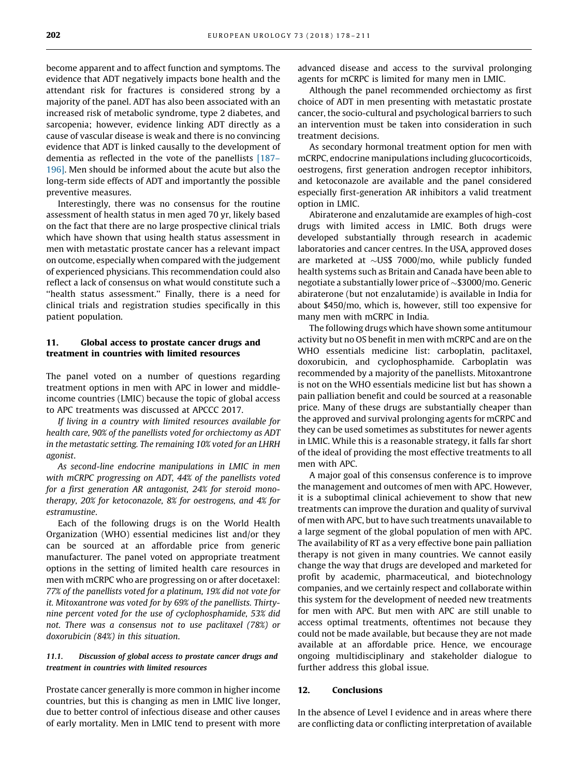become apparent and to affect function and symptoms. The evidence that ADT negatively impacts bone health and the attendant risk for fractures is considered strong by a majority of the panel. ADT has also been associated with an increased risk of metabolic syndrome, type 2 diabetes, and sarcopenia; however, evidence linking ADT directly as a cause of vascular disease is weak and there is no convincing evidence that ADT is linked causally to the development of dementia as reflected in the vote of the panellists [187– 196]. Men should be informed about the acute but also the long-term side effects of ADT and importantly the possible preventive measures.

Interestingly, there was no consensus for the routine assessment of health status in men aged 70 yr, likely based on the fact that there are no large prospective clinical trials which have shown that using health status assessment in men with metastatic prostate cancer has a relevant impact on outcome, especially when compared with the judgement of experienced physicians. This recommendation could also reflect a lack of consensus on what would constitute such a ''health status assessment.'' Finally, there is a need for clinical trials and registration studies specifically in this patient population.

## 11. Global access to prostate cancer drugs and treatment in countries with limited resources

The panel voted on a number of questions regarding treatment options in men with APC in lower and middleincome countries (LMIC) because the topic of global access to APC treatments was discussed at APCCC 2017.

If living in a country with limited resources available for health care, 90% of the panellists voted for orchiectomy as ADT in the metastatic setting. The remaining 10% voted for an LHRH agonist.

As second-line endocrine manipulations in LMIC in men with mCRPC progressing on ADT, 44% of the panellists voted for a first generation AR antagonist, 24% for steroid monotherapy, 20% for ketoconazole, 8% for oestrogens, and 4% for estramustine.

Each of the following drugs is on the World Health Organization (WHO) essential medicines list and/or they can be sourced at an affordable price from generic manufacturer. The panel voted on appropriate treatment options in the setting of limited health care resources in men with mCRPC who are progressing on or after docetaxel: 77% of the panellists voted for a platinum, 19% did not vote for it. Mitoxantrone was voted for by 69% of the panellists. Thirtynine percent voted for the use of cyclophosphamide, 53% did not. There was a consensus not to use paclitaxel (78%) or doxorubicin (84%) in this situation.

## 11.1. Discussion of global access to prostate cancer drugs and treatment in countries with limited resources

Prostate cancer generally is more common in higher income countries, but this is changing as men in LMIC live longer, due to better control of infectious disease and other causes of early mortality. Men in LMIC tend to present with more

advanced disease and access to the survival prolonging agents for mCRPC is limited for many men in LMIC.

Although the panel recommended orchiectomy as first choice of ADT in men presenting with metastatic prostate cancer, the socio-cultural and psychological barriers to such an intervention must be taken into consideration in such treatment decisions.

As secondary hormonal treatment option for men with mCRPC, endocrine manipulations including glucocorticoids, oestrogens, first generation androgen receptor inhibitors, and ketoconazole are available and the panel considered especially first-generation AR inhibitors a valid treatment option in LMIC.

Abiraterone and enzalutamide are examples of high-cost drugs with limited access in LMIC. Both drugs were developed substantially through research in academic laboratories and cancer centres. In the USA, approved doses are marketed at  $\sim$ US\$ 7000/mo, while publicly funded health systems such as Britain and Canada have been able to negotiate a substantially lower price of  $\sim$ \$3000/mo. Generic abiraterone (but not enzalutamide) is available in India for about \$450/mo, which is, however, still too expensive for many men with mCRPC in India.

The following drugs which have shown some antitumour activity but no OS benefit in men with mCRPC and are on the WHO essentials medicine list: carboplatin, paclitaxel, doxorubicin, and cyclophosphamide. Carboplatin was recommended by a majority of the panellists. Mitoxantrone is not on the WHO essentials medicine list but has shown a pain palliation benefit and could be sourced at a reasonable price. Many of these drugs are substantially cheaper than the approved and survival prolonging agents for mCRPC and they can be used sometimes as substitutes for newer agents in LMIC. While this is a reasonable strategy, it falls far short of the ideal of providing the most effective treatments to all men with APC.

A major goal of this consensus conference is to improve the management and outcomes of men with APC. However, it is a suboptimal clinical achievement to show that new treatments can improve the duration and quality of survival of men with APC, but to have such treatments unavailable to a large segment of the global population of men with APC. The availability of RT as a very effective bone pain palliation therapy is not given in many countries. We cannot easily change the way that drugs are developed and marketed for profit by academic, pharmaceutical, and biotechnology companies, and we certainly respect and collaborate within this system for the development of needed new treatments for men with APC. But men with APC are still unable to access optimal treatments, oftentimes not because they could not be made available, but because they are not made available at an affordable price. Hence, we encourage ongoing multidisciplinary and stakeholder dialogue to further address this global issue.

## 12. Conclusions

In the absence of Level I evidence and in areas where there are conflicting data or conflicting interpretation of available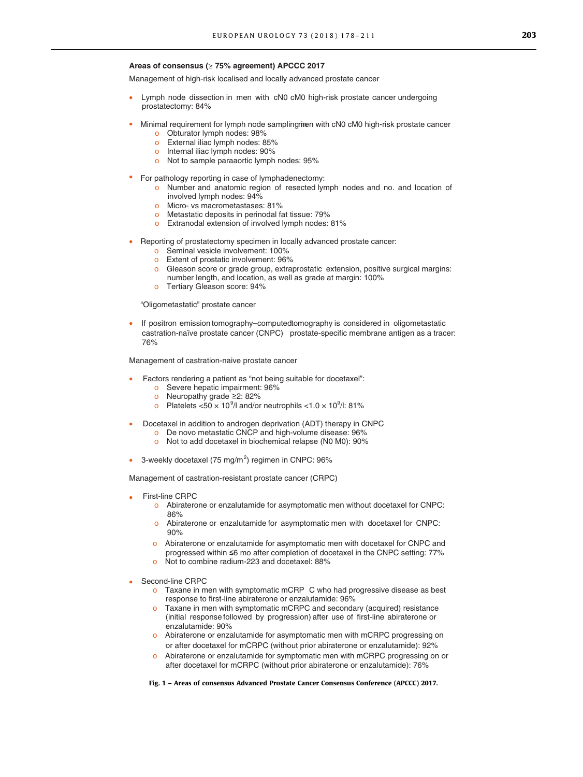#### **Areas of consensus (**≥ **75% agreement) APCCC 2017**

Management of high-risk localised and locally advanced prostate cancer

- Lymph node dissection in men with cN0 cM0 high-risk prostate cancer undergoing prostatectomy: 84%
- Minimal requirement for lymph node sampling men with cN0 cM0 high-risk prostate cancer
	- o Obturator lymph nodes: 98%
	- o External iliac lymph nodes: 85%
	- o Internal iliac lymph nodes: 90%
	- o Not to sample paraaortic lymph nodes: 95%
- For pathology reporting in case of lymphadenectomy:
	- o Number and anatomic region of resected lymph nodes and no. and location of involved lymph nodes: 94%
		- o Micro- vs macrometastases: 81%
		- o Metastatic deposits in perinodal fat tissue: 79%
		- o Extranodal extension of involved lymph nodes: 81%
- Reporting of prostatectomy specimen in locally advanced prostate cancer:
	- o Seminal vesicle involvement: 100%
	- o Extent of prostatic involvement: 96%
	- Gleason score or grade group, extraprostatic extension, positive surgical margins:
	- number length, and location, as well as grade at margin: 100%
	- Tertiary Gleason score: 94%

"Oligometastatic" prostate cancer

If positron emission tomography–computed tomography is considered in oligometastatic castration-naïve prostate cancer (CNPC) prostate-specific membrane antigen as a tracer: 76%

Management of castration-naive prostate cancer

- Factors rendering a patient as "not being suitable for docetaxel": •
	- o Severe hepatic impairment: 96%
	- o Neuropathy grade ≥2: 82%
	- o Platelets <50  $\times$  10<sup>9</sup>/l and/or neutrophils <1.0  $\times$  10<sup>9</sup>/l: 81%
- Docetaxel in addition to androgen deprivation (ADT) therapy in CNPC o De novo metastatic CNCP and high-volume disease: 96% •
	- o Not to add docetaxel in biochemical relapse (N0 M0): 90%
	-
- 3-weekly docetaxel  $(75 \text{ mg/m}^2)$  regimen in CNPC: 96%

Management of castration-resistant prostate cancer (CRPC)

- First-line CRPC
	- o Abiraterone or enzalutamide for asymptomatic men without docetaxel for CNPC: 86%
	- o Abiraterone or enzalutamide for asymptomatic men with docetaxel for CNPC: 90%
	- o Abiraterone or enzalutamide for asymptomatic men with docetaxel for CNPC and progressed within ≤6 mo after completion of docetaxel in the CNPC setting: 77%
	- o Not to combine radium-223 and docetaxel: 88%
- Second-line CRPC
	- o Taxane in men with symptomatic mCRP C who had progressive disease as best response to first-line abiraterone or enzalutamide: 96%
	- Taxane in men with symptomatic mCRPC and secondary (acquired) resistance (initial response followed by progression) after use of first-line abiraterone or enzalutamide: 90%
	- o Abiraterone or enzalutamide for asymptomatic men with mCRPC progressing on or after docetaxel for mCRPC (without prior abiraterone or enzalutamide): 92%
	- o Abiraterone or enzalutamide for symptomatic men with mCRPC progressing on or after docetaxel for mCRPC (without prior abiraterone or enzalutamide): 76%

#### Fig. 1 – Areas of consensus Advanced Prostate Cancer Consensus Conference (APCCC) 2017.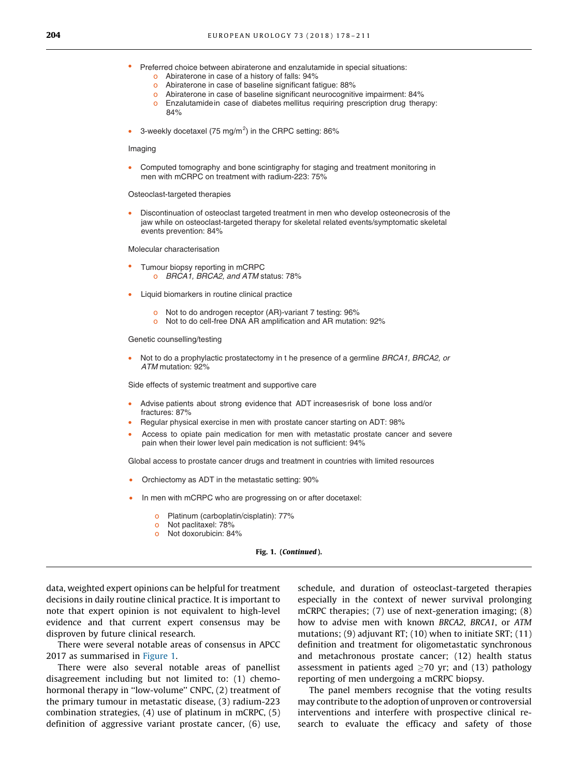- Preferred choice between abiraterone and enzalutamide in special situations:
	- o Abiraterone in case of a history of falls: 94%
	- o Abiraterone in case of baseline significant fatigue: 88%
	- o Abiraterone in case of baseline significant neurocognitive impairment: 84%
	- o Enzalutamide in case of diabetes mellitus requiring prescription drug therapy: 84%
- 3-weekly docetaxel (75 mg/m<sup>2</sup>) in the CRPC setting: 86%

#### Imaging

• Computed tomography and bone scintigraphy for staging and treatment monitoring in men with mCRPC on treatment with radium-223: 75%

Osteoclast-targeted therapies

• Discontinuation of osteoclast targeted treatment in men who develop osteonecrosis of the jaw while on osteoclast-targeted therapy for skeletal related events/symptomatic skeletal events prevention: 84%

Molecular characterisation

- Tumour biopsy reporting in mCRPC o *BRCA1, BRCA2, and ATM* status: 78%
- Liquid biomarkers in routine clinical practice
	- o Not to do androgen receptor (AR)-variant 7 testing: 96%
	- o Not to do cell-free DNA AR amplification and AR mutation: 92%

Genetic counselling/testing

• Not to do a prophylactic prostatectomy in t he presence of a germline *BRCA1, BRCA2, or ATM* mutation: 92%

Side effects of systemic treatment and supportive care

- Advise patients about strong evidence that ADT increases risk of bone loss and/or fractures: 87%
- Regular physical exercise in men with prostate cancer starting on ADT: 98%
- Access to opiate pain medication for men with metastatic prostate cancer and severe pain when their lower level pain medication is not sufficient: 94%

Global access to prostate cancer drugs and treatment in countries with limited resources

- Orchiectomy as ADT in the metastatic setting: 90%
- In men with mCRPC who are progressing on or after docetaxel:
	- o Platinum (carboplatin/cisplatin): 77%
	- o Not paclitaxel: 78%
	- o Not doxorubicin: 84%

#### Fig. 1. (Continued).

data, weighted expert opinions can be helpful for treatment decisions in daily routine clinical practice. It is important to note that expert opinion is not equivalent to high-level evidence and that current expert consensus may be disproven by future clinical research.

There were several notable areas of consensus in APCC 2017 as summarised in Figure 1.

There were also several notable areas of panellist disagreement including but not limited to: (1) chemohormonal therapy in "low-volume" CNPC, (2) treatment of the primary tumour in metastatic disease, (3) radium-223 combination strategies, (4) use of platinum in mCRPC, (5) definition of aggressive variant prostate cancer, (6) use,

schedule, and duration of osteoclast-targeted therapies especially in the context of newer survival prolonging mCRPC therapies; (7) use of next-generation imaging; (8) how to advise men with known BRCA2, BRCA1, or ATM mutations; (9) adjuvant RT; (10) when to initiate SRT; (11) definition and treatment for oligometastatic synchronous and metachronous prostate cancer; (12) health status assessment in patients aged  $\geq$ 70 yr; and (13) pathology reporting of men undergoing a mCRPC biopsy.

The panel members recognise that the voting results may contribute to the adoption of unproven or controversial interventions and interfere with prospective clinical research to evaluate the efficacy and safety of those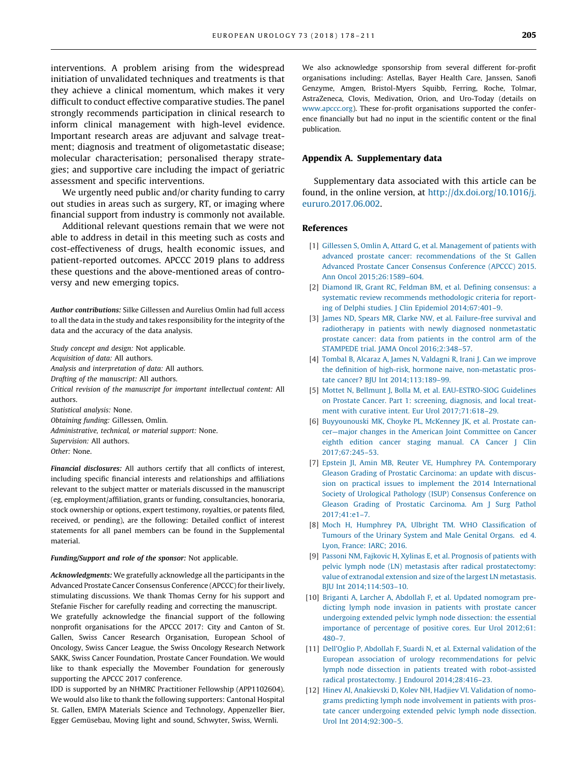interventions. A problem arising from the widespread initiation of unvalidated techniques and treatments is that they achieve a clinical momentum, which makes it very difficult to conduct effective comparative studies. The panel strongly recommends participation in clinical research to inform clinical management with high-level evidence. Important research areas are adjuvant and salvage treatment; diagnosis and treatment of oligometastatic disease; molecular characterisation; personalised therapy strategies; and supportive care including the impact of geriatric assessment and specific interventions.

We urgently need public and/or charity funding to carry out studies in areas such as surgery, RT, or imaging where financial support from industry is commonly not available.

Additional relevant questions remain that we were not able to address in detail in this meeting such as costs and cost-effectiveness of drugs, health economic issues, and patient-reported outcomes. APCCC 2019 plans to address these questions and the above-mentioned areas of controversy and new emerging topics.

Author contributions: Silke Gillessen and Aurelius Omlin had full access to all the data in the study and takes responsibility for the integrity of the data and the accuracy of the data analysis.

Study concept and design: Not applicable. Acquisition of data: All authors. Analysis and interpretation of data: All authors. Drafting of the manuscript: All authors. Critical revision of the manuscript for important intellectual content: All authors. Statistical analysis: None. Obtaining funding: Gillessen, Omlin. Administrative, technical, or material support: None. Supervision: All authors. Other: None.

Financial disclosures: All authors certify that all conflicts of interest, including specific financial interests and relationships and affiliations relevant to the subject matter or materials discussed in the manuscript (eg, employment/affiliation, grants or funding, consultancies, honoraria, stock ownership or options, expert testimony, royalties, or patents filed, received, or pending), are the following: Detailed conflict of interest statements for all panel members can be found in the Supplemental material.

#### Funding/Support and role of the sponsor: Not applicable.

Acknowledgments: We gratefully acknowledge all the participants in the Advanced Prostate Cancer Consensus Conference (APCCC) for their lively, stimulating discussions. We thank Thomas Cerny for his support and Stefanie Fischer for carefully reading and correcting the manuscript.

We gratefully acknowledge the financial support of the following nonprofit organisations for the APCCC 2017: City and Canton of St. Gallen, Swiss Cancer Research Organisation, European School of Oncology, Swiss Cancer League, the Swiss Oncology Research Network SAKK, Swiss Cancer Foundation, Prostate Cancer Foundation. We would like to thank especially the Movember Foundation for generously supporting the APCCC 2017 conference.

IDD is supported by an NHMRC Practitioner Fellowship (APP1102604). We would also like to thank the following supporters: Cantonal Hospital St. Gallen, EMPA Materials Science and Technology, Appenzeller Bier, Egger Gemüsebau, Moving light and sound, Schwyter, Swiss, Wernli.

We also acknowledge sponsorship from several different for-profit organisations including: Astellas, Bayer Health Care, Janssen, Sanofi Genzyme, Amgen, Bristol-Myers Squibb, Ferring, Roche, Tolmar, AstraZeneca, Clovis, Medivation, Orion, and Uro-Today (details on www.apccc.org). These for-profit organisations supported the conference financially but had no input in the scientific content or the final publication.

## Appendix A. Supplementary data

Supplementary data associated with this article can be found, in the online version, at http://dx.doi.org/10.1016/j. eururo.2017.06.002.

#### References

- [1] Gillessen S, Omlin A, Attard G, et al. Management of patients with advanced prostate cancer: recommendations of the St Gallen Advanced Prostate Cancer Consensus Conference (APCCC) 2015. Ann Oncol 2015;26:1589–604.
- [2] Diamond IR, Grant RC, Feldman BM, et al. Defining consensus: a systematic review recommends methodologic criteria for reporting of Delphi studies. J Clin Epidemiol 2014;67:401–9.
- [3] James ND, Spears MR, Clarke NW, et al. Failure-free survival and radiotherapy in patients with newly diagnosed nonmetastatic prostate cancer: data from patients in the control arm of the STAMPEDE trial. JAMA Oncol 2016;2:348–57.
- [4] Tombal B, Alcaraz A, James N, Valdagni R, Irani J. Can we improve the definition of high-risk, hormone naive, non-metastatic prostate cancer? BJU Int 2014;113:189–99.
- [5] Mottet N, Bellmunt J, Bolla M, et al. EAU-ESTRO-SIOG Guidelines on Prostate Cancer. Part 1: screening, diagnosis, and local treatment with curative intent. Eur Urol 2017;71:618–29.
- [6] Buyyounouski MK, Choyke PL, McKenney JK, et al. Prostate cancer—major changes in the American Joint Committee on Cancer eighth edition cancer staging manual. CA Cancer J Clin 2017;67:245–53.
- [7] Epstein JI, Amin MB, Reuter VE, Humphrey PA. Contemporary Gleason Grading of Prostatic Carcinoma: an update with discussion on practical issues to implement the 2014 International Society of Urological Pathology (ISUP) Consensus Conference on Gleason Grading of Prostatic Carcinoma. Am J Surg Pathol 2017;41:e1–7.
- [8] Moch H, Humphrey PA, Ulbright TM. WHO Classification of Tumours of the Urinary System and Male Genital Organs. ed 4. Lyon, France: IARC; 2016.
- [9] Passoni NM, Fajkovic H, Xylinas E, et al. Prognosis of patients with pelvic lymph node (LN) metastasis after radical prostatectomy: value of extranodal extension and size of the largest LN metastasis. BJU Int 2014;114:503–10.
- [10] Briganti A, Larcher A, Abdollah F, et al. Updated nomogram predicting lymph node invasion in patients with prostate cancer undergoing extended pelvic lymph node dissection: the essential importance of percentage of positive cores. Eur Urol 2012;61: 480–7.
- [11] Dell'Oglio P, Abdollah F, Suardi N, et al. External validation of the European association of urology recommendations for pelvic lymph node dissection in patients treated with robot-assisted radical prostatectomy. J Endourol 2014;28:416–23.
- [12] Hinev AI, Anakievski D, Kolev NH, Hadjiev VI. Validation of nomograms predicting lymph node involvement in patients with prostate cancer undergoing extended pelvic lymph node dissection. Urol Int 2014;92:300–5.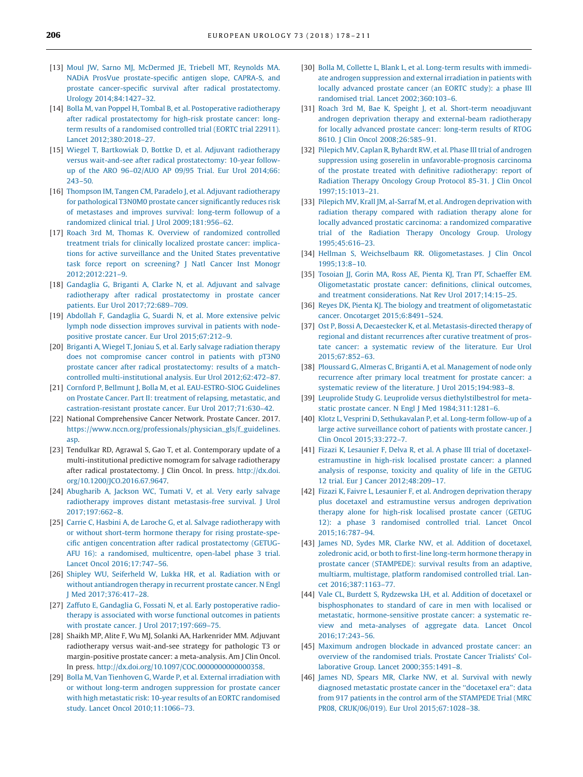- [13] Moul JW, Sarno MJ, McDermed JE, Triebell MT, Reynolds MA. NADiA ProsVue prostate-specific antigen slope, CAPRA-S, and prostate cancer-specific survival after radical prostatectomy. Urology 2014;84:1427–32.
- [14] Bolla M, van Poppel H, Tombal B, et al. Postoperative radiotherapy after radical prostatectomy for high-risk prostate cancer: longterm results of a randomised controlled trial (EORTC trial 22911). Lancet 2012;380:2018–27.
- [15] Wiegel T, Bartkowiak D, Bottke D, et al. Adjuvant radiotherapy versus wait-and-see after radical prostatectomy: 10-year followup of the ARO 96–02/AUO AP 09/95 Trial. Eur Urol 2014;66: 243–50.
- [16] Thompson IM, Tangen CM, Paradelo J, et al. Adjuvant radiotherapy for pathological T3N0M0 prostate cancer significantly reduces risk of metastases and improves survival: long-term followup of a randomized clinical trial. J Urol 2009;181:956–62.
- [17] Roach 3rd M, Thomas K. Overview of randomized controlled treatment trials for clinically localized prostate cancer: implications for active surveillance and the United States preventative task force report on screening? J Natl Cancer Inst Monogr 2012;2012:221–9.
- [18] Gandaglia G, Briganti A, Clarke N, et al. Adjuvant and salvage radiotherapy after radical prostatectomy in prostate cancer patients. Eur Urol 2017;72:689–709.
- [19] Abdollah F, Gandaglia G, Suardi N, et al. More extensive pelvic lymph node dissection improves survival in patients with nodepositive prostate cancer. Eur Urol 2015;67:212–9.
- [20] Briganti A, Wiegel T, Joniau S, et al. Early salvage radiation therapy does not compromise cancer control in patients with pT3N0 prostate cancer after radical prostatectomy: results of a matchcontrolled multi-institutional analysis. Eur Urol 2012;62:472–87.
- [21] Cornford P, Bellmunt J, Bolla M, et al. EAU-ESTRO-SIOG Guidelines on Prostate Cancer. Part II: treatment of relapsing, metastatic, and castration-resistant prostate cancer. Eur Urol 2017;71:630–42.
- [22] National Comprehensive Cancer Network. Prostate Cancer. 2017. https://www.nccn.org/professionals/physician\_gls/f\_guidelines. asp.
- [23] Tendulkar RD, Agrawal S, Gao T, et al. Contemporary update of a multi-institutional predictive nomogram for salvage radiotherapy after radical prostatectomy. J Clin Oncol. In press. http://dx.doi. org/10.1200/JCO.2016.67.9647.
- [24] Abugharib A, Jackson WC, Tumati V, et al. Very early salvage radiotherapy improves distant metastasis-free survival. J Urol 2017;197:662–8.
- [25] Carrie C, Hasbini A, de Laroche G, et al. Salvage radiotherapy with or without short-term hormone therapy for rising prostate-specific antigen concentration after radical prostatectomy (GETUG-AFU 16): a randomised, multicentre, open-label phase 3 trial. Lancet Oncol 2016;17:747–56.
- [26] Shipley WU, Seiferheld W, Lukka HR, et al. Radiation with or without antiandrogen therapy in recurrent prostate cancer. N Engl J Med 2017;376:417–28.
- [27] Zaffuto E, Gandaglia G, Fossati N, et al. Early postoperative radiotherapy is associated with worse functional outcomes in patients with prostate cancer. J Urol 2017;197:669–75.
- [28] Shaikh MP, Alite F, Wu MJ, Solanki AA, Harkenrider MM. Adjuvant radiotherapy versus wait-and-see strategy for pathologic T3 or margin-positive prostate cancer: a meta-analysis. Am J Clin Oncol. In press. http://dx.doi.org/10.1097/COC.0000000000000358.
- [29] Bolla M, Van Tienhoven G, Warde P, et al. External irradiation with or without long-term androgen suppression for prostate cancer with high metastatic risk: 10-year results of an EORTC randomised study. Lancet Oncol 2010;11:1066–73.
- [30] Bolla M, Collette L, Blank L, et al. Long-term results with immediate androgen suppression and external irradiation in patients with locally advanced prostate cancer (an EORTC study): a phase III randomised trial. Lancet 2002;360:103–6.
- [31] Roach 3rd M, Bae K, Speight J, et al. Short-term neoadjuvant androgen deprivation therapy and external-beam radiotherapy for locally advanced prostate cancer: long-term results of RTOG 8610. J Clin Oncol 2008;26:585–91.
- [32] Pilepich MV, Caplan R, Byhardt RW, et al. Phase III trial of androgen suppression using goserelin in unfavorable-prognosis carcinoma of the prostate treated with definitive radiotherapy: report of Radiation Therapy Oncology Group Protocol 85-31. J Clin Oncol 1997;15:1013–21.
- [33] Pilepich MV, Krall JM, al-Sarraf M, et al. Androgen deprivation with radiation therapy compared with radiation therapy alone for locally advanced prostatic carcinoma: a randomized comparative trial of the Radiation Therapy Oncology Group. Urology 1995;45:616–23.
- [34] Hellman S, Weichselbaum RR. Oligometastases. J Clin Oncol 1995;13:8–10.
- [35] Tosoian JJ, Gorin MA, Ross AE, Pienta KJ, Tran PT, Schaeffer EM. Oligometastatic prostate cancer: definitions, clinical outcomes, and treatment considerations. Nat Rev Urol 2017;14:15–25.
- [36] Reyes DK, Pienta KJ. The biology and treatment of oligometastatic cancer. Oncotarget 2015;6:8491–524.
- [37] Ost P, Bossi A, Decaestecker K, et al. Metastasis-directed therapy of regional and distant recurrences after curative treatment of prostate cancer: a systematic review of the literature. Eur Urol 2015;67:852–63.
- [38] Ploussard G, Almeras C, Briganti A, et al. Management of node only recurrence after primary local treatment for prostate cancer: a systematic review of the literature. J Urol 2015;194:983-8.
- [39] Leuprolide Study G. Leuprolide versus diethylstilbestrol for metastatic prostate cancer. N Engl J Med 1984;311:1281–6.
- [40] Klotz L, Vesprini D, Sethukavalan P, et al. Long-term follow-up of a large active surveillance cohort of patients with prostate cancer. J Clin Oncol 2015;33:272–7.
- [41] Fizazi K, Lesaunier F, Delva R, et al. A phase III trial of docetaxelestramustine in high-risk localised prostate cancer: a planned analysis of response, toxicity and quality of life in the GETUG 12 trial. Eur J Cancer 2012;48:209–17.
- [42] Fizazi K, Faivre L, Lesaunier F, et al. Androgen deprivation therapy plus docetaxel and estramustine versus androgen deprivation therapy alone for high-risk localised prostate cancer (GETUG 12): a phase 3 randomised controlled trial. Lancet Oncol 2015;16:787–94.
- [43] James ND, Sydes MR, Clarke NW, et al. Addition of docetaxel, zoledronic acid, or both to first-line long-term hormone therapy in prostate cancer (STAMPEDE): survival results from an adaptive, multiarm, multistage, platform randomised controlled trial. Lancet 2016;387:1163–77.
- [44] Vale CL, Burdett S, Rydzewska LH, et al. Addition of docetaxel or bisphosphonates to standard of care in men with localised or metastatic, hormone-sensitive prostate cancer: a systematic review and meta-analyses of aggregate data. Lancet Oncol 2016;17:243–56.
- [45] Maximum androgen blockade in advanced prostate cancer: an overview of the randomised trials. Prostate Cancer Trialists' Collaborative Group. Lancet 2000;355:1491–8.
- [46] James ND, Spears MR, Clarke NW, et al. Survival with newly diagnosed metastatic prostate cancer in the ''docetaxel era'': data from 917 patients in the control arm of the STAMPEDE Trial (MRC PR08, CRUK/06/019). Eur Urol 2015;67:1028–38.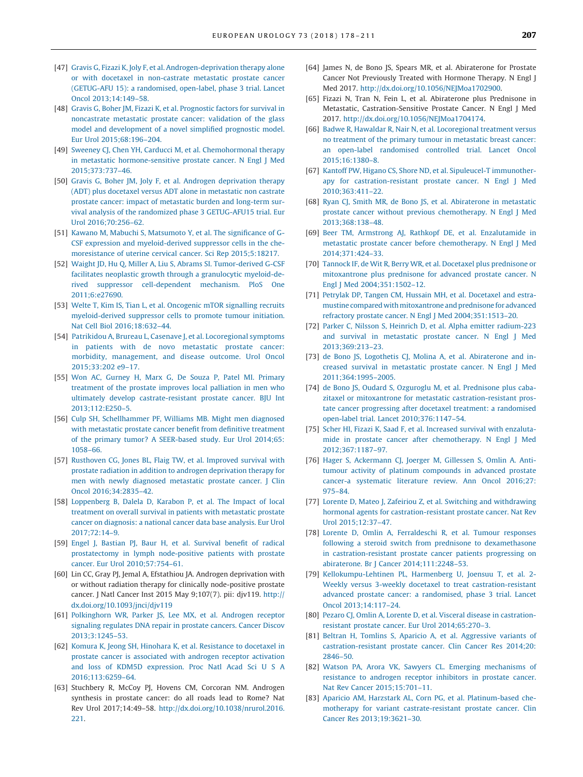- [47] Gravis G, Fizazi K, Joly F, et al. Androgen-deprivation therapy alone or with docetaxel in non-castrate metastatic prostate cancer (GETUG-AFU 15): a randomised, open-label, phase 3 trial. Lancet Oncol 2013;14:149–58.
- [48] Gravis G, Boher JM, Fizazi K, et al. Prognostic factors for survival in noncastrate metastatic prostate cancer: validation of the glass model and development of a novel simplified prognostic model. Eur Urol 2015;68:196–204.
- [49] Sweeney CJ, Chen YH, Carducci M, et al. Chemohormonal therapy in metastatic hormone-sensitive prostate cancer. N Engl J Med 2015;373:737–46.
- [50] Gravis G, Boher JM, Joly F, et al. Androgen deprivation therapy (ADT) plus docetaxel versus ADT alone in metastatic non castrate prostate cancer: impact of metastatic burden and long-term survival analysis of the randomized phase 3 GETUG-AFU15 trial. Eur Urol 2016;70:256–62.
- [51] Kawano M, Mabuchi S, Matsumoto Y, et al. The significance of G-CSF expression and myeloid-derived suppressor cells in the chemoresistance of uterine cervical cancer. Sci Rep 2015;5:18217.
- [52] Waight JD, Hu Q, Miller A, Liu S, Abrams SI. Tumor-derived G-CSF facilitates neoplastic growth through a granulocytic myeloid-derived suppressor cell-dependent mechanism. PloS One 2011;6:e27690.
- [53] Welte T, Kim IS, Tian L, et al. Oncogenic mTOR signalling recruits myeloid-derived suppressor cells to promote tumour initiation. Nat Cell Biol 2016;18:632–44.
- [54] Patrikidou A, Brureau L, Casenave J, et al. Locoregional symptoms in patients with de novo metastatic prostate cancer: morbidity, management, and disease outcome. Urol Oncol 2015;33:202 e9–17.
- [55] Won AC, Gurney H, Marx G, De Souza P, Patel MI. Primary treatment of the prostate improves local palliation in men who ultimately develop castrate-resistant prostate cancer. BJU Int 2013;112:E250–5.
- [56] Culp SH, Schellhammer PF, Williams MB. Might men diagnosed with metastatic prostate cancer benefit from definitive treatment of the primary tumor? A SEER-based study. Eur Urol 2014;65: 1058–66.
- [57] Rusthoven CG, Jones BL, Flaig TW, et al. Improved survival with prostate radiation in addition to androgen deprivation therapy for men with newly diagnosed metastatic prostate cancer. J Clin Oncol 2016;34:2835–42.
- [58] Loppenberg B, Dalela D, Karabon P, et al. The Impact of local treatment on overall survival in patients with metastatic prostate cancer on diagnosis: a national cancer data base analysis. Eur Urol 2017;72:14–9.
- [59] Engel J, Bastian PJ, Baur H, et al. Survival benefit of radical prostatectomy in lymph node-positive patients with prostate cancer. Eur Urol 2010;57:754–61.
- [60] Lin CC, Gray PJ, Jemal A, Efstathiou JA. Androgen deprivation with or without radiation therapy for clinically node-positive prostate cancer. J Natl Cancer Inst 2015 May 9;107(7). pii: djv119. http:// dx.doi.org/10.1093/jnci/djv119
- [61] Polkinghorn WR, Parker JS, Lee MX, et al. Androgen receptor signaling regulates DNA repair in prostate cancers. Cancer Discov 2013;3:1245–53.
- [62] Komura K, Jeong SH, Hinohara K, et al. Resistance to docetaxel in prostate cancer is associated with androgen receptor activation and loss of KDM5D expression. Proc Natl Acad Sci U S A 2016;113:6259–64.
- [63] Stuchbery R, McCoy PJ, Hovens CM, Corcoran NM. Androgen synthesis in prostate cancer: do all roads lead to Rome? Nat Rev Urol 2017;14:49–58. http://dx.doi.org/10.1038/nrurol.2016. 221.
- [64] James N, de Bono JS, Spears MR, et al. Abiraterone for Prostate Cancer Not Previously Treated with Hormone Therapy. N Engl J Med 2017. http://dx.doi.org/10.1056/NEJMoa1702900.
- [65] Fizazi N, Tran N, Fein L, et al. Abiraterone plus Prednisone in Metastatic, Castration-Sensitive Prostate Cancer. N Engl J Med 2017. http://dx.doi.org/10.1056/NEJMoa1704174.
- [66] Badwe R, Hawaldar R, Nair N, et al. Locoregional treatment versus no treatment of the primary tumour in metastatic breast cancer: an open-label randomised controlled trial. Lancet Oncol 2015;16:1380–8.
- [67] Kantoff PW, Higano CS, Shore ND, et al. Sipuleucel-T immunotherapy for castration-resistant prostate cancer. N Engl J Med 2010;363:411–22.
- [68] Ryan CJ, Smith MR, de Bono JS, et al. Abiraterone in metastatic prostate cancer without previous chemotherapy. N Engl J Med 2013;368:138–48.
- [69] Beer TM, Armstrong AJ, Rathkopf DE, et al. Enzalutamide in metastatic prostate cancer before chemotherapy. N Engl J Med 2014;371:424–33.
- [70] Tannock IF, de Wit R, Berry WR, et al. Docetaxel plus prednisone or mitoxantrone plus prednisone for advanced prostate cancer. N Engl J Med 2004;351:1502–12.
- [71] Petrylak DP, Tangen CM, Hussain MH, et al. Docetaxel and estramustine compared with mitoxantrone and prednisone for advanced refractory prostate cancer. N Engl J Med 2004;351:1513–20.
- [72] Parker C, Nilsson S, Heinrich D, et al. Alpha emitter radium-223 and survival in metastatic prostate cancer. N Engl J Med 2013;369:213–23.
- [73] de Bono JS, Logothetis CJ, Molina A, et al. Abiraterone and increased survival in metastatic prostate cancer. N Engl J Med 2011;364:1995–2005.
- [74] de Bono JS, Oudard S, Ozguroglu M, et al. Prednisone plus cabazitaxel or mitoxantrone for metastatic castration-resistant prostate cancer progressing after docetaxel treatment: a randomised open-label trial. Lancet 2010;376:1147–54.
- [75] Scher HI, Fizazi K, Saad F, et al. Increased survival with enzalutamide in prostate cancer after chemotherapy. N Engl J Med 2012;367:1187–97.
- [76] Hager S, Ackermann CJ, Joerger M, Gillessen S, Omlin A. Antitumour activity of platinum compounds in advanced prostate cancer-a systematic literature review. Ann Oncol 2016;27: 975–84.
- [77] Lorente D, Mateo J, Zafeiriou Z, et al. Switching and withdrawing hormonal agents for castration-resistant prostate cancer. Nat Rev Urol 2015;12:37–47.
- [78] Lorente D, Omlin A, Ferraldeschi R, et al. Tumour responses following a steroid switch from prednisone to dexamethasone in castration-resistant prostate cancer patients progressing on abiraterone. Br J Cancer 2014;111:2248–53.
- [79] Kellokumpu-Lehtinen PL, Harmenberg U, Joensuu T, et al. 2- Weekly versus 3-weekly docetaxel to treat castration-resistant advanced prostate cancer: a randomised, phase 3 trial. Lancet Oncol 2013;14:117–24.
- [80] Pezaro CJ, Omlin A, Lorente D, et al. Visceral disease in castrationresistant prostate cancer. Eur Urol 2014;65:270–3.
- [81] Beltran H, Tomlins S, Aparicio A, et al. Aggressive variants of castration-resistant prostate cancer. Clin Cancer Res 2014;20: 2846–50.
- [82] Watson PA, Arora VK, Sawyers CL. Emerging mechanisms of resistance to androgen receptor inhibitors in prostate cancer. Nat Rev Cancer 2015;15:701–11.
- [83] Aparicio AM, Harzstark AL, Corn PG, et al. Platinum-based chemotherapy for variant castrate-resistant prostate cancer. Clin Cancer Res 2013;19:3621–30.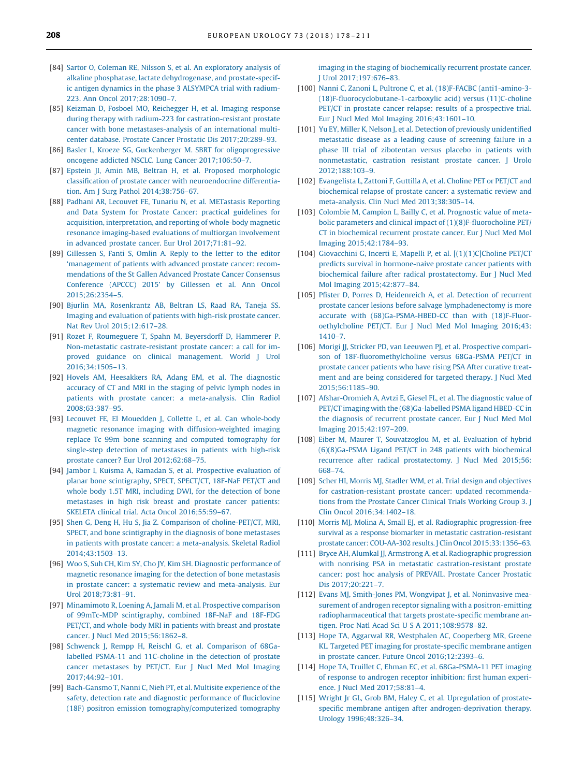- [84] Sartor O, Coleman RE, Nilsson S, et al. An exploratory analysis of alkaline phosphatase, lactate dehydrogenase, and prostate-specific antigen dynamics in the phase 3 ALSYMPCA trial with radium-223. Ann Oncol 2017;28:1090–7.
- [85] Keizman D, Fosboel MO, Reichegger H, et al. Imaging response during therapy with radium-223 for castration-resistant prostate cancer with bone metastases-analysis of an international multicenter database. Prostate Cancer Prostatic Dis 2017;20:289–93.
- [86] Basler L, Kroeze SG, Guckenberger M. SBRT for oligoprogressive oncogene addicted NSCLC. Lung Cancer 2017;106:50–7.
- [87] Epstein JI, Amin MB, Beltran H, et al. Proposed morphologic classification of prostate cancer with neuroendocrine differentiation. Am J Surg Pathol 2014;38:756–67.
- [88] Padhani AR, Lecouvet FE, Tunariu N, et al. METastasis Reporting and Data System for Prostate Cancer: practical guidelines for acquisition, interpretation, and reporting of whole-body magnetic resonance imaging-based evaluations of multiorgan involvement in advanced prostate cancer. Eur Urol 2017;71:81–92.
- [89] Gillessen S, Fanti S, Omlin A. Reply to the letter to the editor 'management of patients with advanced prostate cancer: recommendations of the St Gallen Advanced Prostate Cancer Consensus Conference (APCCC) 2015' by Gillessen et al. Ann Oncol 2015;26:2354–5.
- [90] Bjurlin MA, Rosenkrantz AB, Beltran LS, Raad RA, Taneja SS. Imaging and evaluation of patients with high-risk prostate cancer. Nat Rev Urol 2015;12:617–28.
- [91] Rozet F, Roumeguere T, Spahn M, Beyersdorff D, Hammerer P. Non-metastatic castrate-resistant prostate cancer: a call for improved guidance on clinical management. World J Urol 2016;34:1505–13.
- [92] Hovels AM, Heesakkers RA, Adang EM, et al. The diagnostic accuracy of CT and MRI in the staging of pelvic lymph nodes in patients with prostate cancer: a meta-analysis. Clin Radiol 2008;63:387–95.
- [93] Lecouvet FE, El Mouedden J, Collette L, et al. Can whole-body magnetic resonance imaging with diffusion-weighted imaging replace Tc 99m bone scanning and computed tomography for single-step detection of metastases in patients with high-risk prostate cancer? Eur Urol 2012;62:68–75.
- [94] Jambor I, Kuisma A, Ramadan S, et al. Prospective evaluation of planar bone scintigraphy, SPECT, SPECT/CT, 18F-NaF PET/CT and whole body 1.5T MRI, including DWI, for the detection of bone metastases in high risk breast and prostate cancer patients: SKELETA clinical trial. Acta Oncol 2016;55:59–67.
- [95] Shen G, Deng H, Hu S, Jia Z. Comparison of choline-PET/CT, MRI, SPECT, and bone scintigraphy in the diagnosis of bone metastases in patients with prostate cancer: a meta-analysis. Skeletal Radiol 2014;43:1503–13.
- [96] Woo S, Suh CH, Kim SY, Cho JY, Kim SH. Diagnostic performance of magnetic resonance imaging for the detection of bone metastasis in prostate cancer: a systematic review and meta-analysis. Eur Urol 2018;73:81–91.
- [97] Minamimoto R, Loening A, Jamali M, et al. Prospective comparison of 99mTc-MDP scintigraphy, combined 18F-NaF and 18F-FDG PET/CT, and whole-body MRI in patients with breast and prostate cancer. J Nucl Med 2015;56:1862–8.
- [98] Schwenck J, Rempp H, Reischl G, et al. Comparison of 68Galabelled PSMA-11 and 11C-choline in the detection of prostate cancer metastases by PET/CT. Eur J Nucl Med Mol Imaging 2017;44:92–101.
- [99] Bach-Gansmo T, Nanni C, Nieh PT, et al. Multisite experience of the safety, detection rate and diagnostic performance of fluciclovine (18F) positron emission tomography/computerized tomography

imaging in the staging of biochemically recurrent prostate cancer. J Urol 2017;197:676–83.

- [100] Nanni C, Zanoni L, Pultrone C, et al. (18)F-FACBC (anti1-amino-3-(18)F-fluorocyclobutane-1-carboxylic acid) versus (11)C-choline PET/CT in prostate cancer relapse: results of a prospective trial. Eur J Nucl Med Mol Imaging 2016;43:1601–10.
- [101] Yu EY, Miller K, Nelson J, et al. Detection of previously unidentified metastatic disease as a leading cause of screening failure in a phase III trial of zibotentan versus placebo in patients with nonmetastatic, castration resistant prostate cancer. J Urolo 2012;188:103–9.
- [102] Evangelista L, Zattoni F, Guttilla A, et al. Choline PET or PET/CT and biochemical relapse of prostate cancer: a systematic review and meta-analysis. Clin Nucl Med 2013;38:305–14.
- [103] Colombie M, Campion L, Bailly C, et al. Prognostic value of metabolic parameters and clinical impact of (1)(8)F-fluorocholine PET/ CT in biochemical recurrent prostate cancer. Eur J Nucl Med Mol Imaging 2015;42:1784–93.
- [104] Giovacchini G, Incerti E, Mapelli P, et al. [(1)(1)C]Choline PET/CT predicts survival in hormone-naive prostate cancer patients with biochemical failure after radical prostatectomy. Eur J Nucl Med Mol Imaging 2015;42:877–84.
- [105] Pfister D, Porres D, Heidenreich A, et al. Detection of recurrent prostate cancer lesions before salvage lymphadenectomy is more accurate with (68)Ga-PSMA-HBED-CC than with (18)F-Fluoroethylcholine PET/CT. Eur J Nucl Med Mol Imaging 2016;43: 1410–7.
- [106] Morigi JJ, Stricker PD, van Leeuwen PJ, et al. Prospective comparison of 18F-fluoromethylcholine versus 68Ga-PSMA PET/CT in prostate cancer patients who have rising PSA After curative treatment and are being considered for targeted therapy. J Nucl Med 2015;56:1185–90.
- [107] Afshar-Oromieh A, Avtzi E, Giesel FL, et al. The diagnostic value of PET/CT imaging with the (68)Ga-labelled PSMA ligand HBED-CC in the diagnosis of recurrent prostate cancer. Eur J Nucl Med Mol Imaging 2015;42:197–209.
- [108] Eiber M, Maurer T, Souvatzoglou M, et al. Evaluation of hybrid (6)(8)Ga-PSMA Ligand PET/CT in 248 patients with biochemical recurrence after radical prostatectomy. J Nucl Med 2015;56: 668–74.
- [109] Scher HI, Morris MJ, Stadler WM, et al. Trial design and objectives for castration-resistant prostate cancer: updated recommendations from the Prostate Cancer Clinical Trials Working Group 3. J Clin Oncol 2016;34:1402–18.
- [110] Morris MJ, Molina A, Small EJ, et al. Radiographic progression-free survival as a response biomarker in metastatic castration-resistant prostate cancer: COU-AA-302 results. J Clin Oncol 2015;33:1356–63.
- [111] Bryce AH, Alumkal JJ, Armstrong A, et al. Radiographic progression with nonrising PSA in metastatic castration-resistant prostate cancer: post hoc analysis of PREVAIL. Prostate Cancer Prostatic Dis 2017;20:221–7.
- [112] Evans MJ, Smith-Jones PM, Wongvipat J, et al. Noninvasive measurement of androgen receptor signaling with a positron-emitting radiopharmaceutical that targets prostate-specific membrane antigen. Proc Natl Acad Sci U S A 2011;108:9578–82.
- [113] Hope TA, Aggarwal RR, Westphalen AC, Cooperberg MR, Greene KL. Targeted PET imaging for prostate-specific membrane antigen in prostate cancer. Future Oncol 2016;12:2393–6.
- [114] Hope TA, Truillet C, Ehman EC, et al. 68Ga-PSMA-11 PET imaging of response to androgen receptor inhibition: first human experience. J Nucl Med 2017;58:81–4.
- [115] Wright Jr GL, Grob BM, Haley C, et al. Upregulation of prostatespecific membrane antigen after androgen-deprivation therapy. Urology 1996;48:326–34.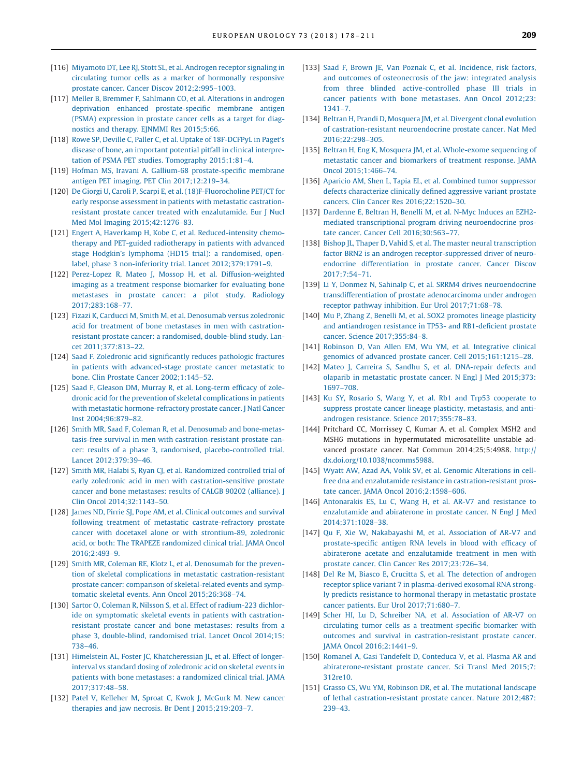- [116] Miyamoto DT, Lee RJ, Stott SL, et al. Androgen receptor signaling in circulating tumor cells as a marker of hormonally responsive prostate cancer. Cancer Discov 2012;2:995–1003.
- [117] Meller B, Bremmer F, Sahlmann CO, et al. Alterations in androgen deprivation enhanced prostate-specific membrane antigen (PSMA) expression in prostate cancer cells as a target for diagnostics and therapy. EJNMMI Res 2015;5:66.
- [118] Rowe SP, Deville C, Paller C, et al. Uptake of 18F-DCFPyL in Paget's disease of bone, an important potential pitfall in clinical interpretation of PSMA PET studies. Tomography 2015;1:81–4.
- [119] Hofman MS, Iravani A. Gallium-68 prostate-specific membrane antigen PET imaging. PET Clin 2017;12:219–34.
- [120] De Giorgi U, Caroli P, Scarpi E, et al. (18)F-Fluorocholine PET/CT for early response assessment in patients with metastatic castrationresistant prostate cancer treated with enzalutamide. Eur J Nucl Med Mol Imaging 2015;42:1276–83.
- [121] Engert A, Haverkamp H, Kobe C, et al. Reduced-intensity chemotherapy and PET-guided radiotherapy in patients with advanced stage Hodgkin's lymphoma (HD15 trial): a randomised, openlabel, phase 3 non-inferiority trial. Lancet 2012;379:1791–9.
- [122] Perez-Lopez R, Mateo J, Mossop H, et al. Diffusion-weighted imaging as a treatment response biomarker for evaluating bone metastases in prostate cancer: a pilot study. Radiology 2017;283:168–77.
- [123] Fizazi K, Carducci M, Smith M, et al. Denosumab versus zoledronic acid for treatment of bone metastases in men with castrationresistant prostate cancer: a randomised, double-blind study. Lancet 2011;377:813–22.
- [124] Saad F. Zoledronic acid significantly reduces pathologic fractures in patients with advanced-stage prostate cancer metastatic to bone. Clin Prostate Cancer 2002;1:145–52.
- [125] Saad F, Gleason DM, Murray R, et al. Long-term efficacy of zoledronic acid for the prevention of skeletal complications in patients with metastatic hormone-refractory prostate cancer. J Natl Cancer Inst 2004;96:879–82.
- [126] Smith MR, Saad F, Coleman R, et al. Denosumab and bone-metastasis-free survival in men with castration-resistant prostate cancer: results of a phase 3, randomised, placebo-controlled trial. Lancet 2012;379:39–46.
- [127] Smith MR, Halabi S, Ryan CJ, et al. Randomized controlled trial of early zoledronic acid in men with castration-sensitive prostate cancer and bone metastases: results of CALGB 90202 (alliance). J Clin Oncol 2014;32:1143–50.
- [128] James ND, Pirrie SJ, Pope AM, et al. Clinical outcomes and survival following treatment of metastatic castrate-refractory prostate cancer with docetaxel alone or with strontium-89, zoledronic acid, or both: The TRAPEZE randomized clinical trial. JAMA Oncol 2016;2:493–9.
- [129] Smith MR, Coleman RE, Klotz L, et al. Denosumab for the prevention of skeletal complications in metastatic castration-resistant prostate cancer: comparison of skeletal-related events and symptomatic skeletal events. Ann Oncol 2015;26:368–74.
- [130] Sartor O, Coleman R, Nilsson S, et al. Effect of radium-223 dichloride on symptomatic skeletal events in patients with castrationresistant prostate cancer and bone metastases: results from a phase 3, double-blind, randomised trial. Lancet Oncol 2014;15: 738–46.
- [131] Himelstein AL, Foster JC, Khatcheressian JL, et al. Effect of longerinterval vs standard dosing of zoledronic acid on skeletal events in patients with bone metastases: a randomized clinical trial. JAMA 2017;317:48–58.
- [132] Patel V, Kelleher M, Sproat C, Kwok J, McGurk M. New cancer therapies and jaw necrosis. Br Dent J 2015;219:203–7.
- [133] Saad F, Brown JE, Van Poznak C, et al. Incidence, risk factors, and outcomes of osteonecrosis of the jaw: integrated analysis from three blinded active-controlled phase III trials in cancer patients with bone metastases. Ann Oncol 2012;23: 1341–7.
- [134] Beltran H, Prandi D, Mosquera JM, et al. Divergent clonal evolution of castration-resistant neuroendocrine prostate cancer. Nat Med 2016;22:298–305.
- [135] Beltran H, Eng K, Mosquera JM, et al. Whole-exome sequencing of metastatic cancer and biomarkers of treatment response. JAMA Oncol 2015;1:466–74.
- [136] Aparicio AM, Shen L, Tapia EL, et al. Combined tumor suppressor defects characterize clinically defined aggressive variant prostate cancers. Clin Cancer Res 2016;22:1520–30.
- [137] Dardenne E, Beltran H, Benelli M, et al. N-Myc Induces an EZH2 mediated transcriptional program driving neuroendocrine prostate cancer. Cancer Cell 2016;30:563–77.
- [138] Bishop JL, Thaper D, Vahid S, et al. The master neural transcription factor BRN2 is an androgen receptor-suppressed driver of neuroendocrine differentiation in prostate cancer. Cancer Discov 2017;7:54–71.
- [139] Li Y, Donmez N, Sahinalp C, et al. SRRM4 drives neuroendocrine transdifferentiation of prostate adenocarcinoma under androgen receptor pathway inhibition. Eur Urol 2017;71:68–78.
- [140] Mu P, Zhang Z, Benelli M, et al. SOX2 promotes lineage plasticity and antiandrogen resistance in TP53- and RB1-deficient prostate cancer. Science 2017;355:84–8.
- [141] Robinson D, Van Allen EM, Wu YM, et al. Integrative clinical genomics of advanced prostate cancer. Cell 2015;161:1215–28.
- [142] Mateo J, Carreira S, Sandhu S, et al. DNA-repair defects and olaparib in metastatic prostate cancer. N Engl J Med 2015;373: 1697–708.
- [143] Ku SY, Rosario S, Wang Y, et al. Rb1 and Trp53 cooperate to suppress prostate cancer lineage plasticity, metastasis, and antiandrogen resistance. Science 2017;355:78–83.
- [144] Pritchard CC, Morrissey C, Kumar A, et al. Complex MSH2 and MSH6 mutations in hypermutated microsatellite unstable advanced prostate cancer. Nat Commun 2014;25;5:4988. http:// dx.doi.org/10.1038/ncomms5988.
- [145] Wyatt AW, Azad AA, Volik SV, et al. Genomic Alterations in cellfree dna and enzalutamide resistance in castration-resistant prostate cancer. JAMA Oncol 2016;2:1598–606.
- [146] Antonarakis ES, Lu C, Wang H, et al. AR-V7 and resistance to enzalutamide and abiraterone in prostate cancer. N Engl J Med 2014;371:1028–38.
- [147] Qu F, Xie W, Nakabayashi M, et al. Association of AR-V7 and prostate-specific antigen RNA levels in blood with efficacy of abiraterone acetate and enzalutamide treatment in men with prostate cancer. Clin Cancer Res 2017;23:726–34.
- [148] Del Re M, Biasco E, Crucitta S, et al. The detection of androgen receptor splice variant 7 in plasma-derived exosomal RNA strongly predicts resistance to hormonal therapy in metastatic prostate cancer patients. Eur Urol 2017;71:680–7.
- [149] Scher HI, Lu D, Schreiber NA, et al. Association of AR-V7 on circulating tumor cells as a treatment-specific biomarker with outcomes and survival in castration-resistant prostate cancer. JAMA Oncol 2016;2:1441–9.
- [150] Romanel A, Gasi Tandefelt D, Conteduca V, et al. Plasma AR and abiraterone-resistant prostate cancer. Sci Transl Med 2015;7: 312re10.
- [151] Grasso CS, Wu YM, Robinson DR, et al. The mutational landscape of lethal castration-resistant prostate cancer. Nature 2012;487: 239–43.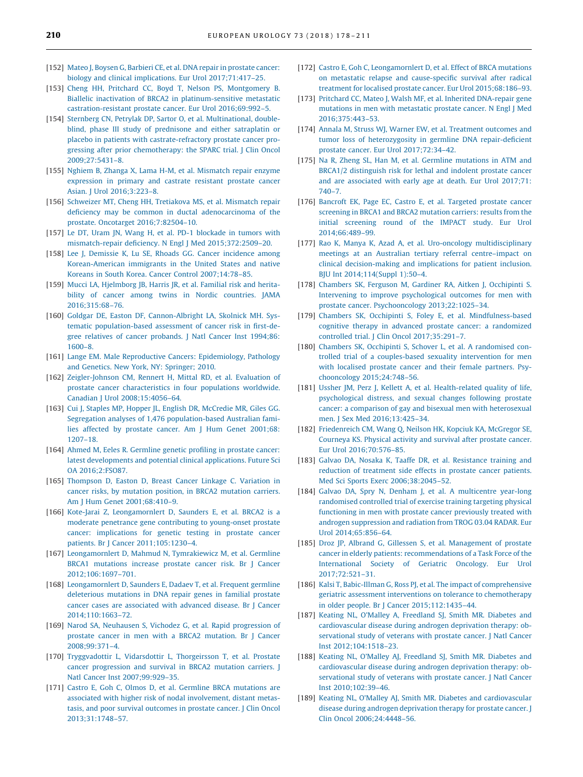- [152] Mateo J, Boysen G, Barbieri CE, et al. DNA repair in prostate cancer: biology and clinical implications. Eur Urol 2017;71:417–25.
- [153] Cheng HH, Pritchard CC, Boyd T, Nelson PS, Montgomery B. Biallelic inactivation of BRCA2 in platinum-sensitive metastatic castration-resistant prostate cancer. Eur Urol 2016;69:992–5.
- [154] Sternberg CN, Petrylak DP, Sartor O, et al. Multinational, doubleblind, phase III study of prednisone and either satraplatin or placebo in patients with castrate-refractory prostate cancer progressing after prior chemotherapy: the SPARC trial. J Clin Oncol 2009;27:5431–8.
- [155] Nghiem B, Zhanga X, Lama H-M, et al. Mismatch repair enzyme expression in primary and castrate resistant prostate cancer Asian. J Urol 2016;3:223–8.
- [156] Schweizer MT, Cheng HH, Tretiakova MS, et al. Mismatch repair deficiency may be common in ductal adenocarcinoma of the prostate. Oncotarget 2016;7:82504–10.
- [157] Le DT, Uram JN, Wang H, et al. PD-1 blockade in tumors with mismatch-repair deficiency. N Engl J Med 2015;372:2509–20.
- [158] Lee J, Demissie K, Lu SE, Rhoads GG. Cancer incidence among Korean-American immigrants in the United States and native Koreans in South Korea. Cancer Control 2007;14:78–85.
- [159] Mucci LA, Hjelmborg JB, Harris JR, et al. Familial risk and heritability of cancer among twins in Nordic countries. JAMA 2016;315:68–76.
- [160] Goldgar DE, Easton DF, Cannon-Albright LA, Skolnick MH. Systematic population-based assessment of cancer risk in first-degree relatives of cancer probands. J Natl Cancer Inst 1994;86: 1600–8.
- [161] Lange EM. Male Reproductive Cancers: Epidemiology, Pathology and Genetics. New York, NY: Springer; 2010.
- [162] Zeigler-Johnson CM, Rennert H, Mittal RD, et al. Evaluation of prostate cancer characteristics in four populations worldwide. Canadian J Urol 2008;15:4056–64.
- [163] Cui J, Staples MP, Hopper JL, English DR, McCredie MR, Giles GG. Segregation analyses of 1,476 population-based Australian families affected by prostate cancer. Am J Hum Genet 2001;68: 1207–18.
- [164] Ahmed M, Eeles R. Germline genetic profiling in prostate cancer: latest developments and potential clinical applications. Future Sci OA 2016;2:FSO87.
- [165] Thompson D, Easton D, Breast Cancer Linkage C. Variation in cancer risks, by mutation position, in BRCA2 mutation carriers. Am J Hum Genet 2001;68:410–9.
- [166] Kote-Jarai Z, Leongamornlert D, Saunders E, et al. BRCA2 is a moderate penetrance gene contributing to young-onset prostate cancer: implications for genetic testing in prostate cancer patients. Br J Cancer 2011;105:1230–4.
- [167] Leongamornlert D, Mahmud N, Tymrakiewicz M, et al. Germline BRCA1 mutations increase prostate cancer risk. Br J Cancer 2012;106:1697–701.
- [168] Leongamornlert D, Saunders E, Dadaev T, et al. Frequent germline deleterious mutations in DNA repair genes in familial prostate cancer cases are associated with advanced disease. Br J Cancer 2014;110:1663–72.
- [169] Narod SA, Neuhausen S, Vichodez G, et al. Rapid progression of prostate cancer in men with a BRCA2 mutation. Br J Cancer 2008;99:371–4.
- [170] Tryggvadottir L, Vidarsdottir L, Thorgeirsson T, et al. Prostate cancer progression and survival in BRCA2 mutation carriers. J Natl Cancer Inst 2007;99:929–35.
- [171] Castro E, Goh C, Olmos D, et al. Germline BRCA mutations are associated with higher risk of nodal involvement, distant metastasis, and poor survival outcomes in prostate cancer. J Clin Oncol 2013;31:1748–57.
- [172] Castro E, Goh C, Leongamornlert D, et al. Effect of BRCA mutations on metastatic relapse and cause-specific survival after radical treatment for localised prostate cancer. Eur Urol 2015;68:186–93.
- [173] Pritchard CC, Mateo J, Walsh MF, et al. Inherited DNA-repair gene mutations in men with metastatic prostate cancer. N Engl J Med 2016;375:443–53.
- [174] Annala M, Struss WJ, Warner EW, et al. Treatment outcomes and tumor loss of heterozygosity in germline DNA repair-deficient prostate cancer. Eur Urol 2017;72:34–42.
- [175] Na R, Zheng SL, Han M, et al. Germline mutations in ATM and BRCA1/2 distinguish risk for lethal and indolent prostate cancer and are associated with early age at death. Eur Urol 2017;71: 740–7.
- [176] Bancroft EK, Page EC, Castro E, et al. Targeted prostate cancer screening in BRCA1 and BRCA2 mutation carriers: results from the initial screening round of the IMPACT study. Eur Urol 2014;66:489–99.
- [177] Rao K, Manya K, Azad A, et al. Uro-oncology multidisciplinary meetings at an Australian tertiary referral centre–impact on clinical decision-making and implications for patient inclusion. BJU Int 2014;114(Suppl 1):50–4.
- [178] Chambers SK, Ferguson M, Gardiner RA, Aitken J, Occhipinti S. Intervening to improve psychological outcomes for men with prostate cancer. Psychooncology 2013;22:1025–34.
- [179] Chambers SK, Occhipinti S, Foley E, et al. Mindfulness-based cognitive therapy in advanced prostate cancer: a randomized controlled trial. J Clin Oncol 2017;35:291–7.
- [180] Chambers SK, Occhipinti S, Schover L, et al. A randomised controlled trial of a couples-based sexuality intervention for men with localised prostate cancer and their female partners. Psychooncology 2015;24:748–56.
- [181] Ussher JM, Perz J, Kellett A, et al. Health-related quality of life, psychological distress, and sexual changes following prostate cancer: a comparison of gay and bisexual men with heterosexual men. J Sex Med 2016;13:425–34.
- [182] Friedenreich CM, Wang Q, Neilson HK, Kopciuk KA, McGregor SE, Courneya KS. Physical activity and survival after prostate cancer. Eur Urol 2016;70:576–85.
- [183] Galvao DA, Nosaka K, Taaffe DR, et al. Resistance training and reduction of treatment side effects in prostate cancer patients. Med Sci Sports Exerc 2006;38:2045–52.
- [184] Galvao DA, Spry N, Denham J, et al. A multicentre year-long randomised controlled trial of exercise training targeting physical functioning in men with prostate cancer previously treated with androgen suppression and radiation from TROG 03.04 RADAR. Eur Urol 2014;65:856–64.
- [185] Droz JP, Albrand G, Gillessen S, et al. Management of prostate cancer in elderly patients: recommendations of a Task Force of the International Society of Geriatric Oncology. Eur Urol 2017;72:521–31.
- [186] Kalsi T, Babic-Illman G, Ross PJ, et al. The impact of comprehensive geriatric assessment interventions on tolerance to chemotherapy in older people. Br J Cancer 2015;112:1435–44.
- [187] Keating NL, O'Malley A, Freedland SJ, Smith MR. Diabetes and cardiovascular disease during androgen deprivation therapy: observational study of veterans with prostate cancer. J Natl Cancer Inst 2012;104:1518–23.
- [188] Keating NL, O'Malley AJ, Freedland SJ, Smith MR. Diabetes and cardiovascular disease during androgen deprivation therapy: observational study of veterans with prostate cancer. J Natl Cancer Inst 2010;102:39–46.
- [189] Keating NL, O'Malley AJ, Smith MR. Diabetes and cardiovascular disease during androgen deprivation therapy for prostate cancer. J Clin Oncol 2006;24:4448–56.